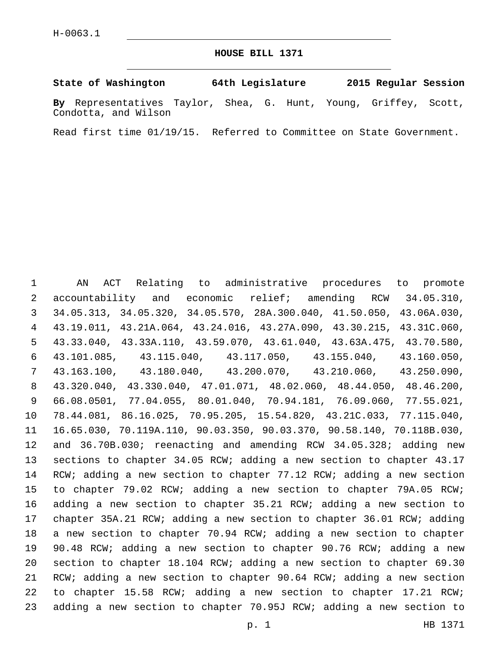# **HOUSE BILL 1371**

**State of Washington 64th Legislature 2015 Regular Session By** Representatives Taylor, Shea, G. Hunt, Young, Griffey, Scott, Condotta, and Wilson

Read first time 01/19/15. Referred to Committee on State Government.

 AN ACT Relating to administrative procedures to promote accountability and economic relief; amending RCW 34.05.310, 34.05.313, 34.05.320, 34.05.570, 28A.300.040, 41.50.050, 43.06A.030, 43.19.011, 43.21A.064, 43.24.016, 43.27A.090, 43.30.215, 43.31C.060, 43.33.040, 43.33A.110, 43.59.070, 43.61.040, 43.63A.475, 43.70.580, 43.101.085, 43.115.040, 43.117.050, 43.155.040, 43.160.050, 43.163.100, 43.180.040, 43.200.070, 43.210.060, 43.250.090, 43.320.040, 43.330.040, 47.01.071, 48.02.060, 48.44.050, 48.46.200, 66.08.0501, 77.04.055, 80.01.040, 70.94.181, 76.09.060, 77.55.021, 78.44.081, 86.16.025, 70.95.205, 15.54.820, 43.21C.033, 77.115.040, 16.65.030, 70.119A.110, 90.03.350, 90.03.370, 90.58.140, 70.118B.030, and 36.70B.030; reenacting and amending RCW 34.05.328; adding new sections to chapter 34.05 RCW; adding a new section to chapter 43.17 RCW; adding a new section to chapter 77.12 RCW; adding a new section to chapter 79.02 RCW; adding a new section to chapter 79A.05 RCW; adding a new section to chapter 35.21 RCW; adding a new section to chapter 35A.21 RCW; adding a new section to chapter 36.01 RCW; adding a new section to chapter 70.94 RCW; adding a new section to chapter 90.48 RCW; adding a new section to chapter 90.76 RCW; adding a new section to chapter 18.104 RCW; adding a new section to chapter 69.30 RCW; adding a new section to chapter 90.64 RCW; adding a new section to chapter 15.58 RCW; adding a new section to chapter 17.21 RCW; adding a new section to chapter 70.95J RCW; adding a new section to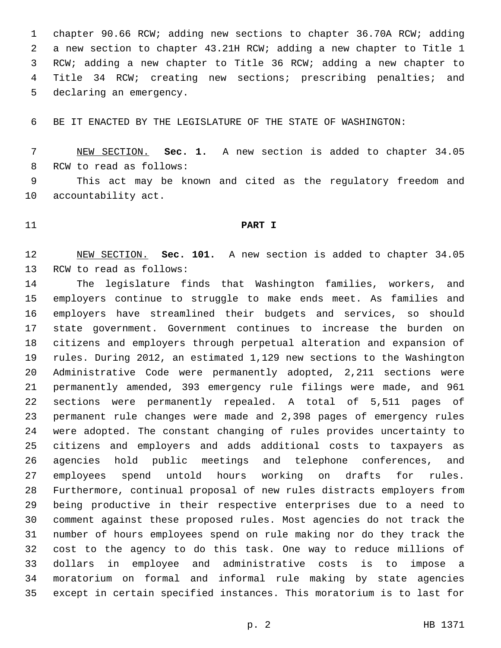chapter 90.66 RCW; adding new sections to chapter 36.70A RCW; adding a new section to chapter 43.21H RCW; adding a new chapter to Title 1 RCW; adding a new chapter to Title 36 RCW; adding a new chapter to Title 34 RCW; creating new sections; prescribing penalties; and 5 declaring an emergency.

BE IT ENACTED BY THE LEGISLATURE OF THE STATE OF WASHINGTON:

 NEW SECTION. **Sec. 1.** A new section is added to chapter 34.05 8 RCW to read as follows:

 This act may be known and cited as the regulatory freedom and 10 accountability act.

### **PART I**

 NEW SECTION. **Sec. 101.** A new section is added to chapter 34.05 13 RCW to read as follows:

 The legislature finds that Washington families, workers, and employers continue to struggle to make ends meet. As families and employers have streamlined their budgets and services, so should state government. Government continues to increase the burden on citizens and employers through perpetual alteration and expansion of rules. During 2012, an estimated 1,129 new sections to the Washington Administrative Code were permanently adopted, 2,211 sections were permanently amended, 393 emergency rule filings were made, and 961 sections were permanently repealed. A total of 5,511 pages of permanent rule changes were made and 2,398 pages of emergency rules were adopted. The constant changing of rules provides uncertainty to citizens and employers and adds additional costs to taxpayers as agencies hold public meetings and telephone conferences, and employees spend untold hours working on drafts for rules. Furthermore, continual proposal of new rules distracts employers from being productive in their respective enterprises due to a need to comment against these proposed rules. Most agencies do not track the number of hours employees spend on rule making nor do they track the cost to the agency to do this task. One way to reduce millions of dollars in employee and administrative costs is to impose a moratorium on formal and informal rule making by state agencies except in certain specified instances. This moratorium is to last for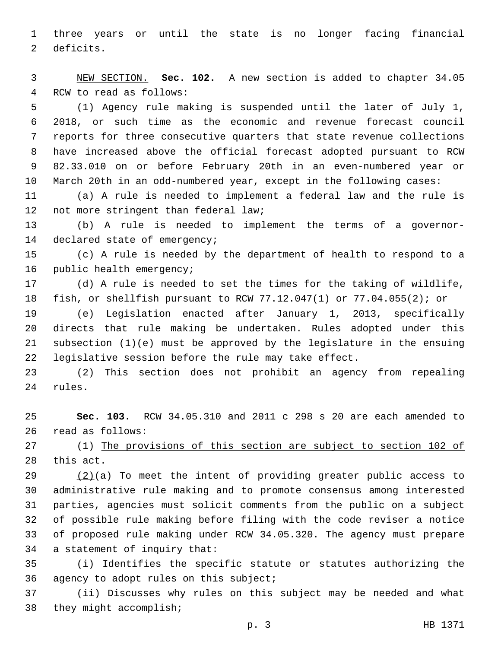three years or until the state is no longer facing financial 2 deficits.

 NEW SECTION. **Sec. 102.** A new section is added to chapter 34.05 4 RCW to read as follows:

 (1) Agency rule making is suspended until the later of July 1, 2018, or such time as the economic and revenue forecast council reports for three consecutive quarters that state revenue collections have increased above the official forecast adopted pursuant to RCW 82.33.010 on or before February 20th in an even-numbered year or March 20th in an odd-numbered year, except in the following cases:

 (a) A rule is needed to implement a federal law and the rule is 12 not more stringent than federal law;

 (b) A rule is needed to implement the terms of a governor-14 declared state of emergency;

 (c) A rule is needed by the department of health to respond to a 16 public health emergency;

 (d) A rule is needed to set the times for the taking of wildlife, fish, or shellfish pursuant to RCW 77.12.047(1) or 77.04.055(2); or

 (e) Legislation enacted after January 1, 2013, specifically directs that rule making be undertaken. Rules adopted under this subsection (1)(e) must be approved by the legislature in the ensuing legislative session before the rule may take effect.

 (2) This section does not prohibit an agency from repealing 24 rules.

 **Sec. 103.** RCW 34.05.310 and 2011 c 298 s 20 are each amended to 26 read as follows:

 (1) The provisions of this section are subject to section 102 of 28 this act.

 $(2)(a)$  To meet the intent of providing greater public access to administrative rule making and to promote consensus among interested parties, agencies must solicit comments from the public on a subject of possible rule making before filing with the code reviser a notice of proposed rule making under RCW 34.05.320. The agency must prepare 34 a statement of inquiry that:

 (i) Identifies the specific statute or statutes authorizing the 36 agency to adopt rules on this subject;

 (ii) Discusses why rules on this subject may be needed and what 38 they might accomplish;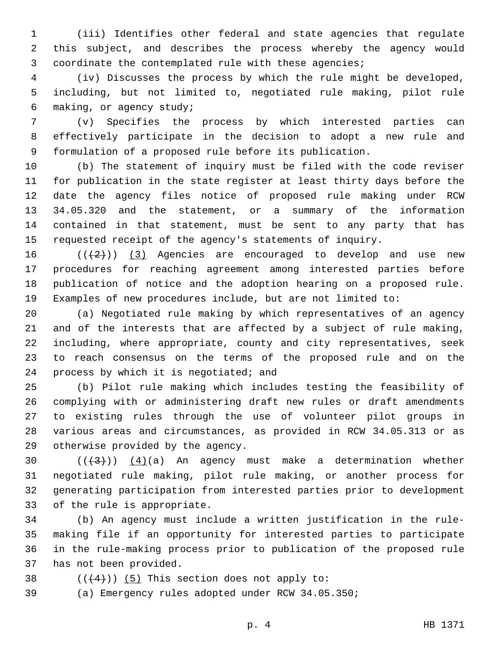(iii) Identifies other federal and state agencies that regulate this subject, and describes the process whereby the agency would coordinate the contemplated rule with these agencies;

 (iv) Discusses the process by which the rule might be developed, including, but not limited to, negotiated rule making, pilot rule making, or agency study;6

 (v) Specifies the process by which interested parties can effectively participate in the decision to adopt a new rule and formulation of a proposed rule before its publication.

 (b) The statement of inquiry must be filed with the code reviser for publication in the state register at least thirty days before the date the agency files notice of proposed rule making under RCW 34.05.320 and the statement, or a summary of the information contained in that statement, must be sent to any party that has requested receipt of the agency's statements of inquiry.

 $((+2+))$  (3) Agencies are encouraged to develop and use new procedures for reaching agreement among interested parties before publication of notice and the adoption hearing on a proposed rule. Examples of new procedures include, but are not limited to:

 (a) Negotiated rule making by which representatives of an agency and of the interests that are affected by a subject of rule making, including, where appropriate, county and city representatives, seek to reach consensus on the terms of the proposed rule and on the 24 process by which it is negotiated; and

 (b) Pilot rule making which includes testing the feasibility of complying with or administering draft new rules or draft amendments to existing rules through the use of volunteer pilot groups in various areas and circumstances, as provided in RCW 34.05.313 or as 29 otherwise provided by the agency.

 $((+3+))$   $(4)(a)$  An agency must make a determination whether negotiated rule making, pilot rule making, or another process for generating participation from interested parties prior to development 33 of the rule is appropriate.

 (b) An agency must include a written justification in the rule- making file if an opportunity for interested parties to participate in the rule-making process prior to publication of the proposed rule 37 has not been provided.

38  $((+4))$   $(5)$  This section does not apply to:

(a) Emergency rules adopted under RCW 34.05.350;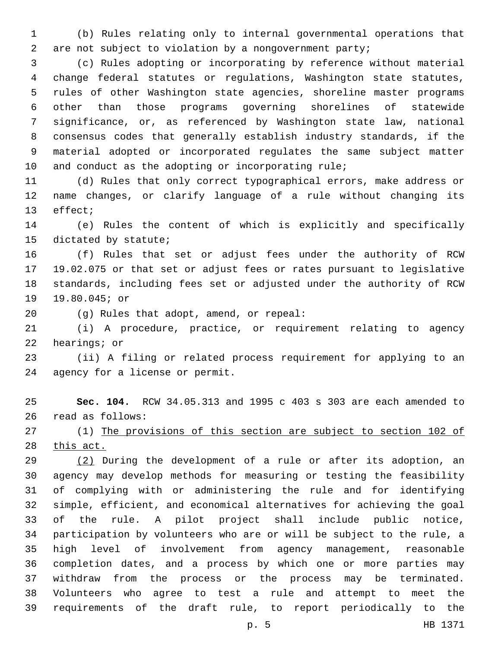(b) Rules relating only to internal governmental operations that are not subject to violation by a nongovernment party;

 (c) Rules adopting or incorporating by reference without material change federal statutes or regulations, Washington state statutes, rules of other Washington state agencies, shoreline master programs other than those programs governing shorelines of statewide significance, or, as referenced by Washington state law, national consensus codes that generally establish industry standards, if the material adopted or incorporated regulates the same subject matter and conduct as the adopting or incorporating rule;

 (d) Rules that only correct typographical errors, make address or name changes, or clarify language of a rule without changing its 13 effect;

 (e) Rules the content of which is explicitly and specifically 15 dictated by statute;

 (f) Rules that set or adjust fees under the authority of RCW 19.02.075 or that set or adjust fees or rates pursuant to legislative standards, including fees set or adjusted under the authority of RCW 19.80.045; or

(g) Rules that adopt, amend, or repeal:20

 (i) A procedure, practice, or requirement relating to agency 22 hearings; or

 (ii) A filing or related process requirement for applying to an 24 agency for a license or permit.

 **Sec. 104.** RCW 34.05.313 and 1995 c 403 s 303 are each amended to 26 read as follows:

27 (1) The provisions of this section are subject to section 102 of this act.

 (2) During the development of a rule or after its adoption, an agency may develop methods for measuring or testing the feasibility of complying with or administering the rule and for identifying simple, efficient, and economical alternatives for achieving the goal of the rule. A pilot project shall include public notice, participation by volunteers who are or will be subject to the rule, a high level of involvement from agency management, reasonable completion dates, and a process by which one or more parties may withdraw from the process or the process may be terminated. Volunteers who agree to test a rule and attempt to meet the requirements of the draft rule, to report periodically to the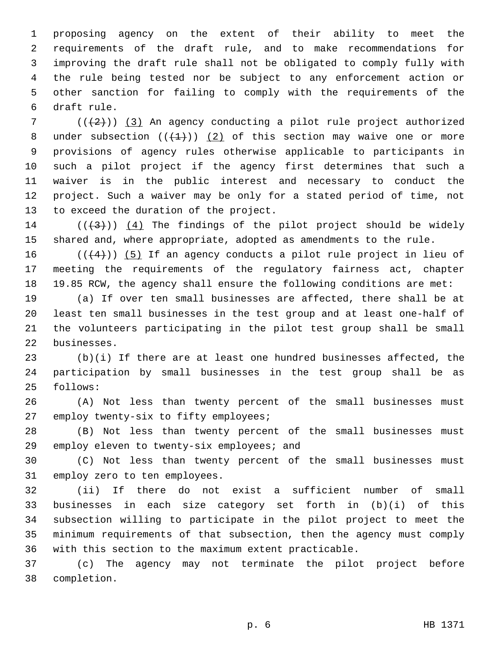proposing agency on the extent of their ability to meet the requirements of the draft rule, and to make recommendations for improving the draft rule shall not be obligated to comply fully with the rule being tested nor be subject to any enforcement action or other sanction for failing to comply with the requirements of the draft rule.6

7 ( $(\frac{2}{2})$ ) (3) An agency conducting a pilot rule project authorized 8 under subsection  $((+1))$   $(2)$  of this section may waive one or more provisions of agency rules otherwise applicable to participants in such a pilot project if the agency first determines that such a waiver is in the public interest and necessary to conduct the project. Such a waiver may be only for a stated period of time, not 13 to exceed the duration of the project.

14  $((+3+))$   $(4)$  The findings of the pilot project should be widely shared and, where appropriate, adopted as amendments to the rule.

16  $((+4))$  (5) If an agency conducts a pilot rule project in lieu of meeting the requirements of the regulatory fairness act, chapter 19.85 RCW, the agency shall ensure the following conditions are met:

 (a) If over ten small businesses are affected, there shall be at least ten small businesses in the test group and at least one-half of the volunteers participating in the pilot test group shall be small 22 businesses.

 (b)(i) If there are at least one hundred businesses affected, the participation by small businesses in the test group shall be as 25 follows:

 (A) Not less than twenty percent of the small businesses must 27 employ twenty-six to fifty employees;

 (B) Not less than twenty percent of the small businesses must 29 employ eleven to twenty-six employees; and

 (C) Not less than twenty percent of the small businesses must 31 employ zero to ten employees.

 (ii) If there do not exist a sufficient number of small businesses in each size category set forth in (b)(i) of this subsection willing to participate in the pilot project to meet the minimum requirements of that subsection, then the agency must comply with this section to the maximum extent practicable.

 (c) The agency may not terminate the pilot project before completion.38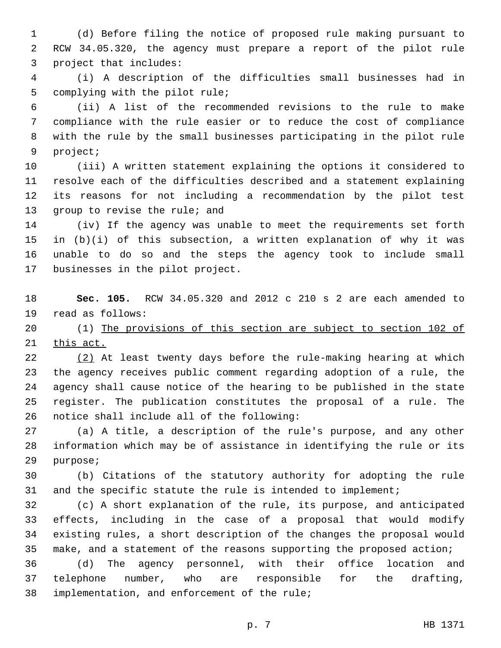(d) Before filing the notice of proposed rule making pursuant to RCW 34.05.320, the agency must prepare a report of the pilot rule 3 project that includes:

 (i) A description of the difficulties small businesses had in 5 complying with the pilot rule;

 (ii) A list of the recommended revisions to the rule to make compliance with the rule easier or to reduce the cost of compliance with the rule by the small businesses participating in the pilot rule 9 project;

 (iii) A written statement explaining the options it considered to resolve each of the difficulties described and a statement explaining its reasons for not including a recommendation by the pilot test 13 group to revise the rule; and

 (iv) If the agency was unable to meet the requirements set forth in (b)(i) of this subsection, a written explanation of why it was unable to do so and the steps the agency took to include small 17 businesses in the pilot project.

 **Sec. 105.** RCW 34.05.320 and 2012 c 210 s 2 are each amended to 19 read as follows:

 (1) The provisions of this section are subject to section 102 of 21 this act.

22 (2) At least twenty days before the rule-making hearing at which the agency receives public comment regarding adoption of a rule, the agency shall cause notice of the hearing to be published in the state register. The publication constitutes the proposal of a rule. The 26 notice shall include all of the following:

 (a) A title, a description of the rule's purpose, and any other information which may be of assistance in identifying the rule or its 29 purpose;

 (b) Citations of the statutory authority for adopting the rule 31 and the specific statute the rule is intended to implement;

 (c) A short explanation of the rule, its purpose, and anticipated effects, including in the case of a proposal that would modify existing rules, a short description of the changes the proposal would make, and a statement of the reasons supporting the proposed action;

 (d) The agency personnel, with their office location and telephone number, who are responsible for the drafting, 38 implementation, and enforcement of the rule;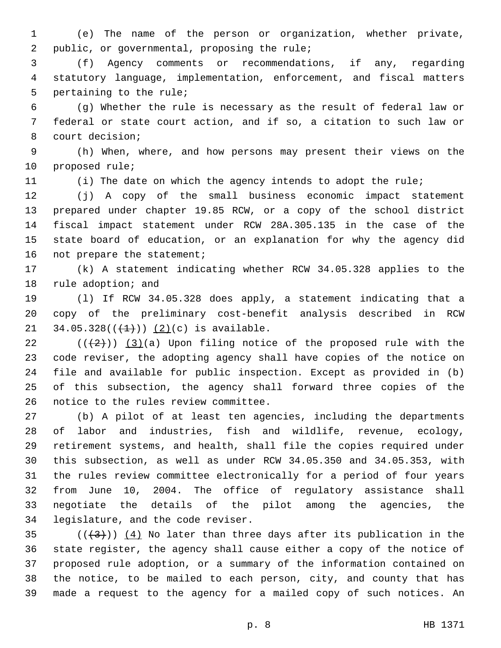(e) The name of the person or organization, whether private, public, or governmental, proposing the rule;2

 (f) Agency comments or recommendations, if any, regarding statutory language, implementation, enforcement, and fiscal matters 5 pertaining to the rule;

 (g) Whether the rule is necessary as the result of federal law or federal or state court action, and if so, a citation to such law or 8 court decision;

 (h) When, where, and how persons may present their views on the 10 proposed rule;

(i) The date on which the agency intends to adopt the rule;

 (j) A copy of the small business economic impact statement prepared under chapter 19.85 RCW, or a copy of the school district fiscal impact statement under RCW 28A.305.135 in the case of the state board of education, or an explanation for why the agency did 16 not prepare the statement;

 (k) A statement indicating whether RCW 34.05.328 applies to the 18 rule adoption; and

 (l) If RCW 34.05.328 does apply, a statement indicating that a copy of the preliminary cost-benefit analysis described in RCW 21 34.05.328( $(\frac{1}{1})$ )  $(2)(c)$  is available.

 ( $(\frac{2}{2})$ ) (3)(a) Upon filing notice of the proposed rule with the code reviser, the adopting agency shall have copies of the notice on file and available for public inspection. Except as provided in (b) of this subsection, the agency shall forward three copies of the 26 notice to the rules review committee.

 (b) A pilot of at least ten agencies, including the departments of labor and industries, fish and wildlife, revenue, ecology, retirement systems, and health, shall file the copies required under this subsection, as well as under RCW 34.05.350 and 34.05.353, with the rules review committee electronically for a period of four years from June 10, 2004. The office of regulatory assistance shall negotiate the details of the pilot among the agencies, the 34 legislature, and the code reviser.

 $((+3+))$   $(4)$  No later than three days after its publication in the state register, the agency shall cause either a copy of the notice of proposed rule adoption, or a summary of the information contained on the notice, to be mailed to each person, city, and county that has made a request to the agency for a mailed copy of such notices. An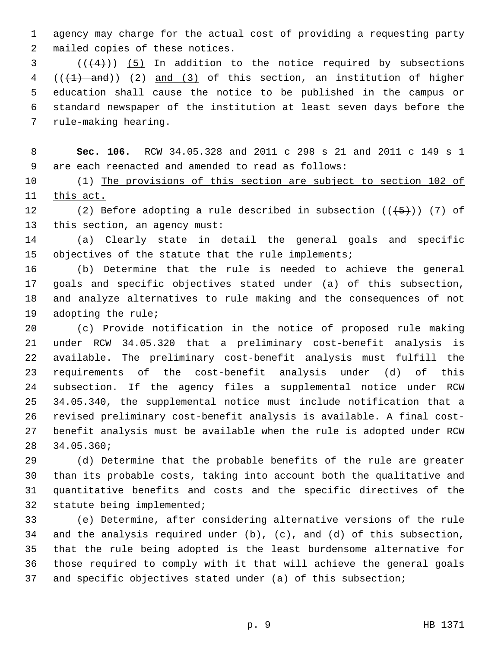agency may charge for the actual cost of providing a requesting party 2 mailed copies of these notices.

 ( $(4)$ )) (5) In addition to the notice required by subsections  $((+1)$  and)) (2) and (3) of this section, an institution of higher education shall cause the notice to be published in the campus or standard newspaper of the institution at least seven days before the 7 rule-making hearing.

 **Sec. 106.** RCW 34.05.328 and 2011 c 298 s 21 and 2011 c 149 s 1 9 are each reenacted and amended to read as follows:

 (1) The provisions of this section are subject to section 102 of this act.

12 (2) Before adopting a rule described in subsection  $((+5+))$  (7) of 13 this section, an agency must:

 (a) Clearly state in detail the general goals and specific objectives of the statute that the rule implements;

 (b) Determine that the rule is needed to achieve the general goals and specific objectives stated under (a) of this subsection, and analyze alternatives to rule making and the consequences of not 19 adopting the rule;

 (c) Provide notification in the notice of proposed rule making under RCW 34.05.320 that a preliminary cost-benefit analysis is available. The preliminary cost-benefit analysis must fulfill the requirements of the cost-benefit analysis under (d) of this subsection. If the agency files a supplemental notice under RCW 34.05.340, the supplemental notice must include notification that a revised preliminary cost-benefit analysis is available. A final cost- benefit analysis must be available when the rule is adopted under RCW 34.05.360;28

 (d) Determine that the probable benefits of the rule are greater than its probable costs, taking into account both the qualitative and quantitative benefits and costs and the specific directives of the 32 statute being implemented;

 (e) Determine, after considering alternative versions of the rule and the analysis required under (b), (c), and (d) of this subsection, that the rule being adopted is the least burdensome alternative for those required to comply with it that will achieve the general goals and specific objectives stated under (a) of this subsection;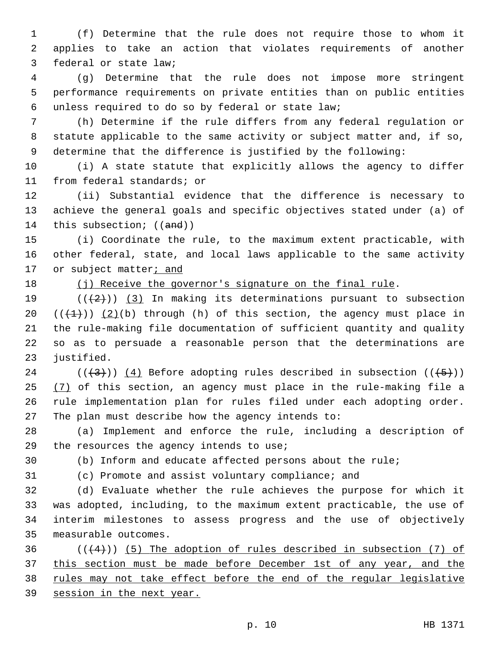(f) Determine that the rule does not require those to whom it applies to take an action that violates requirements of another 3 federal or state law;

 (g) Determine that the rule does not impose more stringent performance requirements on private entities than on public entities unless required to do so by federal or state law;6

 (h) Determine if the rule differs from any federal regulation or statute applicable to the same activity or subject matter and, if so, determine that the difference is justified by the following:

 (i) A state statute that explicitly allows the agency to differ 11 from federal standards; or

 (ii) Substantial evidence that the difference is necessary to achieve the general goals and specific objectives stated under (a) of 14 this subsection; ((and))

 (i) Coordinate the rule, to the maximum extent practicable, with other federal, state, and local laws applicable to the same activity 17 or subject matter; and

# 18 (j) Receive the governor's signature on the final rule.

 $((+2+))$   $(3)$  In making its determinations pursuant to subsection  $((+1))$   $(2)(b)$  through  $(h)$  of this section, the agency must place in the rule-making file documentation of sufficient quantity and quality so as to persuade a reasonable person that the determinations are 23 justified.

24 ( $(\frac{43}{})$ ) (4) Before adopting rules described in subsection ( $(\frac{4}{5})$ ) 25 (7) of this section, an agency must place in the rule-making file a rule implementation plan for rules filed under each adopting order. The plan must describe how the agency intends to:

 (a) Implement and enforce the rule, including a description of 29 the resources the agency intends to use;

(b) Inform and educate affected persons about the rule;

(c) Promote and assist voluntary compliance; and

 (d) Evaluate whether the rule achieves the purpose for which it was adopted, including, to the maximum extent practicable, the use of interim milestones to assess progress and the use of objectively measurable outcomes.35

 $((+4))$  (5) The adoption of rules described in subsection (7) of this section must be made before December 1st of any year, and the rules may not take effect before the end of the regular legislative session in the next year.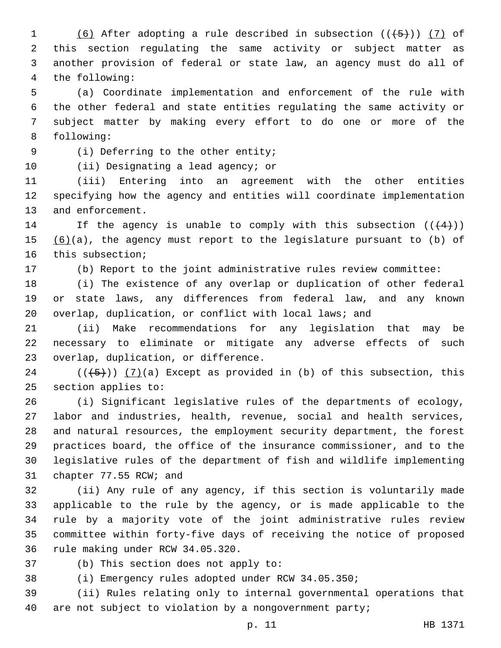1 (6) After adopting a rule described in subsection  $((+5+))$  (7) of this section regulating the same activity or subject matter as another provision of federal or state law, an agency must do all of the following:4

 (a) Coordinate implementation and enforcement of the rule with the other federal and state entities regulating the same activity or subject matter by making every effort to do one or more of the 8 following:

9 (i) Deferring to the other entity;

10 (ii) Designating a lead agency; or

 (iii) Entering into an agreement with the other entities specifying how the agency and entities will coordinate implementation 13 and enforcement.

14 If the agency is unable to comply with this subsection  $((+4))$ 15  $(6)(a)$ , the agency must report to the legislature pursuant to  $(b)$  of 16 this subsection;

(b) Report to the joint administrative rules review committee:

 (i) The existence of any overlap or duplication of other federal or state laws, any differences from federal law, and any known overlap, duplication, or conflict with local laws; and

 (ii) Make recommendations for any legislation that may be necessary to eliminate or mitigate any adverse effects of such 23 overlap, duplication, or difference.

24 ( $(\overline{(-5+)} )$   $(7)(a)$  Except as provided in (b) of this subsection, this 25 section applies to:

 (i) Significant legislative rules of the departments of ecology, labor and industries, health, revenue, social and health services, and natural resources, the employment security department, the forest practices board, the office of the insurance commissioner, and to the legislative rules of the department of fish and wildlife implementing 31 chapter 77.55 RCW; and

 (ii) Any rule of any agency, if this section is voluntarily made applicable to the rule by the agency, or is made applicable to the rule by a majority vote of the joint administrative rules review committee within forty-five days of receiving the notice of proposed 36 rule making under RCW 34.05.320.

37 (b) This section does not apply to:

(i) Emergency rules adopted under RCW 34.05.350;

 (ii) Rules relating only to internal governmental operations that are not subject to violation by a nongovernment party;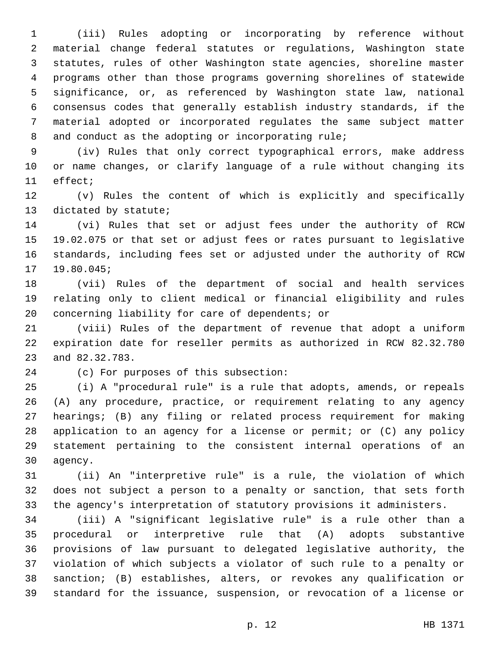(iii) Rules adopting or incorporating by reference without material change federal statutes or regulations, Washington state statutes, rules of other Washington state agencies, shoreline master programs other than those programs governing shorelines of statewide significance, or, as referenced by Washington state law, national consensus codes that generally establish industry standards, if the material adopted or incorporated regulates the same subject matter 8 and conduct as the adopting or incorporating rule;

 (iv) Rules that only correct typographical errors, make address or name changes, or clarify language of a rule without changing its 11 effect;

 (v) Rules the content of which is explicitly and specifically 13 dictated by statute;

 (vi) Rules that set or adjust fees under the authority of RCW 19.02.075 or that set or adjust fees or rates pursuant to legislative standards, including fees set or adjusted under the authority of RCW 17 19.80.045;

 (vii) Rules of the department of social and health services relating only to client medical or financial eligibility and rules 20 concerning liability for care of dependents; or

 (viii) Rules of the department of revenue that adopt a uniform expiration date for reseller permits as authorized in RCW 82.32.780 23 and 82.32.783.

24 (c) For purposes of this subsection:

 (i) A "procedural rule" is a rule that adopts, amends, or repeals (A) any procedure, practice, or requirement relating to any agency hearings; (B) any filing or related process requirement for making application to an agency for a license or permit; or (C) any policy statement pertaining to the consistent internal operations of an 30 agency.

 (ii) An "interpretive rule" is a rule, the violation of which does not subject a person to a penalty or sanction, that sets forth the agency's interpretation of statutory provisions it administers.

 (iii) A "significant legislative rule" is a rule other than a procedural or interpretive rule that (A) adopts substantive provisions of law pursuant to delegated legislative authority, the violation of which subjects a violator of such rule to a penalty or sanction; (B) establishes, alters, or revokes any qualification or standard for the issuance, suspension, or revocation of a license or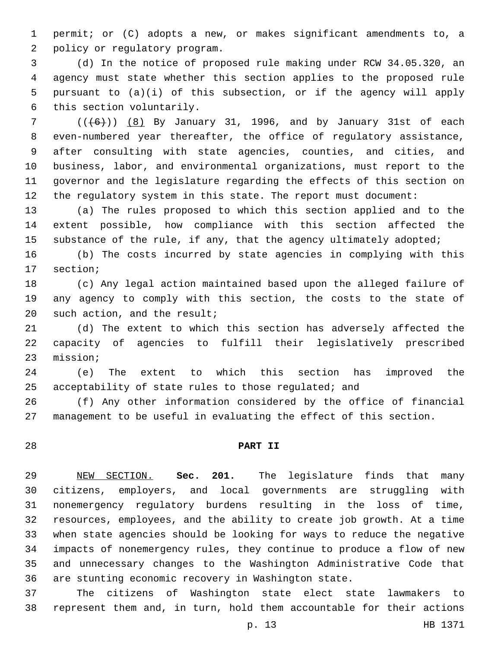permit; or (C) adopts a new, or makes significant amendments to, a 2 policy or regulatory program.

 (d) In the notice of proposed rule making under RCW 34.05.320, an agency must state whether this section applies to the proposed rule pursuant to (a)(i) of this subsection, or if the agency will apply 6 this section voluntarily.

 ( $(\overline{6})$ ) (8) By January 31, 1996, and by January 31st of each even-numbered year thereafter, the office of regulatory assistance, after consulting with state agencies, counties, and cities, and business, labor, and environmental organizations, must report to the governor and the legislature regarding the effects of this section on the regulatory system in this state. The report must document:

 (a) The rules proposed to which this section applied and to the extent possible, how compliance with this section affected the substance of the rule, if any, that the agency ultimately adopted;

 (b) The costs incurred by state agencies in complying with this 17 section;

 (c) Any legal action maintained based upon the alleged failure of any agency to comply with this section, the costs to the state of 20 such action, and the result;

 (d) The extent to which this section has adversely affected the capacity of agencies to fulfill their legislatively prescribed 23 mission;

 (e) The extent to which this section has improved the 25 acceptability of state rules to those regulated; and

 (f) Any other information considered by the office of financial management to be useful in evaluating the effect of this section.

## **PART II**

 NEW SECTION. **Sec. 201.** The legislature finds that many citizens, employers, and local governments are struggling with nonemergency regulatory burdens resulting in the loss of time, resources, employees, and the ability to create job growth. At a time when state agencies should be looking for ways to reduce the negative impacts of nonemergency rules, they continue to produce a flow of new and unnecessary changes to the Washington Administrative Code that are stunting economic recovery in Washington state.

 The citizens of Washington state elect state lawmakers to represent them and, in turn, hold them accountable for their actions

p. 13 HB 1371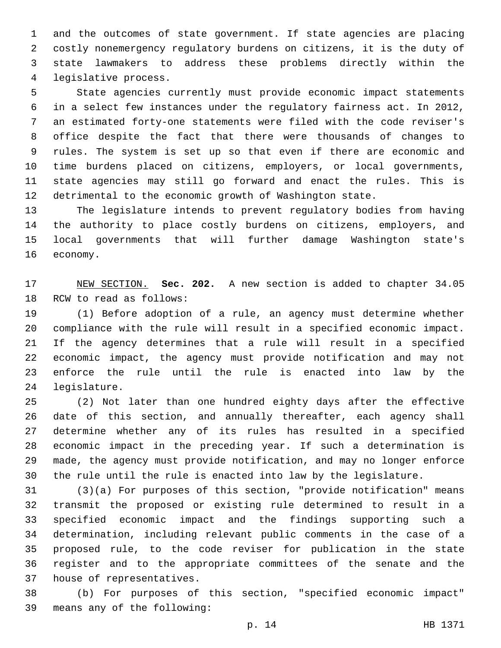and the outcomes of state government. If state agencies are placing costly nonemergency regulatory burdens on citizens, it is the duty of state lawmakers to address these problems directly within the legislative process.4

 State agencies currently must provide economic impact statements in a select few instances under the regulatory fairness act. In 2012, an estimated forty-one statements were filed with the code reviser's office despite the fact that there were thousands of changes to rules. The system is set up so that even if there are economic and time burdens placed on citizens, employers, or local governments, state agencies may still go forward and enact the rules. This is detrimental to the economic growth of Washington state.

 The legislature intends to prevent regulatory bodies from having the authority to place costly burdens on citizens, employers, and local governments that will further damage Washington state's 16 economy.

 NEW SECTION. **Sec. 202.** A new section is added to chapter 34.05 18 RCW to read as follows:

 (1) Before adoption of a rule, an agency must determine whether compliance with the rule will result in a specified economic impact. If the agency determines that a rule will result in a specified economic impact, the agency must provide notification and may not enforce the rule until the rule is enacted into law by the 24 legislature.

 (2) Not later than one hundred eighty days after the effective date of this section, and annually thereafter, each agency shall determine whether any of its rules has resulted in a specified economic impact in the preceding year. If such a determination is made, the agency must provide notification, and may no longer enforce the rule until the rule is enacted into law by the legislature.

 (3)(a) For purposes of this section, "provide notification" means transmit the proposed or existing rule determined to result in a specified economic impact and the findings supporting such a determination, including relevant public comments in the case of a proposed rule, to the code reviser for publication in the state register and to the appropriate committees of the senate and the 37 house of representatives.

 (b) For purposes of this section, "specified economic impact" means any of the following:39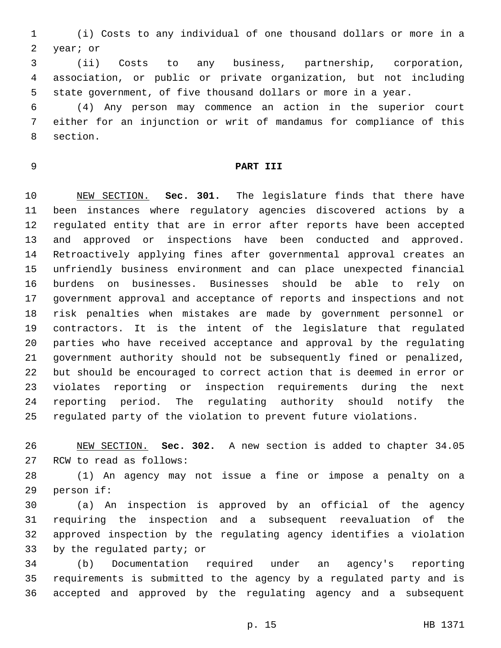(i) Costs to any individual of one thousand dollars or more in a 2 year; or

 (ii) Costs to any business, partnership, corporation, association, or public or private organization, but not including state government, of five thousand dollars or more in a year.

 (4) Any person may commence an action in the superior court either for an injunction or writ of mandamus for compliance of this 8 section.

# **PART III**

 NEW SECTION. **Sec. 301.** The legislature finds that there have been instances where regulatory agencies discovered actions by a regulated entity that are in error after reports have been accepted and approved or inspections have been conducted and approved. Retroactively applying fines after governmental approval creates an unfriendly business environment and can place unexpected financial burdens on businesses. Businesses should be able to rely on government approval and acceptance of reports and inspections and not risk penalties when mistakes are made by government personnel or contractors. It is the intent of the legislature that regulated parties who have received acceptance and approval by the regulating government authority should not be subsequently fined or penalized, but should be encouraged to correct action that is deemed in error or violates reporting or inspection requirements during the next reporting period. The regulating authority should notify the regulated party of the violation to prevent future violations.

 NEW SECTION. **Sec. 302.** A new section is added to chapter 34.05 27 RCW to read as follows:

 (1) An agency may not issue a fine or impose a penalty on a 29 person if:

 (a) An inspection is approved by an official of the agency requiring the inspection and a subsequent reevaluation of the approved inspection by the regulating agency identifies a violation 33 by the regulated party; or

 (b) Documentation required under an agency's reporting requirements is submitted to the agency by a regulated party and is accepted and approved by the regulating agency and a subsequent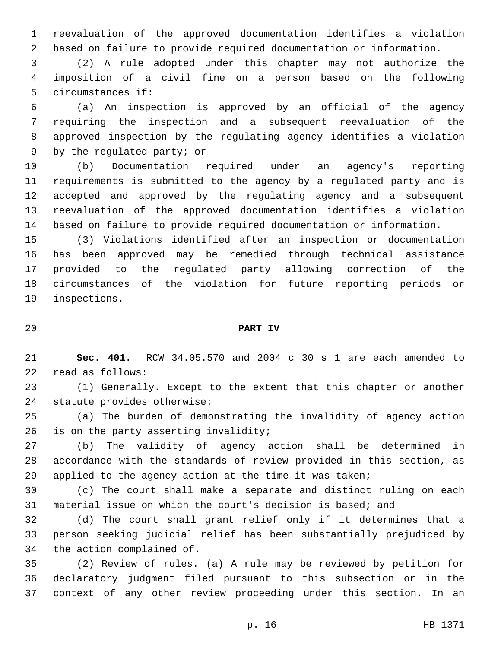reevaluation of the approved documentation identifies a violation based on failure to provide required documentation or information.

 (2) A rule adopted under this chapter may not authorize the imposition of a civil fine on a person based on the following 5 circumstances if:

 (a) An inspection is approved by an official of the agency requiring the inspection and a subsequent reevaluation of the approved inspection by the regulating agency identifies a violation 9 by the regulated party; or

 (b) Documentation required under an agency's reporting requirements is submitted to the agency by a regulated party and is accepted and approved by the regulating agency and a subsequent reevaluation of the approved documentation identifies a violation based on failure to provide required documentation or information.

 (3) Violations identified after an inspection or documentation has been approved may be remedied through technical assistance provided to the regulated party allowing correction of the circumstances of the violation for future reporting periods or 19 inspections.

### **PART IV**

 **Sec. 401.** RCW 34.05.570 and 2004 c 30 s 1 are each amended to 22 read as follows:

 (1) Generally. Except to the extent that this chapter or another 24 statute provides otherwise:

 (a) The burden of demonstrating the invalidity of agency action 26 is on the party asserting invalidity;

 (b) The validity of agency action shall be determined in accordance with the standards of review provided in this section, as applied to the agency action at the time it was taken;

 (c) The court shall make a separate and distinct ruling on each material issue on which the court's decision is based; and

 (d) The court shall grant relief only if it determines that a person seeking judicial relief has been substantially prejudiced by 34 the action complained of.

 (2) Review of rules. (a) A rule may be reviewed by petition for declaratory judgment filed pursuant to this subsection or in the context of any other review proceeding under this section. In an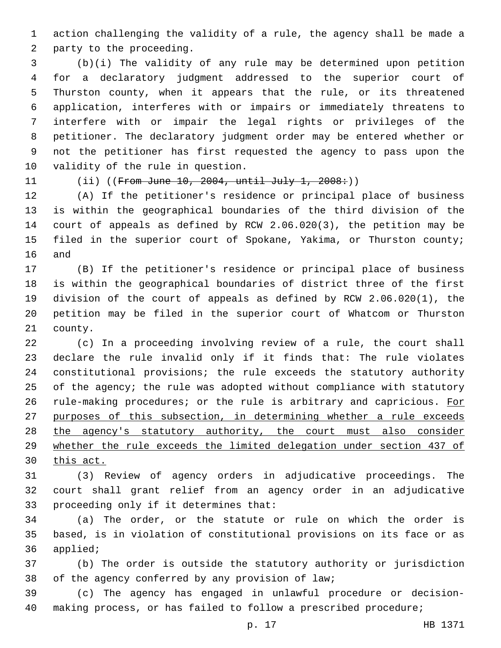action challenging the validity of a rule, the agency shall be made a 2 party to the proceeding.

 (b)(i) The validity of any rule may be determined upon petition for a declaratory judgment addressed to the superior court of Thurston county, when it appears that the rule, or its threatened application, interferes with or impairs or immediately threatens to interfere with or impair the legal rights or privileges of the petitioner. The declaratory judgment order may be entered whether or not the petitioner has first requested the agency to pass upon the 10 validity of the rule in question.

# 11 (ii) ((From June 10, 2004, until July 1, 2008:))

 (A) If the petitioner's residence or principal place of business is within the geographical boundaries of the third division of the court of appeals as defined by RCW 2.06.020(3), the petition may be filed in the superior court of Spokane, Yakima, or Thurston county; 16 and

 (B) If the petitioner's residence or principal place of business is within the geographical boundaries of district three of the first division of the court of appeals as defined by RCW 2.06.020(1), the petition may be filed in the superior court of Whatcom or Thurston 21 county.

 (c) In a proceeding involving review of a rule, the court shall declare the rule invalid only if it finds that: The rule violates constitutional provisions; the rule exceeds the statutory authority of the agency; the rule was adopted without compliance with statutory 26 rule-making procedures; or the rule is arbitrary and capricious. For purposes of this subsection, in determining whether a rule exceeds 28 the agency's statutory authority, the court must also consider whether the rule exceeds the limited delegation under section 437 of this act.

 (3) Review of agency orders in adjudicative proceedings. The court shall grant relief from an agency order in an adjudicative 33 proceeding only if it determines that:

 (a) The order, or the statute or rule on which the order is based, is in violation of constitutional provisions on its face or as 36 applied;

 (b) The order is outside the statutory authority or jurisdiction 38 of the agency conferred by any provision of law;

 (c) The agency has engaged in unlawful procedure or decision-making process, or has failed to follow a prescribed procedure;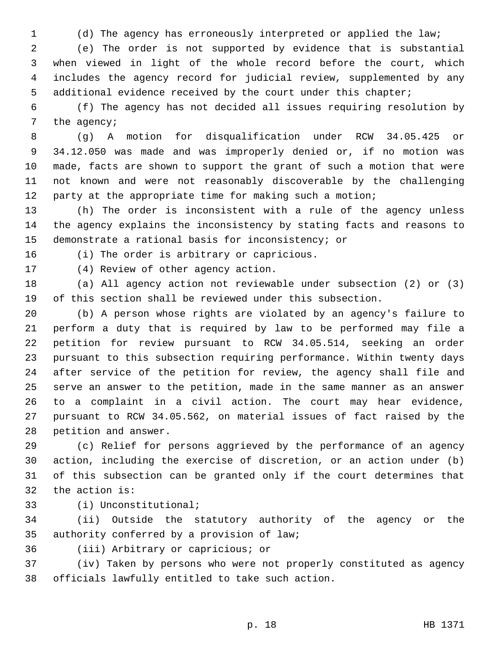(d) The agency has erroneously interpreted or applied the law;

 (e) The order is not supported by evidence that is substantial when viewed in light of the whole record before the court, which includes the agency record for judicial review, supplemented by any additional evidence received by the court under this chapter;

 (f) The agency has not decided all issues requiring resolution by 7 the agency;

 (g) A motion for disqualification under RCW 34.05.425 or 34.12.050 was made and was improperly denied or, if no motion was made, facts are shown to support the grant of such a motion that were not known and were not reasonably discoverable by the challenging party at the appropriate time for making such a motion;

 (h) The order is inconsistent with a rule of the agency unless the agency explains the inconsistency by stating facts and reasons to demonstrate a rational basis for inconsistency; or

16 (i) The order is arbitrary or capricious.

17 (4) Review of other agency action.

 (a) All agency action not reviewable under subsection (2) or (3) of this section shall be reviewed under this subsection.

 (b) A person whose rights are violated by an agency's failure to perform a duty that is required by law to be performed may file a petition for review pursuant to RCW 34.05.514, seeking an order pursuant to this subsection requiring performance. Within twenty days after service of the petition for review, the agency shall file and serve an answer to the petition, made in the same manner as an answer to a complaint in a civil action. The court may hear evidence, pursuant to RCW 34.05.562, on material issues of fact raised by the 28 petition and answer.

 (c) Relief for persons aggrieved by the performance of an agency action, including the exercise of discretion, or an action under (b) of this subsection can be granted only if the court determines that 32 the action is:

(i) Unconstitutional;33

 (ii) Outside the statutory authority of the agency or the 35 authority conferred by a provision of law;

36 (iii) Arbitrary or capricious; or

 (iv) Taken by persons who were not properly constituted as agency 38 officials lawfully entitled to take such action.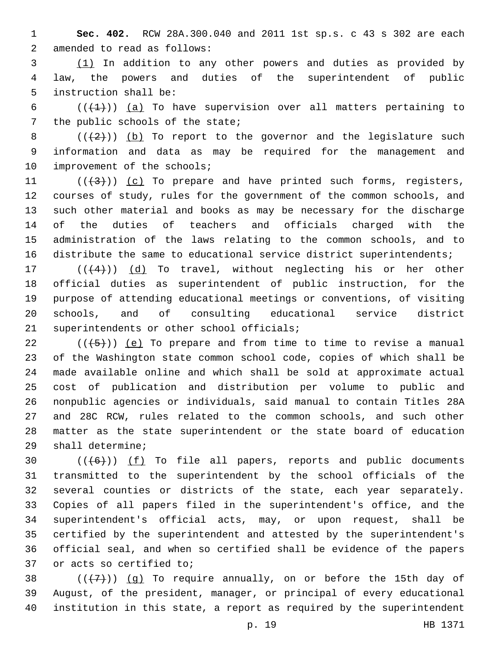**Sec. 402.** RCW 28A.300.040 and 2011 1st sp.s. c 43 s 302 are each 2 amended to read as follows:

 (1) In addition to any other powers and duties as provided by law, the powers and duties of the superintendent of public 5 instruction shall be:

6  $((+1))$  (a) To have supervision over all matters pertaining to 7 the public schools of the state;

8  $((+2))$  (b) To report to the governor and the legislature such information and data as may be required for the management and 10 improvement of the schools;

 $((+3+))$  (c) To prepare and have printed such forms, registers, courses of study, rules for the government of the common schools, and such other material and books as may be necessary for the discharge of the duties of teachers and officials charged with the administration of the laws relating to the common schools, and to distribute the same to educational service district superintendents;

 $((+4))$   $(d)$  To travel, without neglecting his or her other official duties as superintendent of public instruction, for the purpose of attending educational meetings or conventions, of visiting schools, and of consulting educational service district 21 superintendents or other school officials;

 $((+5+))$  (e) To prepare and from time to time to revise a manual of the Washington state common school code, copies of which shall be made available online and which shall be sold at approximate actual cost of publication and distribution per volume to public and nonpublic agencies or individuals, said manual to contain Titles 28A and 28C RCW, rules related to the common schools, and such other matter as the state superintendent or the state board of education 29 shall determine;

 $((+6))$   $(f)$  To file all papers, reports and public documents transmitted to the superintendent by the school officials of the several counties or districts of the state, each year separately. Copies of all papers filed in the superintendent's office, and the superintendent's official acts, may, or upon request, shall be certified by the superintendent and attested by the superintendent's official seal, and when so certified shall be evidence of the papers 37 or acts so certified to;

38  $((+7+))$  (g) To require annually, on or before the 15th day of August, of the president, manager, or principal of every educational institution in this state, a report as required by the superintendent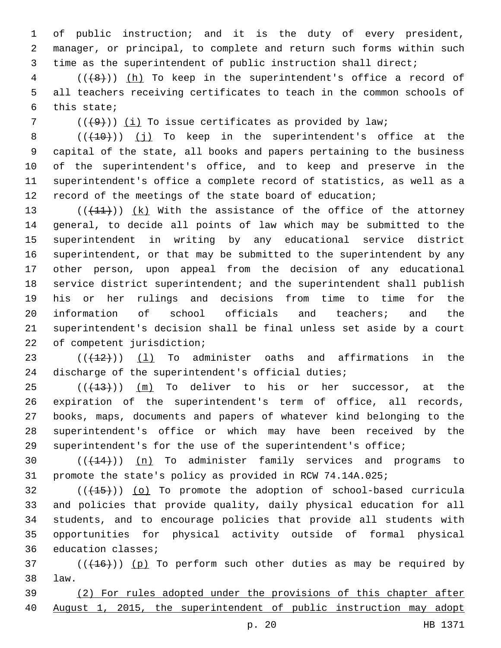of public instruction; and it is the duty of every president, manager, or principal, to complete and return such forms within such time as the superintendent of public instruction shall direct;

 (( $(48)$ )) (h) To keep in the superintendent's office a record of all teachers receiving certificates to teach in the common schools of this state;

7  $((+9))$  (i) To issue certificates as provided by law;

  $((+10))$   $(j)$  To keep in the superintendent's office at the capital of the state, all books and papers pertaining to the business of the superintendent's office, and to keep and preserve in the superintendent's office a complete record of statistics, as well as a record of the meetings of the state board of education;

 $((+11))$   $(k)$  With the assistance of the office of the attorney general, to decide all points of law which may be submitted to the superintendent in writing by any educational service district superintendent, or that may be submitted to the superintendent by any other person, upon appeal from the decision of any educational service district superintendent; and the superintendent shall publish his or her rulings and decisions from time to time for the information of school officials and teachers; and the superintendent's decision shall be final unless set aside by a court 22 of competent jurisdiction;

23  $((+12))$  (1) To administer oaths and affirmations in the discharge of the superintendent's official duties;

 (( $(13)$ )) (m) To deliver to his or her successor, at the expiration of the superintendent's term of office, all records, books, maps, documents and papers of whatever kind belonging to the superintendent's office or which may have been received by the superintendent's for the use of the superintendent's office;

30  $((+14))$   $(n)$  To administer family services and programs to promote the state's policy as provided in RCW 74.14A.025;

 (( $(15)$ )) (o) To promote the adoption of school-based curricula and policies that provide quality, daily physical education for all students, and to encourage policies that provide all students with opportunities for physical activity outside of formal physical 36 education classes;

 (( $(16)$ )) (p) To perform such other duties as may be required by law.38

 (2) For rules adopted under the provisions of this chapter after 40 August 1, 2015, the superintendent of public instruction may adopt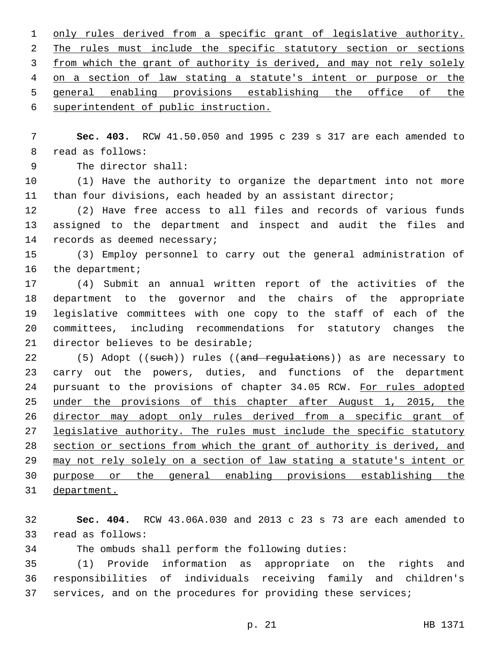only rules derived from a specific grant of legislative authority. 2 The rules must include the specific statutory section or sections 3 from which the grant of authority is derived, and may not rely solely on a section of law stating a statute's intent or purpose or the general enabling provisions establishing the office of the 6 superintendent of public instruction.

 **Sec. 403.** RCW 41.50.050 and 1995 c 239 s 317 are each amended to 8 read as follows:

9 The director shall:

 (1) Have the authority to organize the department into not more 11 than four divisions, each headed by an assistant director;

 (2) Have free access to all files and records of various funds assigned to the department and inspect and audit the files and 14 records as deemed necessary;

 (3) Employ personnel to carry out the general administration of 16 the department;

 (4) Submit an annual written report of the activities of the department to the governor and the chairs of the appropriate legislative committees with one copy to the staff of each of the committees, including recommendations for statutory changes the 21 director believes to be desirable;

22 (5) Adopt ((such)) rules ((and regulations)) as are necessary to carry out the powers, duties, and functions of the department 24 pursuant to the provisions of chapter 34.05 RCW. For rules adopted under the provisions of this chapter after August 1, 2015, the director may adopt only rules derived from a specific grant of 27 legislative authority. The rules must include the specific statutory section or sections from which the grant of authority is derived, and may not rely solely on a section of law stating a statute's intent or purpose or the general enabling provisions establishing the department.

 **Sec. 404.** RCW 43.06A.030 and 2013 c 23 s 73 are each amended to read as follows:33

The ombuds shall perform the following duties:

 (1) Provide information as appropriate on the rights and responsibilities of individuals receiving family and children's services, and on the procedures for providing these services;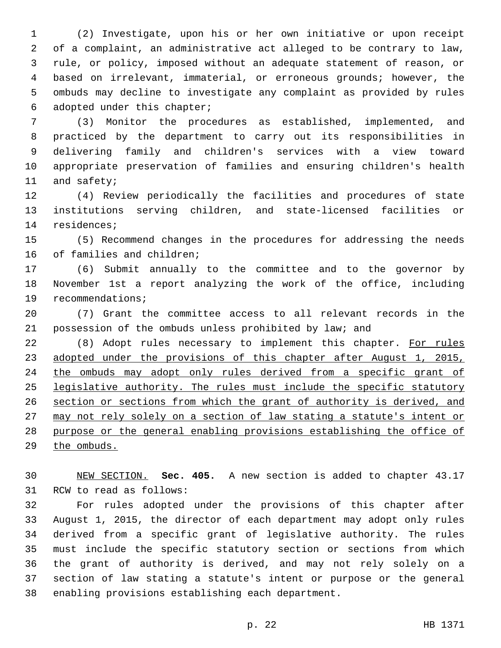(2) Investigate, upon his or her own initiative or upon receipt of a complaint, an administrative act alleged to be contrary to law, rule, or policy, imposed without an adequate statement of reason, or based on irrelevant, immaterial, or erroneous grounds; however, the ombuds may decline to investigate any complaint as provided by rules 6 adopted under this chapter;

 (3) Monitor the procedures as established, implemented, and practiced by the department to carry out its responsibilities in delivering family and children's services with a view toward appropriate preservation of families and ensuring children's health 11 and safety;

 (4) Review periodically the facilities and procedures of state institutions serving children, and state-licensed facilities or 14 residences;

 (5) Recommend changes in the procedures for addressing the needs 16 of families and children;

 (6) Submit annually to the committee and to the governor by November 1st a report analyzing the work of the office, including 19 recommendations;

 (7) Grant the committee access to all relevant records in the possession of the ombuds unless prohibited by law; and

 (8) Adopt rules necessary to implement this chapter. For rules 23 adopted under the provisions of this chapter after August 1, 2015, 24 the ombuds may adopt only rules derived from a specific grant of 25 legislative authority. The rules must include the specific statutory section or sections from which the grant of authority is derived, and may not rely solely on a section of law stating a statute's intent or purpose or the general enabling provisions establishing the office of the ombuds.

 NEW SECTION. **Sec. 405.** A new section is added to chapter 43.17 31 RCW to read as follows:

 For rules adopted under the provisions of this chapter after August 1, 2015, the director of each department may adopt only rules derived from a specific grant of legislative authority. The rules must include the specific statutory section or sections from which the grant of authority is derived, and may not rely solely on a section of law stating a statute's intent or purpose or the general 38 enabling provisions establishing each department.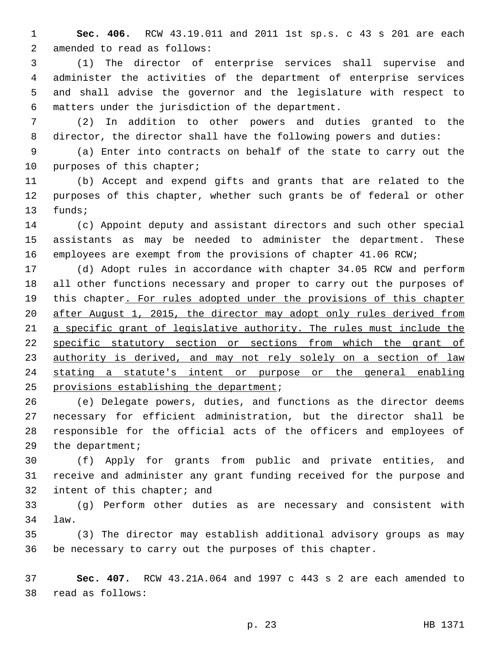**Sec. 406.** RCW 43.19.011 and 2011 1st sp.s. c 43 s 201 are each 2 amended to read as follows:

 (1) The director of enterprise services shall supervise and administer the activities of the department of enterprise services and shall advise the governor and the legislature with respect to 6 matters under the jurisdiction of the department.

 (2) In addition to other powers and duties granted to the director, the director shall have the following powers and duties:

 (a) Enter into contracts on behalf of the state to carry out the 10 purposes of this chapter;

 (b) Accept and expend gifts and grants that are related to the purposes of this chapter, whether such grants be of federal or other 13 funds;

 (c) Appoint deputy and assistant directors and such other special assistants as may be needed to administer the department. These 16 employees are exempt from the provisions of chapter 41.06 RCW;

 (d) Adopt rules in accordance with chapter 34.05 RCW and perform all other functions necessary and proper to carry out the purposes of this chapter. For rules adopted under the provisions of this chapter after August 1, 2015, the director may adopt only rules derived from a specific grant of legislative authority. The rules must include the 22 specific statutory section or sections from which the grant of 23 authority is derived, and may not rely solely on a section of law stating a statute's intent or purpose or the general enabling 25 provisions establishing the department;

 (e) Delegate powers, duties, and functions as the director deems necessary for efficient administration, but the director shall be responsible for the official acts of the officers and employees of 29 the department;

 (f) Apply for grants from public and private entities, and receive and administer any grant funding received for the purpose and 32 intent of this chapter; and

 (g) Perform other duties as are necessary and consistent with law.34

 (3) The director may establish additional advisory groups as may be necessary to carry out the purposes of this chapter.

 **Sec. 407.** RCW 43.21A.064 and 1997 c 443 s 2 are each amended to read as follows:38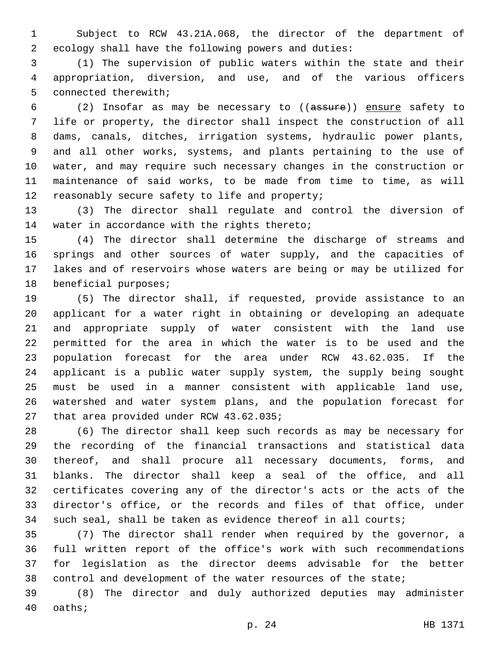Subject to RCW 43.21A.068, the director of the department of ecology shall have the following powers and duties:

 (1) The supervision of public waters within the state and their appropriation, diversion, and use, and of the various officers 5 connected therewith;

 (2) Insofar as may be necessary to ((assure)) ensure safety to life or property, the director shall inspect the construction of all dams, canals, ditches, irrigation systems, hydraulic power plants, and all other works, systems, and plants pertaining to the use of water, and may require such necessary changes in the construction or maintenance of said works, to be made from time to time, as will 12 reasonably secure safety to life and property;

 (3) The director shall regulate and control the diversion of 14 water in accordance with the rights thereto;

 (4) The director shall determine the discharge of streams and springs and other sources of water supply, and the capacities of lakes and of reservoirs whose waters are being or may be utilized for 18 beneficial purposes;

 (5) The director shall, if requested, provide assistance to an applicant for a water right in obtaining or developing an adequate and appropriate supply of water consistent with the land use permitted for the area in which the water is to be used and the population forecast for the area under RCW 43.62.035. If the applicant is a public water supply system, the supply being sought must be used in a manner consistent with applicable land use, watershed and water system plans, and the population forecast for 27 that area provided under RCW 43.62.035;

 (6) The director shall keep such records as may be necessary for the recording of the financial transactions and statistical data thereof, and shall procure all necessary documents, forms, and blanks. The director shall keep a seal of the office, and all certificates covering any of the director's acts or the acts of the director's office, or the records and files of that office, under such seal, shall be taken as evidence thereof in all courts;

 (7) The director shall render when required by the governor, a full written report of the office's work with such recommendations for legislation as the director deems advisable for the better control and development of the water resources of the state;

 (8) The director and duly authorized deputies may administer 40 oaths;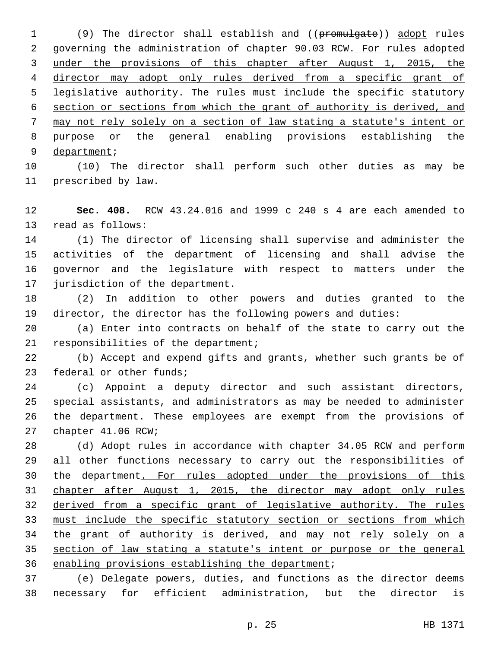(9) The director shall establish and ((promulgate)) adopt rules governing the administration of chapter 90.03 RCW. For rules adopted under the provisions of this chapter after August 1, 2015, the director may adopt only rules derived from a specific grant of legislative authority. The rules must include the specific statutory section or sections from which the grant of authority is derived, and may not rely solely on a section of law stating a statute's intent or purpose or the general enabling provisions establishing the 9 department;

 (10) The director shall perform such other duties as may be 11 prescribed by law.

 **Sec. 408.** RCW 43.24.016 and 1999 c 240 s 4 are each amended to 13 read as follows:

 (1) The director of licensing shall supervise and administer the activities of the department of licensing and shall advise the governor and the legislature with respect to matters under the 17 jurisdiction of the department.

 (2) In addition to other powers and duties granted to the director, the director has the following powers and duties:

 (a) Enter into contracts on behalf of the state to carry out the 21 responsibilities of the department;

 (b) Accept and expend gifts and grants, whether such grants be of 23 federal or other funds;

 (c) Appoint a deputy director and such assistant directors, special assistants, and administrators as may be needed to administer the department. These employees are exempt from the provisions of 27 chapter 41.06 RCW;

 (d) Adopt rules in accordance with chapter 34.05 RCW and perform all other functions necessary to carry out the responsibilities of the department. For rules adopted under the provisions of this chapter after August 1, 2015, the director may adopt only rules derived from a specific grant of legislative authority. The rules 33 must include the specific statutory section or sections from which the grant of authority is derived, and may not rely solely on a section of law stating a statute's intent or purpose or the general 36 enabling provisions establishing the department;

 (e) Delegate powers, duties, and functions as the director deems necessary for efficient administration, but the director is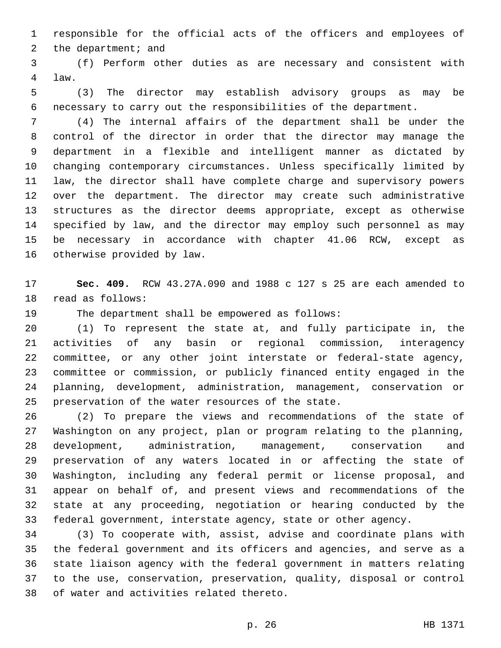responsible for the official acts of the officers and employees of 2 the department; and

 (f) Perform other duties as are necessary and consistent with law.4

 (3) The director may establish advisory groups as may be necessary to carry out the responsibilities of the department.

 (4) The internal affairs of the department shall be under the control of the director in order that the director may manage the department in a flexible and intelligent manner as dictated by changing contemporary circumstances. Unless specifically limited by law, the director shall have complete charge and supervisory powers over the department. The director may create such administrative structures as the director deems appropriate, except as otherwise specified by law, and the director may employ such personnel as may be necessary in accordance with chapter 41.06 RCW, except as 16 otherwise provided by law.

 **Sec. 409.** RCW 43.27A.090 and 1988 c 127 s 25 are each amended to 18 read as follows:

19 The department shall be empowered as follows:

 (1) To represent the state at, and fully participate in, the activities of any basin or regional commission, interagency committee, or any other joint interstate or federal-state agency, committee or commission, or publicly financed entity engaged in the planning, development, administration, management, conservation or 25 preservation of the water resources of the state.

 (2) To prepare the views and recommendations of the state of Washington on any project, plan or program relating to the planning, development, administration, management, conservation and preservation of any waters located in or affecting the state of Washington, including any federal permit or license proposal, and appear on behalf of, and present views and recommendations of the state at any proceeding, negotiation or hearing conducted by the federal government, interstate agency, state or other agency.

 (3) To cooperate with, assist, advise and coordinate plans with the federal government and its officers and agencies, and serve as a state liaison agency with the federal government in matters relating to the use, conservation, preservation, quality, disposal or control 38 of water and activities related thereto.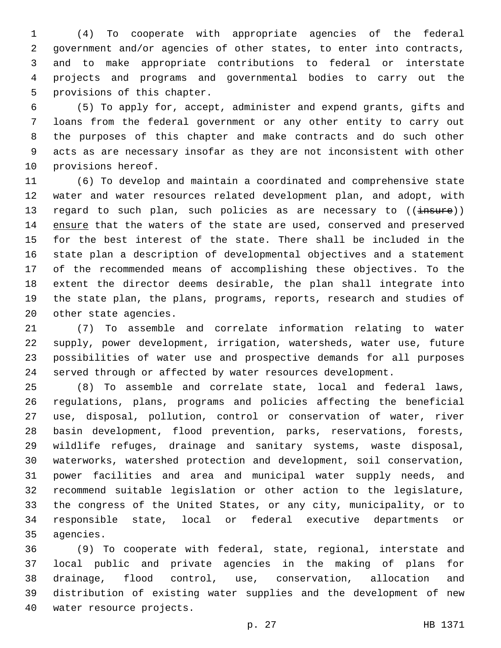(4) To cooperate with appropriate agencies of the federal government and/or agencies of other states, to enter into contracts, and to make appropriate contributions to federal or interstate projects and programs and governmental bodies to carry out the 5 provisions of this chapter.

 (5) To apply for, accept, administer and expend grants, gifts and loans from the federal government or any other entity to carry out the purposes of this chapter and make contracts and do such other acts as are necessary insofar as they are not inconsistent with other 10 provisions hereof.

 (6) To develop and maintain a coordinated and comprehensive state water and water resources related development plan, and adopt, with 13 regard to such plan, such policies as are necessary to ((insure)) 14 ensure that the waters of the state are used, conserved and preserved for the best interest of the state. There shall be included in the state plan a description of developmental objectives and a statement of the recommended means of accomplishing these objectives. To the extent the director deems desirable, the plan shall integrate into the state plan, the plans, programs, reports, research and studies of 20 other state agencies.

 (7) To assemble and correlate information relating to water supply, power development, irrigation, watersheds, water use, future possibilities of water use and prospective demands for all purposes served through or affected by water resources development.

 (8) To assemble and correlate state, local and federal laws, regulations, plans, programs and policies affecting the beneficial use, disposal, pollution, control or conservation of water, river basin development, flood prevention, parks, reservations, forests, wildlife refuges, drainage and sanitary systems, waste disposal, waterworks, watershed protection and development, soil conservation, power facilities and area and municipal water supply needs, and recommend suitable legislation or other action to the legislature, the congress of the United States, or any city, municipality, or to responsible state, local or federal executive departments or 35 agencies.

 (9) To cooperate with federal, state, regional, interstate and local public and private agencies in the making of plans for drainage, flood control, use, conservation, allocation and distribution of existing water supplies and the development of new 40 water resource projects.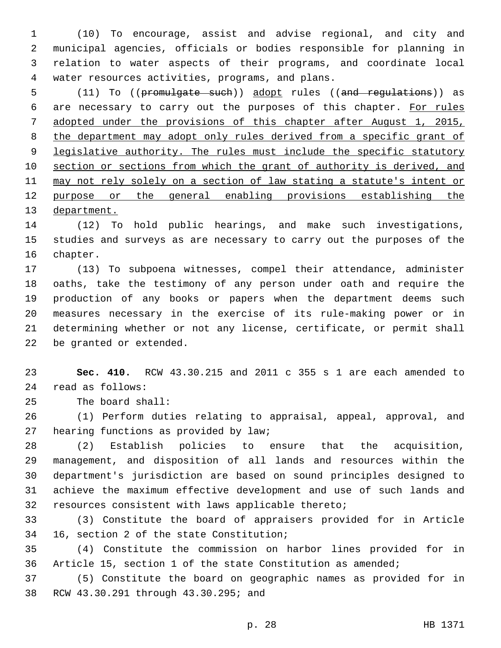(10) To encourage, assist and advise regional, and city and municipal agencies, officials or bodies responsible for planning in relation to water aspects of their programs, and coordinate local water resources activities, programs, and plans.4

5 (11) To ((promulgate such)) adopt rules ((and regulations)) as are necessary to carry out the purposes of this chapter. For rules adopted under the provisions of this chapter after August 1, 2015, the department may adopt only rules derived from a specific grant of 9 legislative authority. The rules must include the specific statutory section or sections from which the grant of authority is derived, and may not rely solely on a section of law stating a statute's intent or purpose or the general enabling provisions establishing the department.

 (12) To hold public hearings, and make such investigations, studies and surveys as are necessary to carry out the purposes of the 16 chapter.

 (13) To subpoena witnesses, compel their attendance, administer oaths, take the testimony of any person under oath and require the production of any books or papers when the department deems such measures necessary in the exercise of its rule-making power or in determining whether or not any license, certificate, or permit shall 22 be granted or extended.

 **Sec. 410.** RCW 43.30.215 and 2011 c 355 s 1 are each amended to read as follows:24

25 The board shall:

 (1) Perform duties relating to appraisal, appeal, approval, and 27 hearing functions as provided by law;

 (2) Establish policies to ensure that the acquisition, management, and disposition of all lands and resources within the department's jurisdiction are based on sound principles designed to achieve the maximum effective development and use of such lands and resources consistent with laws applicable thereto;

 (3) Constitute the board of appraisers provided for in Article 34 16, section 2 of the state Constitution;

 (4) Constitute the commission on harbor lines provided for in Article 15, section 1 of the state Constitution as amended;

 (5) Constitute the board on geographic names as provided for in 38 RCW 43.30.291 through 43.30.295; and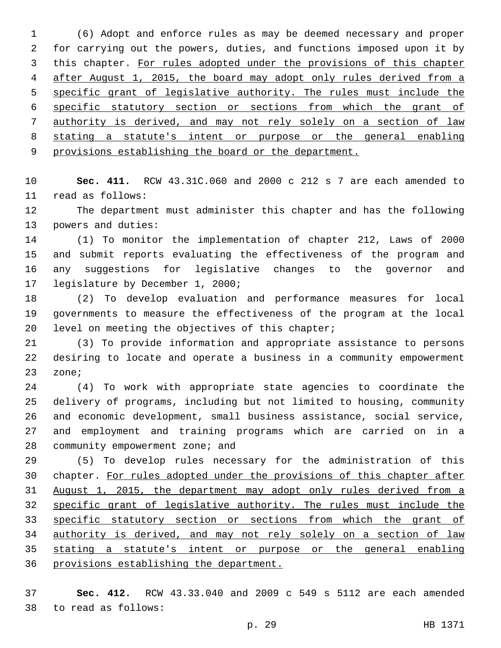(6) Adopt and enforce rules as may be deemed necessary and proper for carrying out the powers, duties, and functions imposed upon it by this chapter. For rules adopted under the provisions of this chapter after August 1, 2015, the board may adopt only rules derived from a specific grant of legislative authority. The rules must include the specific statutory section or sections from which the grant of authority is derived, and may not rely solely on a section of law stating a statute's intent or purpose or the general enabling provisions establishing the board or the department.

 **Sec. 411.** RCW 43.31C.060 and 2000 c 212 s 7 are each amended to 11 read as follows:

 The department must administer this chapter and has the following 13 powers and duties:

 (1) To monitor the implementation of chapter 212, Laws of 2000 and submit reports evaluating the effectiveness of the program and any suggestions for legislative changes to the governor and 17 legislature by December 1, 2000;

 (2) To develop evaluation and performance measures for local governments to measure the effectiveness of the program at the local 20 level on meeting the objectives of this chapter;

 (3) To provide information and appropriate assistance to persons desiring to locate and operate a business in a community empowerment 23 zone;

 (4) To work with appropriate state agencies to coordinate the delivery of programs, including but not limited to housing, community and economic development, small business assistance, social service, and employment and training programs which are carried on in a community empowerment zone; and

 (5) To develop rules necessary for the administration of this chapter. For rules adopted under the provisions of this chapter after August 1, 2015, the department may adopt only rules derived from a 32 specific grant of legislative authority. The rules must include the specific statutory section or sections from which the grant of 34 authority is derived, and may not rely solely on a section of law stating a statute's intent or purpose or the general enabling provisions establishing the department.

 **Sec. 412.** RCW 43.33.040 and 2009 c 549 s 5112 are each amended to read as follows:38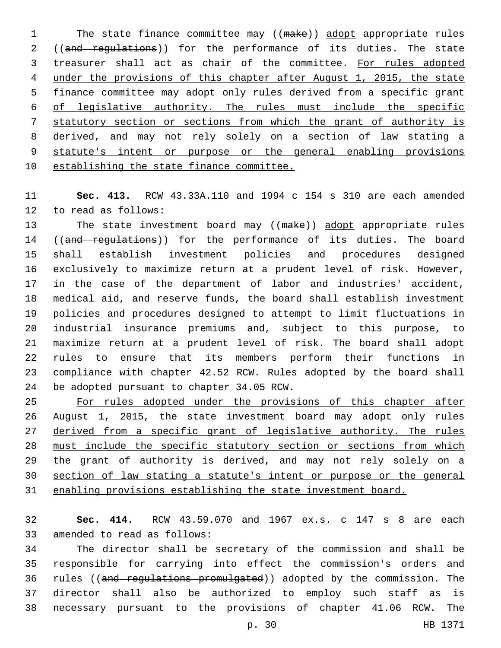1 The state finance committee may ((make)) adopt appropriate rules 2 ((and regulations)) for the performance of its duties. The state 3 treasurer shall act as chair of the committee. For rules adopted under the provisions of this chapter after August 1, 2015, the state finance committee may adopt only rules derived from a specific grant of legislative authority. The rules must include the specific statutory section or sections from which the grant of authority is derived, and may not rely solely on a section of law stating a statute's intent or purpose or the general enabling provisions establishing the state finance committee.

 **Sec. 413.** RCW 43.33A.110 and 1994 c 154 s 310 are each amended 12 to read as follows:

13 The state investment board may ((make)) adopt appropriate rules 14 ((and requiations)) for the performance of its duties. The board shall establish investment policies and procedures designed exclusively to maximize return at a prudent level of risk. However, in the case of the department of labor and industries' accident, medical aid, and reserve funds, the board shall establish investment policies and procedures designed to attempt to limit fluctuations in industrial insurance premiums and, subject to this purpose, to maximize return at a prudent level of risk. The board shall adopt rules to ensure that its members perform their functions in compliance with chapter 42.52 RCW. Rules adopted by the board shall 24 be adopted pursuant to chapter 34.05 RCW.

 For rules adopted under the provisions of this chapter after August 1, 2015, the state investment board may adopt only rules 27 derived from a specific grant of legislative authority. The rules must include the specific statutory section or sections from which 29 the grant of authority is derived, and may not rely solely on a section of law stating a statute's intent or purpose or the general enabling provisions establishing the state investment board.

 **Sec. 414.** RCW 43.59.070 and 1967 ex.s. c 147 s 8 are each 33 amended to read as follows:

 The director shall be secretary of the commission and shall be responsible for carrying into effect the commission's orders and rules ((and regulations promulgated)) adopted by the commission. The director shall also be authorized to employ such staff as is necessary pursuant to the provisions of chapter 41.06 RCW. The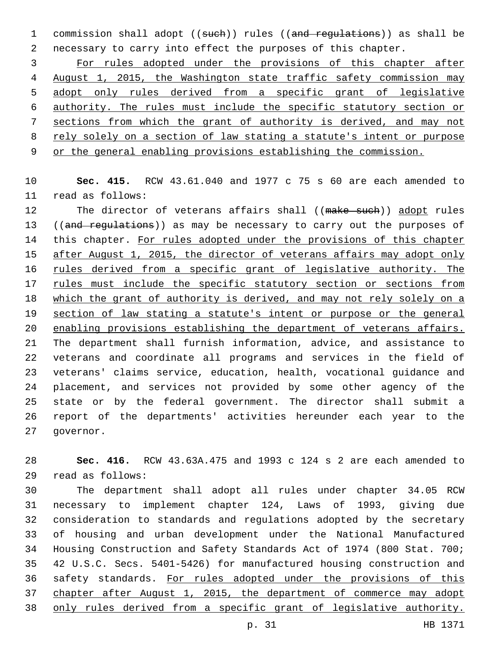1 commission shall adopt ((such)) rules ((and regulations)) as shall be necessary to carry into effect the purposes of this chapter.

 For rules adopted under the provisions of this chapter after August 1, 2015, the Washington state traffic safety commission may adopt only rules derived from a specific grant of legislative authority. The rules must include the specific statutory section or sections from which the grant of authority is derived, and may not rely solely on a section of law stating a statute's intent or purpose or the general enabling provisions establishing the commission.

 **Sec. 415.** RCW 43.61.040 and 1977 c 75 s 60 are each amended to 11 read as follows:

12 The director of veterans affairs shall ((make such)) adopt rules 13 ((and regulations)) as may be necessary to carry out the purposes of this chapter. For rules adopted under the provisions of this chapter 15 after August 1, 2015, the director of veterans affairs may adopt only rules derived from a specific grant of legislative authority. The rules must include the specific statutory section or sections from which the grant of authority is derived, and may not rely solely on a section of law stating a statute's intent or purpose or the general enabling provisions establishing the department of veterans affairs. The department shall furnish information, advice, and assistance to veterans and coordinate all programs and services in the field of veterans' claims service, education, health, vocational guidance and placement, and services not provided by some other agency of the state or by the federal government. The director shall submit a report of the departments' activities hereunder each year to the 27 governor.

 **Sec. 416.** RCW 43.63A.475 and 1993 c 124 s 2 are each amended to read as follows:29

 The department shall adopt all rules under chapter 34.05 RCW necessary to implement chapter 124, Laws of 1993, giving due consideration to standards and regulations adopted by the secretary of housing and urban development under the National Manufactured Housing Construction and Safety Standards Act of 1974 (800 Stat. 700; 42 U.S.C. Secs. 5401-5426) for manufactured housing construction and safety standards. For rules adopted under the provisions of this chapter after August 1, 2015, the department of commerce may adopt only rules derived from a specific grant of legislative authority.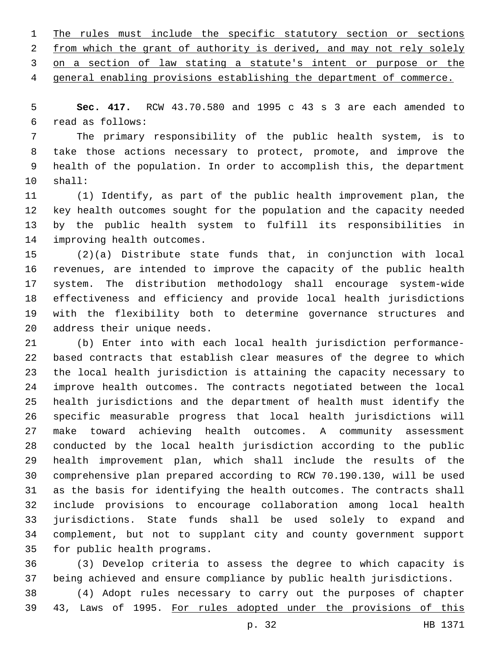The rules must include the specific statutory section or sections from which the grant of authority is derived, and may not rely solely on a section of law stating a statute's intent or purpose or the general enabling provisions establishing the department of commerce.

 **Sec. 417.** RCW 43.70.580 and 1995 c 43 s 3 are each amended to read as follows:6

 The primary responsibility of the public health system, is to take those actions necessary to protect, promote, and improve the health of the population. In order to accomplish this, the department 10 shall:

 (1) Identify, as part of the public health improvement plan, the key health outcomes sought for the population and the capacity needed by the public health system to fulfill its responsibilities in 14 improving health outcomes.

 (2)(a) Distribute state funds that, in conjunction with local revenues, are intended to improve the capacity of the public health system. The distribution methodology shall encourage system-wide effectiveness and efficiency and provide local health jurisdictions with the flexibility both to determine governance structures and 20 address their unique needs.

 (b) Enter into with each local health jurisdiction performance- based contracts that establish clear measures of the degree to which the local health jurisdiction is attaining the capacity necessary to improve health outcomes. The contracts negotiated between the local health jurisdictions and the department of health must identify the specific measurable progress that local health jurisdictions will make toward achieving health outcomes. A community assessment conducted by the local health jurisdiction according to the public health improvement plan, which shall include the results of the comprehensive plan prepared according to RCW 70.190.130, will be used as the basis for identifying the health outcomes. The contracts shall include provisions to encourage collaboration among local health jurisdictions. State funds shall be used solely to expand and complement, but not to supplant city and county government support 35 for public health programs.

 (3) Develop criteria to assess the degree to which capacity is being achieved and ensure compliance by public health jurisdictions.

 (4) Adopt rules necessary to carry out the purposes of chapter 43, Laws of 1995. For rules adopted under the provisions of this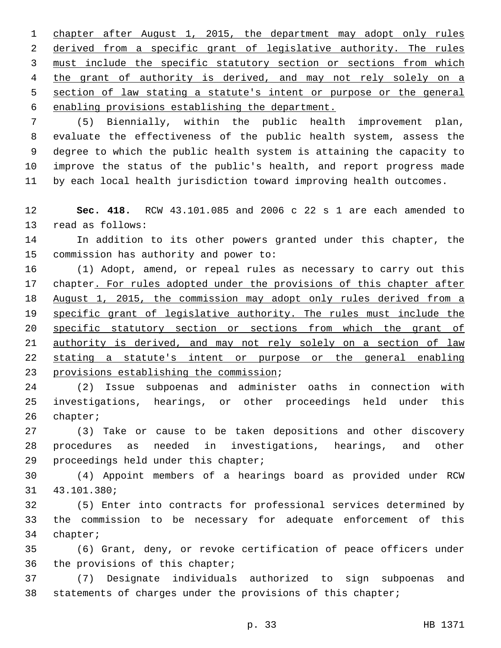chapter after August 1, 2015, the department may adopt only rules derived from a specific grant of legislative authority. The rules must include the specific statutory section or sections from which the grant of authority is derived, and may not rely solely on a section of law stating a statute's intent or purpose or the general 6 enabling provisions establishing the department.

 (5) Biennially, within the public health improvement plan, evaluate the effectiveness of the public health system, assess the degree to which the public health system is attaining the capacity to improve the status of the public's health, and report progress made by each local health jurisdiction toward improving health outcomes.

 **Sec. 418.** RCW 43.101.085 and 2006 c 22 s 1 are each amended to 13 read as follows:

 In addition to its other powers granted under this chapter, the 15 commission has authority and power to:

 (1) Adopt, amend, or repeal rules as necessary to carry out this chapter. For rules adopted under the provisions of this chapter after August 1, 2015, the commission may adopt only rules derived from a 19 specific grant of legislative authority. The rules must include the 20 specific statutory section or sections from which the grant of 21 authority is derived, and may not rely solely on a section of law stating a statute's intent or purpose or the general enabling 23 provisions establishing the commission;

 (2) Issue subpoenas and administer oaths in connection with investigations, hearings, or other proceedings held under this 26 chapter;

 (3) Take or cause to be taken depositions and other discovery procedures as needed in investigations, hearings, and other 29 proceedings held under this chapter;

 (4) Appoint members of a hearings board as provided under RCW 43.101.380;31

 (5) Enter into contracts for professional services determined by the commission to be necessary for adequate enforcement of this 34 chapter;

 (6) Grant, deny, or revoke certification of peace officers under 36 the provisions of this chapter;

 (7) Designate individuals authorized to sign subpoenas and statements of charges under the provisions of this chapter;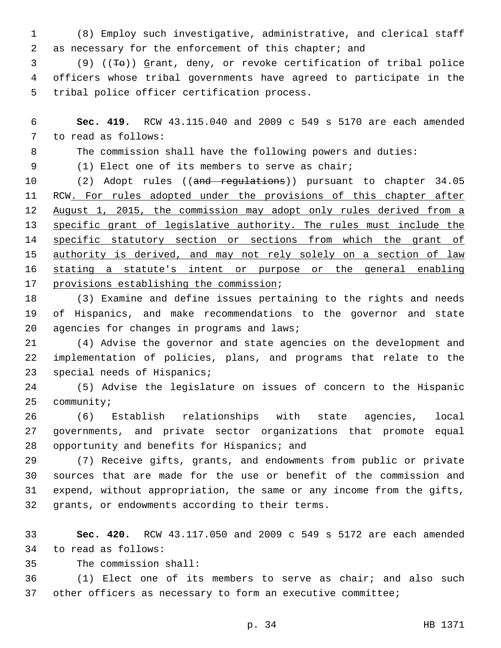1 (8) Employ such investigative, administrative, and clerical staff 2 as necessary for the enforcement of this chapter; and

3 (9) ((To)) Grant, deny, or revoke certification of tribal police 4 officers whose tribal governments have agreed to participate in the 5 tribal police officer certification process.

6 **Sec. 419.** RCW 43.115.040 and 2009 c 549 s 5170 are each amended 7 to read as follows:

8 The commission shall have the following powers and duties:

9 (1) Elect one of its members to serve as chair;

10 (2) Adopt rules ((and requiations)) pursuant to chapter 34.05 11 RCW. For rules adopted under the provisions of this chapter after 12 August 1, 2015, the commission may adopt only rules derived from a 13 specific grant of legislative authority. The rules must include the 14 specific statutory section or sections from which the grant of 15 authority is derived, and may not rely solely on a section of law 16 stating a statute's intent or purpose or the general enabling 17 provisions establishing the commission;

18 (3) Examine and define issues pertaining to the rights and needs 19 of Hispanics, and make recommendations to the governor and state 20 agencies for changes in programs and laws;

21 (4) Advise the governor and state agencies on the development and 22 implementation of policies, plans, and programs that relate to the 23 special needs of Hispanics;

24 (5) Advise the legislature on issues of concern to the Hispanic 25 community;

26 (6) Establish relationships with state agencies, local 27 governments, and private sector organizations that promote equal 28 opportunity and benefits for Hispanics; and

 (7) Receive gifts, grants, and endowments from public or private sources that are made for the use or benefit of the commission and expend, without appropriation, the same or any income from the gifts, 32 grants, or endowments according to their terms.

33 **Sec. 420.** RCW 43.117.050 and 2009 c 549 s 5172 are each amended 34 to read as follows:

35 The commission shall:

36 (1) Elect one of its members to serve as chair; and also such 37 other officers as necessary to form an executive committee;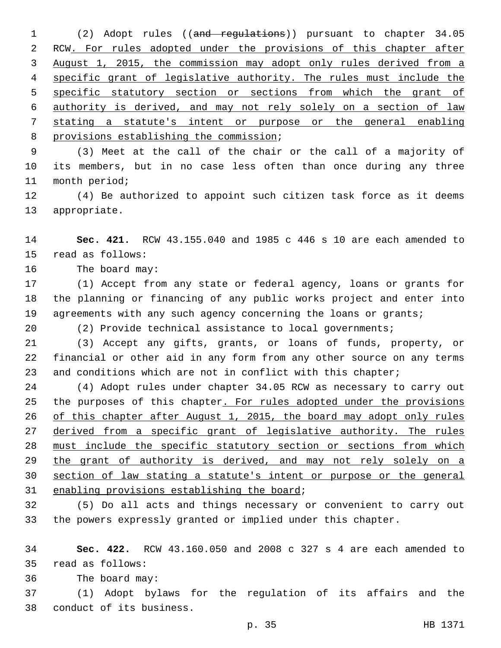(2) Adopt rules ((and regulations)) pursuant to chapter 34.05 RCW. For rules adopted under the provisions of this chapter after August 1, 2015, the commission may adopt only rules derived from a specific grant of legislative authority. The rules must include the specific statutory section or sections from which the grant of authority is derived, and may not rely solely on a section of law stating a statute's intent or purpose or the general enabling 8 provisions establishing the commission;

 (3) Meet at the call of the chair or the call of a majority of its members, but in no case less often than once during any three 11 month period;

 (4) Be authorized to appoint such citizen task force as it deems 13 appropriate.

 **Sec. 421.** RCW 43.155.040 and 1985 c 446 s 10 are each amended to 15 read as follows:

16 The board may:

 (1) Accept from any state or federal agency, loans or grants for the planning or financing of any public works project and enter into 19 agreements with any such agency concerning the loans or grants;

(2) Provide technical assistance to local governments;

 (3) Accept any gifts, grants, or loans of funds, property, or financial or other aid in any form from any other source on any terms 23 and conditions which are not in conflict with this chapter;

 (4) Adopt rules under chapter 34.05 RCW as necessary to carry out 25 the purposes of this chapter. For rules adopted under the provisions of this chapter after August 1, 2015, the board may adopt only rules 27 derived from a specific grant of legislative authority. The rules must include the specific statutory section or sections from which 29 the grant of authority is derived, and may not rely solely on a section of law stating a statute's intent or purpose or the general 31 enabling provisions establishing the board;

 (5) Do all acts and things necessary or convenient to carry out the powers expressly granted or implied under this chapter.

 **Sec. 422.** RCW 43.160.050 and 2008 c 327 s 4 are each amended to read as follows:35

36 The board may:

 (1) Adopt bylaws for the regulation of its affairs and the 38 conduct of its business.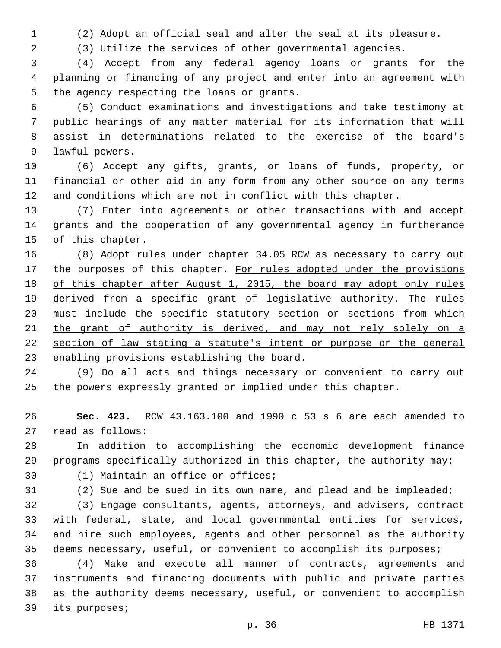(2) Adopt an official seal and alter the seal at its pleasure.

(3) Utilize the services of other governmental agencies.

 (4) Accept from any federal agency loans or grants for the planning or financing of any project and enter into an agreement with 5 the agency respecting the loans or grants.

 (5) Conduct examinations and investigations and take testimony at public hearings of any matter material for its information that will assist in determinations related to the exercise of the board's 9 lawful powers.

 (6) Accept any gifts, grants, or loans of funds, property, or financial or other aid in any form from any other source on any terms and conditions which are not in conflict with this chapter.

 (7) Enter into agreements or other transactions with and accept grants and the cooperation of any governmental agency in furtherance 15 of this chapter.

 (8) Adopt rules under chapter 34.05 RCW as necessary to carry out 17 the purposes of this chapter. For rules adopted under the provisions of this chapter after August 1, 2015, the board may adopt only rules 19 derived from a specific grant of legislative authority. The rules must include the specific statutory section or sections from which 21 the grant of authority is derived, and may not rely solely on a section of law stating a statute's intent or purpose or the general enabling provisions establishing the board.

 (9) Do all acts and things necessary or convenient to carry out the powers expressly granted or implied under this chapter.

 **Sec. 423.** RCW 43.163.100 and 1990 c 53 s 6 are each amended to 27 read as follows:

 In addition to accomplishing the economic development finance programs specifically authorized in this chapter, the authority may:

30 (1) Maintain an office or offices;

(2) Sue and be sued in its own name, and plead and be impleaded;

 (3) Engage consultants, agents, attorneys, and advisers, contract with federal, state, and local governmental entities for services, and hire such employees, agents and other personnel as the authority deems necessary, useful, or convenient to accomplish its purposes;

 (4) Make and execute all manner of contracts, agreements and instruments and financing documents with public and private parties as the authority deems necessary, useful, or convenient to accomplish 39 its purposes;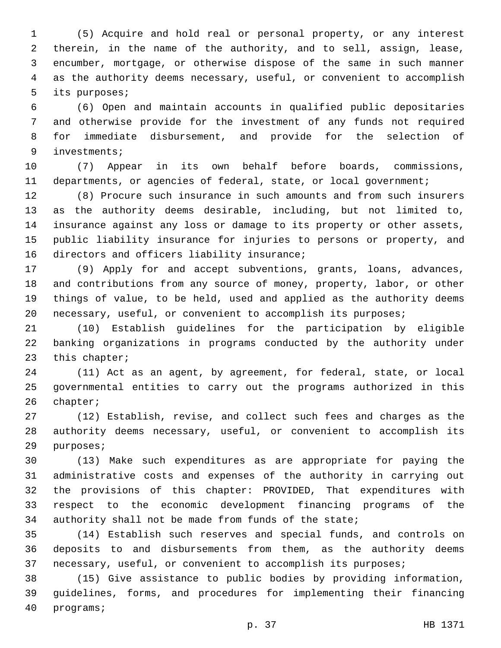(5) Acquire and hold real or personal property, or any interest therein, in the name of the authority, and to sell, assign, lease, encumber, mortgage, or otherwise dispose of the same in such manner as the authority deems necessary, useful, or convenient to accomplish 5 its purposes;

 (6) Open and maintain accounts in qualified public depositaries and otherwise provide for the investment of any funds not required for immediate disbursement, and provide for the selection of 9 investments;

 (7) Appear in its own behalf before boards, commissions, departments, or agencies of federal, state, or local government;

 (8) Procure such insurance in such amounts and from such insurers as the authority deems desirable, including, but not limited to, insurance against any loss or damage to its property or other assets, public liability insurance for injuries to persons or property, and 16 directors and officers liability insurance;

 (9) Apply for and accept subventions, grants, loans, advances, and contributions from any source of money, property, labor, or other things of value, to be held, used and applied as the authority deems necessary, useful, or convenient to accomplish its purposes;

 (10) Establish guidelines for the participation by eligible banking organizations in programs conducted by the authority under 23 this chapter;

 (11) Act as an agent, by agreement, for federal, state, or local governmental entities to carry out the programs authorized in this 26 chapter;

 (12) Establish, revise, and collect such fees and charges as the authority deems necessary, useful, or convenient to accomplish its 29 purposes;

 (13) Make such expenditures as are appropriate for paying the administrative costs and expenses of the authority in carrying out the provisions of this chapter: PROVIDED, That expenditures with respect to the economic development financing programs of the authority shall not be made from funds of the state;

 (14) Establish such reserves and special funds, and controls on deposits to and disbursements from them, as the authority deems necessary, useful, or convenient to accomplish its purposes;

 (15) Give assistance to public bodies by providing information, guidelines, forms, and procedures for implementing their financing 40 programs;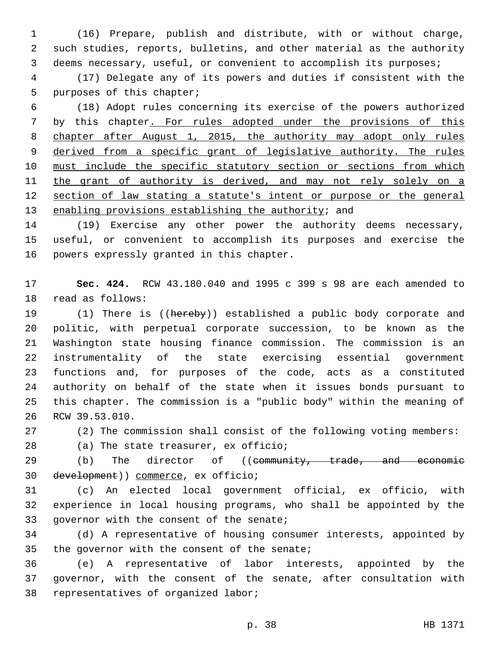(16) Prepare, publish and distribute, with or without charge, such studies, reports, bulletins, and other material as the authority deems necessary, useful, or convenient to accomplish its purposes;

 (17) Delegate any of its powers and duties if consistent with the 5 purposes of this chapter;

 (18) Adopt rules concerning its exercise of the powers authorized by this chapter. For rules adopted under the provisions of this chapter after August 1, 2015, the authority may adopt only rules derived from a specific grant of legislative authority. The rules 10 must include the specific statutory section or sections from which 11 the grant of authority is derived, and may not rely solely on a section of law stating a statute's intent or purpose or the general 13 enabling provisions establishing the authority; and

 (19) Exercise any other power the authority deems necessary, useful, or convenient to accomplish its purposes and exercise the 16 powers expressly granted in this chapter.

 **Sec. 424.** RCW 43.180.040 and 1995 c 399 s 98 are each amended to 18 read as follows:

19 (1) There is ((hereby)) established a public body corporate and politic, with perpetual corporate succession, to be known as the Washington state housing finance commission. The commission is an instrumentality of the state exercising essential government functions and, for purposes of the code, acts as a constituted authority on behalf of the state when it issues bonds pursuant to this chapter. The commission is a "public body" within the meaning of 26 RCW 39.53.010.

(2) The commission shall consist of the following voting members:

28 (a) The state treasurer, ex officio;

29 (b) The director of ((community, trade, and economic 30 development)) commerce, ex officio;

 (c) An elected local government official, ex officio, with experience in local housing programs, who shall be appointed by the 33 governor with the consent of the senate;

 (d) A representative of housing consumer interests, appointed by 35 the governor with the consent of the senate;

 (e) A representative of labor interests, appointed by the governor, with the consent of the senate, after consultation with 38 representatives of organized labor;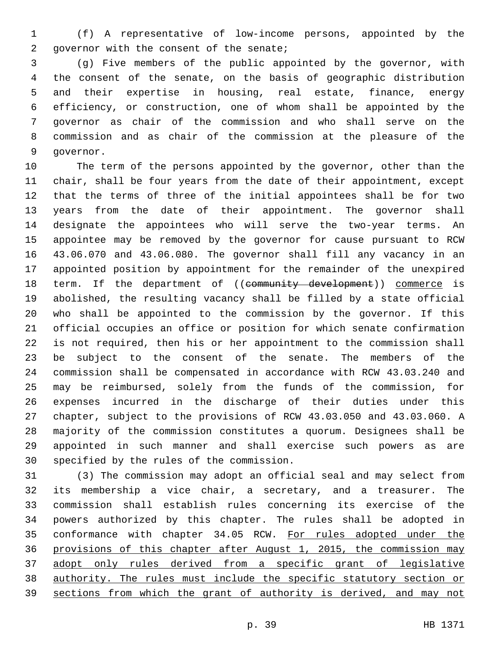(f) A representative of low-income persons, appointed by the 2 governor with the consent of the senate;

 (g) Five members of the public appointed by the governor, with the consent of the senate, on the basis of geographic distribution and their expertise in housing, real estate, finance, energy efficiency, or construction, one of whom shall be appointed by the governor as chair of the commission and who shall serve on the commission and as chair of the commission at the pleasure of the 9 qovernor.

 The term of the persons appointed by the governor, other than the chair, shall be four years from the date of their appointment, except that the terms of three of the initial appointees shall be for two years from the date of their appointment. The governor shall designate the appointees who will serve the two-year terms. An appointee may be removed by the governor for cause pursuant to RCW 43.06.070 and 43.06.080. The governor shall fill any vacancy in an appointed position by appointment for the remainder of the unexpired 18 term. If the department of ((community development)) commerce is abolished, the resulting vacancy shall be filled by a state official who shall be appointed to the commission by the governor. If this official occupies an office or position for which senate confirmation is not required, then his or her appointment to the commission shall be subject to the consent of the senate. The members of the commission shall be compensated in accordance with RCW 43.03.240 and may be reimbursed, solely from the funds of the commission, for expenses incurred in the discharge of their duties under this chapter, subject to the provisions of RCW 43.03.050 and 43.03.060. A majority of the commission constitutes a quorum. Designees shall be appointed in such manner and shall exercise such powers as are 30 specified by the rules of the commission.

 (3) The commission may adopt an official seal and may select from its membership a vice chair, a secretary, and a treasurer. The commission shall establish rules concerning its exercise of the powers authorized by this chapter. The rules shall be adopted in conformance with chapter 34.05 RCW. For rules adopted under the provisions of this chapter after August 1, 2015, the commission may adopt only rules derived from a specific grant of legislative authority. The rules must include the specific statutory section or sections from which the grant of authority is derived, and may not

p. 39 HB 1371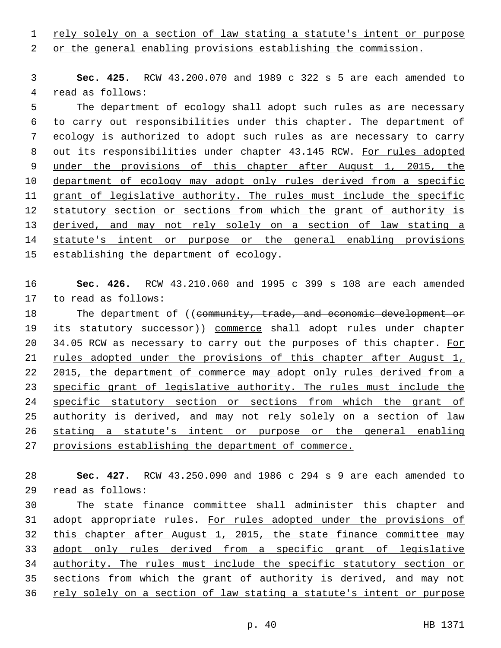rely solely on a section of law stating a statute's intent or purpose

or the general enabling provisions establishing the commission.

 **Sec. 425.** RCW 43.200.070 and 1989 c 322 s 5 are each amended to 4 read as follows:

 The department of ecology shall adopt such rules as are necessary to carry out responsibilities under this chapter. The department of ecology is authorized to adopt such rules as are necessary to carry 8 out its responsibilities under chapter 43.145 RCW. For rules adopted under the provisions of this chapter after August 1, 2015, the department of ecology may adopt only rules derived from a specific grant of legislative authority. The rules must include the specific 12 statutory section or sections from which the grant of authority is derived, and may not rely solely on a section of law stating a statute's intent or purpose or the general enabling provisions 15 establishing the department of ecology.

 **Sec. 426.** RCW 43.210.060 and 1995 c 399 s 108 are each amended 17 to read as follows:

18 The department of ((community, trade, and economic development or 19 its statutory successor)) commerce shall adopt rules under chapter 34.05 RCW as necessary to carry out the purposes of this chapter. For 21 rules adopted under the provisions of this chapter after August 1, 22 2015, the department of commerce may adopt only rules derived from a specific grant of legislative authority. The rules must include the 24 specific statutory section or sections from which the grant of authority is derived, and may not rely solely on a section of law stating a statute's intent or purpose or the general enabling provisions establishing the department of commerce.

 **Sec. 427.** RCW 43.250.090 and 1986 c 294 s 9 are each amended to read as follows:29

 The state finance committee shall administer this chapter and adopt appropriate rules. For rules adopted under the provisions of this chapter after August 1, 2015, the state finance committee may adopt only rules derived from a specific grant of legislative authority. The rules must include the specific statutory section or sections from which the grant of authority is derived, and may not rely solely on a section of law stating a statute's intent or purpose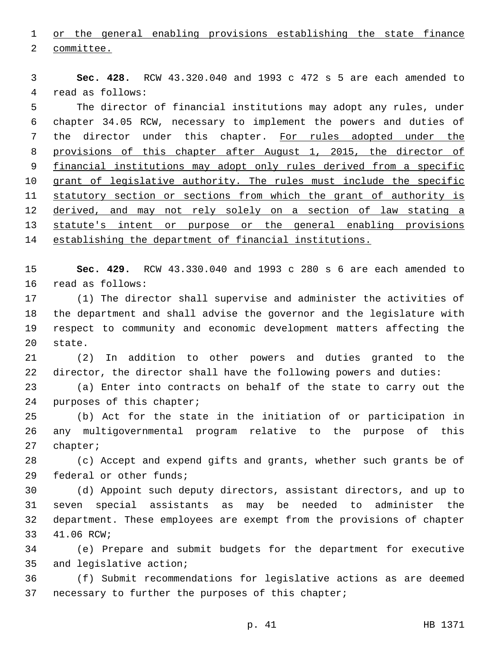1 or the general enabling provisions establishing the state finance 2 committee.

3 **Sec. 428.** RCW 43.320.040 and 1993 c 472 s 5 are each amended to 4 read as follows:

5 The director of financial institutions may adopt any rules, under 6 chapter 34.05 RCW, necessary to implement the powers and duties of 7 the director under this chapter. For rules adopted under the 8 provisions of this chapter after August 1, 2015, the director of 9 financial institutions may adopt only rules derived from a specific 10 grant of legislative authority. The rules must include the specific 11 statutory section or sections from which the grant of authority is 12 derived, and may not rely solely on a section of law stating a 13 statute's intent or purpose or the general enabling provisions 14 establishing the department of financial institutions.

15 **Sec. 429.** RCW 43.330.040 and 1993 c 280 s 6 are each amended to 16 read as follows:

 (1) The director shall supervise and administer the activities of the department and shall advise the governor and the legislature with respect to community and economic development matters affecting the 20 state.

21 (2) In addition to other powers and duties granted to the 22 director, the director shall have the following powers and duties:

23 (a) Enter into contracts on behalf of the state to carry out the 24 purposes of this chapter;

25 (b) Act for the state in the initiation of or participation in 26 any multigovernmental program relative to the purpose of this 27 chapter;

28 (c) Accept and expend gifts and grants, whether such grants be of 29 federal or other funds;

 (d) Appoint such deputy directors, assistant directors, and up to seven special assistants as may be needed to administer the department. These employees are exempt from the provisions of chapter 33 41.06 RCW;

34 (e) Prepare and submit budgets for the department for executive 35 and legislative action;

36 (f) Submit recommendations for legislative actions as are deemed 37 necessary to further the purposes of this chapter;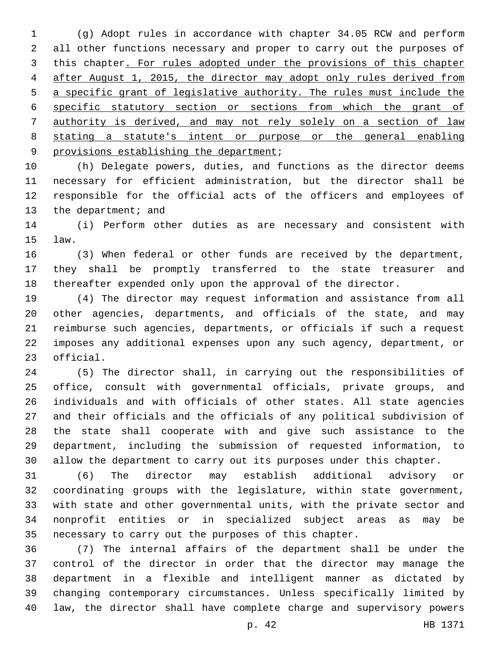(g) Adopt rules in accordance with chapter 34.05 RCW and perform all other functions necessary and proper to carry out the purposes of this chapter. For rules adopted under the provisions of this chapter after August 1, 2015, the director may adopt only rules derived from a specific grant of legislative authority. The rules must include the specific statutory section or sections from which the grant of authority is derived, and may not rely solely on a section of law stating a statute's intent or purpose or the general enabling 9 provisions establishing the department;

 (h) Delegate powers, duties, and functions as the director deems necessary for efficient administration, but the director shall be responsible for the official acts of the officers and employees of 13 the department; and

 (i) Perform other duties as are necessary and consistent with law.15

 (3) When federal or other funds are received by the department, they shall be promptly transferred to the state treasurer and thereafter expended only upon the approval of the director.

 (4) The director may request information and assistance from all other agencies, departments, and officials of the state, and may reimburse such agencies, departments, or officials if such a request imposes any additional expenses upon any such agency, department, or 23 official.

 (5) The director shall, in carrying out the responsibilities of office, consult with governmental officials, private groups, and individuals and with officials of other states. All state agencies and their officials and the officials of any political subdivision of the state shall cooperate with and give such assistance to the department, including the submission of requested information, to allow the department to carry out its purposes under this chapter.

 (6) The director may establish additional advisory or coordinating groups with the legislature, within state government, with state and other governmental units, with the private sector and nonprofit entities or in specialized subject areas as may be necessary to carry out the purposes of this chapter.

 (7) The internal affairs of the department shall be under the control of the director in order that the director may manage the department in a flexible and intelligent manner as dictated by changing contemporary circumstances. Unless specifically limited by law, the director shall have complete charge and supervisory powers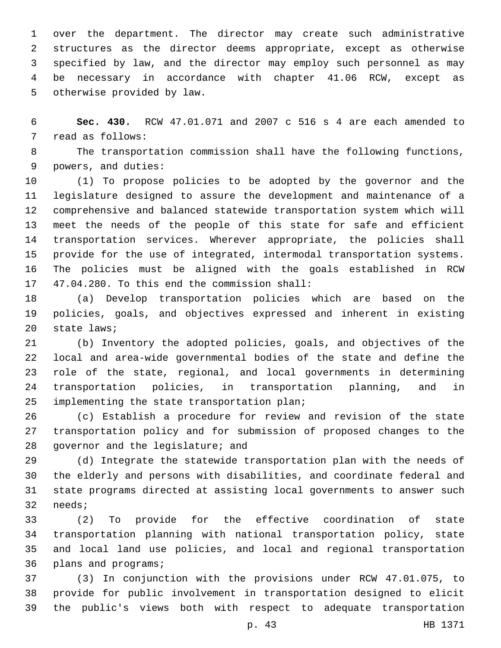over the department. The director may create such administrative structures as the director deems appropriate, except as otherwise specified by law, and the director may employ such personnel as may be necessary in accordance with chapter 41.06 RCW, except as 5 otherwise provided by law.

 **Sec. 430.** RCW 47.01.071 and 2007 c 516 s 4 are each amended to 7 read as follows:

 The transportation commission shall have the following functions, 9 powers, and duties:

 (1) To propose policies to be adopted by the governor and the legislature designed to assure the development and maintenance of a comprehensive and balanced statewide transportation system which will meet the needs of the people of this state for safe and efficient transportation services. Wherever appropriate, the policies shall provide for the use of integrated, intermodal transportation systems. The policies must be aligned with the goals established in RCW 17 47.04.280. To this end the commission shall:

 (a) Develop transportation policies which are based on the policies, goals, and objectives expressed and inherent in existing 20 state laws;

 (b) Inventory the adopted policies, goals, and objectives of the local and area-wide governmental bodies of the state and define the role of the state, regional, and local governments in determining transportation policies, in transportation planning, and in 25 implementing the state transportation plan;

 (c) Establish a procedure for review and revision of the state transportation policy and for submission of proposed changes to the 28 governor and the legislature; and

 (d) Integrate the statewide transportation plan with the needs of the elderly and persons with disabilities, and coordinate federal and state programs directed at assisting local governments to answer such 32 needs;

 (2) To provide for the effective coordination of state transportation planning with national transportation policy, state and local land use policies, and local and regional transportation 36 plans and programs;

 (3) In conjunction with the provisions under RCW 47.01.075, to provide for public involvement in transportation designed to elicit the public's views both with respect to adequate transportation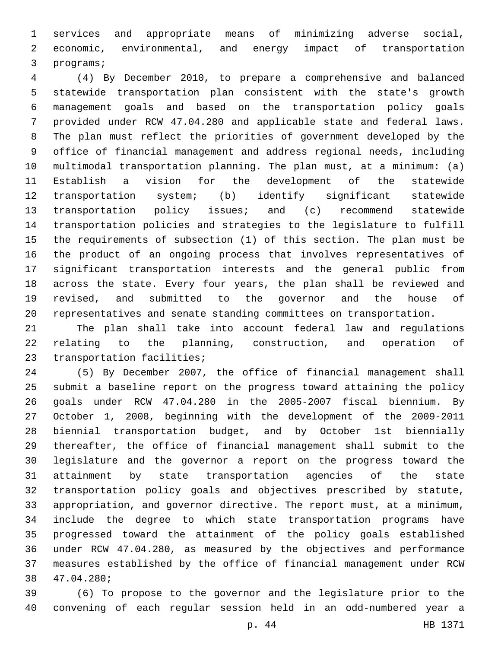services and appropriate means of minimizing adverse social, economic, environmental, and energy impact of transportation 3 programs;

 (4) By December 2010, to prepare a comprehensive and balanced statewide transportation plan consistent with the state's growth management goals and based on the transportation policy goals provided under RCW 47.04.280 and applicable state and federal laws. The plan must reflect the priorities of government developed by the office of financial management and address regional needs, including multimodal transportation planning. The plan must, at a minimum: (a) Establish a vision for the development of the statewide transportation system; (b) identify significant statewide transportation policy issues; and (c) recommend statewide transportation policies and strategies to the legislature to fulfill the requirements of subsection (1) of this section. The plan must be the product of an ongoing process that involves representatives of significant transportation interests and the general public from across the state. Every four years, the plan shall be reviewed and revised, and submitted to the governor and the house of representatives and senate standing committees on transportation.

 The plan shall take into account federal law and regulations relating to the planning, construction, and operation of 23 transportation facilities;

 (5) By December 2007, the office of financial management shall submit a baseline report on the progress toward attaining the policy goals under RCW 47.04.280 in the 2005-2007 fiscal biennium. By October 1, 2008, beginning with the development of the 2009-2011 biennial transportation budget, and by October 1st biennially thereafter, the office of financial management shall submit to the legislature and the governor a report on the progress toward the attainment by state transportation agencies of the state transportation policy goals and objectives prescribed by statute, appropriation, and governor directive. The report must, at a minimum, include the degree to which state transportation programs have progressed toward the attainment of the policy goals established under RCW 47.04.280, as measured by the objectives and performance measures established by the office of financial management under RCW 47.04.280;38

 (6) To propose to the governor and the legislature prior to the convening of each regular session held in an odd-numbered year a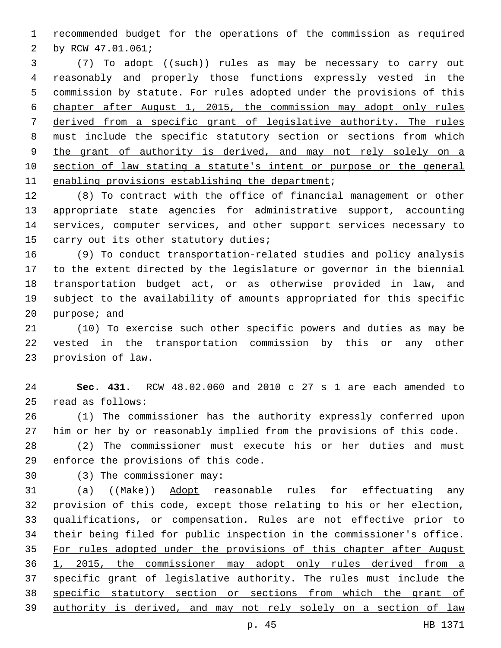recommended budget for the operations of the commission as required 2 by RCW 47.01.061;

 (7) To adopt ((such)) rules as may be necessary to carry out reasonably and properly those functions expressly vested in the commission by statute. For rules adopted under the provisions of this chapter after August 1, 2015, the commission may adopt only rules derived from a specific grant of legislative authority. The rules must include the specific statutory section or sections from which the grant of authority is derived, and may not rely solely on a section of law stating a statute's intent or purpose or the general 11 enabling provisions establishing the department;

 (8) To contract with the office of financial management or other appropriate state agencies for administrative support, accounting services, computer services, and other support services necessary to 15 carry out its other statutory duties;

 (9) To conduct transportation-related studies and policy analysis to the extent directed by the legislature or governor in the biennial transportation budget act, or as otherwise provided in law, and subject to the availability of amounts appropriated for this specific purpose; and

 (10) To exercise such other specific powers and duties as may be vested in the transportation commission by this or any other 23 provision of law.

 **Sec. 431.** RCW 48.02.060 and 2010 c 27 s 1 are each amended to read as follows:25

 (1) The commissioner has the authority expressly conferred upon him or her by or reasonably implied from the provisions of this code.

 (2) The commissioner must execute his or her duties and must 29 enforce the provisions of this code.

(3) The commissioner may:30

31 (a) ((Make)) Adopt reasonable rules for effectuating any provision of this code, except those relating to his or her election, qualifications, or compensation. Rules are not effective prior to their being filed for public inspection in the commissioner's office. For rules adopted under the provisions of this chapter after August 1, 2015, the commissioner may adopt only rules derived from a 37 specific grant of legislative authority. The rules must include the specific statutory section or sections from which the grant of authority is derived, and may not rely solely on a section of law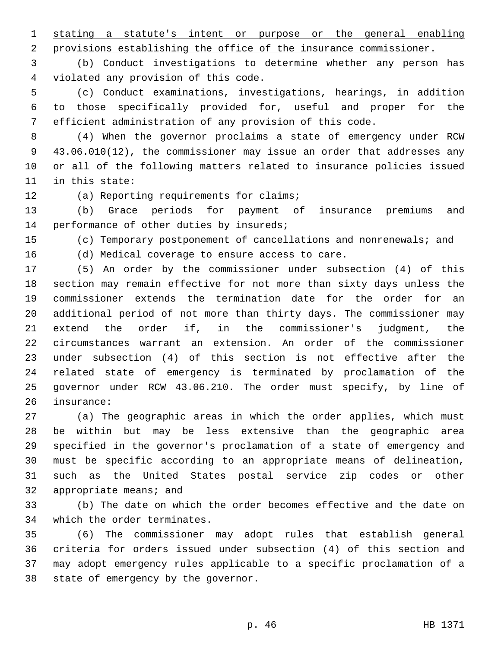stating a statute's intent or purpose or the general enabling

provisions establishing the office of the insurance commissioner.

 (b) Conduct investigations to determine whether any person has 4 violated any provision of this code.

 (c) Conduct examinations, investigations, hearings, in addition to those specifically provided for, useful and proper for the efficient administration of any provision of this code.

 (4) When the governor proclaims a state of emergency under RCW 43.06.010(12), the commissioner may issue an order that addresses any or all of the following matters related to insurance policies issued 11 in this state:

12 (a) Reporting requirements for claims;

 (b) Grace periods for payment of insurance premiums and 14 performance of other duties by insureds;

(c) Temporary postponement of cancellations and nonrenewals; and

(d) Medical coverage to ensure access to care.

 (5) An order by the commissioner under subsection (4) of this section may remain effective for not more than sixty days unless the commissioner extends the termination date for the order for an additional period of not more than thirty days. The commissioner may extend the order if, in the commissioner's judgment, the circumstances warrant an extension. An order of the commissioner under subsection (4) of this section is not effective after the related state of emergency is terminated by proclamation of the governor under RCW 43.06.210. The order must specify, by line of 26 insurance:

 (a) The geographic areas in which the order applies, which must be within but may be less extensive than the geographic area specified in the governor's proclamation of a state of emergency and must be specific according to an appropriate means of delineation, such as the United States postal service zip codes or other 32 appropriate means; and

 (b) The date on which the order becomes effective and the date on 34 which the order terminates.

 (6) The commissioner may adopt rules that establish general criteria for orders issued under subsection (4) of this section and may adopt emergency rules applicable to a specific proclamation of a 38 state of emergency by the governor.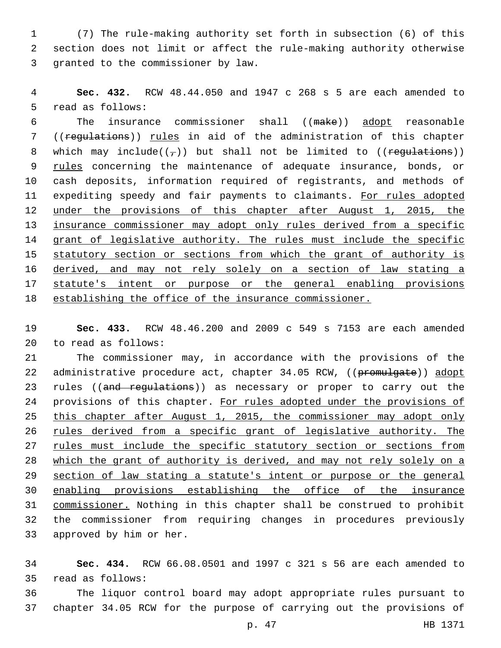1 (7) The rule-making authority set forth in subsection (6) of this 2 section does not limit or affect the rule-making authority otherwise 3 granted to the commissioner by law.

4 **Sec. 432.** RCW 48.44.050 and 1947 c 268 s 5 are each amended to 5 read as follows:

 The insurance commissioner shall ((make)) adopt reasonable ((regulations)) rules in aid of the administration of this chapter 8 which may include( $(\tau)$ ) but shall not be limited to ((regulations)) 9 rules concerning the maintenance of adequate insurance, bonds, or cash deposits, information required of registrants, and methods of 11 expediting speedy and fair payments to claimants. For rules adopted 12 under the provisions of this chapter after August 1, 2015, the insurance commissioner may adopt only rules derived from a specific grant of legislative authority. The rules must include the specific 15 statutory section or sections from which the grant of authority is derived, and may not rely solely on a section of law stating a statute's intent or purpose or the general enabling provisions establishing the office of the insurance commissioner.

19 **Sec. 433.** RCW 48.46.200 and 2009 c 549 s 7153 are each amended 20 to read as follows:

21 The commissioner may, in accordance with the provisions of the 22 administrative procedure act, chapter 34.05 RCW, ((promulgate)) adopt 23 rules ((and regulations)) as necessary or proper to carry out the 24 provisions of this chapter. For rules adopted under the provisions of 25 this chapter after August 1, 2015, the commissioner may adopt only 26 rules derived from a specific grant of legislative authority. The 27 rules must include the specific statutory section or sections from 28 which the grant of authority is derived, and may not rely solely on a 29 section of law stating a statute's intent or purpose or the general 30 enabling provisions establishing the office of the insurance 31 commissioner. Nothing in this chapter shall be construed to prohibit 32 the commissioner from requiring changes in procedures previously 33 approved by him or her.

34 **Sec. 434.** RCW 66.08.0501 and 1997 c 321 s 56 are each amended to read as follows:35

36 The liquor control board may adopt appropriate rules pursuant to 37 chapter 34.05 RCW for the purpose of carrying out the provisions of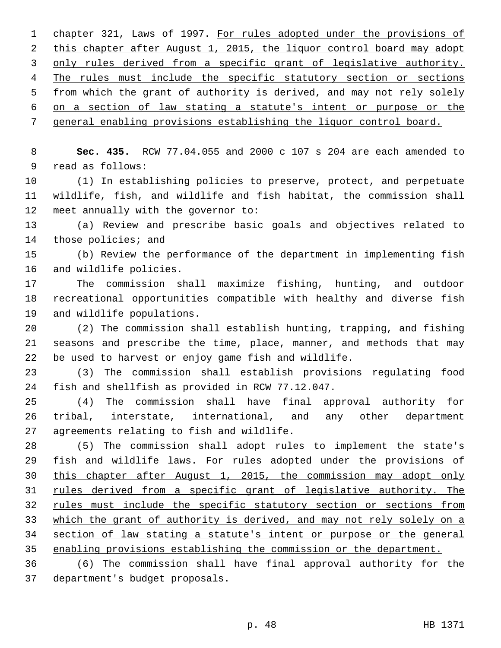chapter 321, Laws of 1997. For rules adopted under the provisions of this chapter after August 1, 2015, the liquor control board may adopt only rules derived from a specific grant of legislative authority. 4 The rules must include the specific statutory section or sections from which the grant of authority is derived, and may not rely solely on a section of law stating a statute's intent or purpose or the general enabling provisions establishing the liquor control board.

 **Sec. 435.** RCW 77.04.055 and 2000 c 107 s 204 are each amended to 9 read as follows:

 (1) In establishing policies to preserve, protect, and perpetuate wildlife, fish, and wildlife and fish habitat, the commission shall 12 meet annually with the governor to:

 (a) Review and prescribe basic goals and objectives related to 14 those policies; and

 (b) Review the performance of the department in implementing fish 16 and wildlife policies.

 The commission shall maximize fishing, hunting, and outdoor recreational opportunities compatible with healthy and diverse fish 19 and wildlife populations.

 (2) The commission shall establish hunting, trapping, and fishing seasons and prescribe the time, place, manner, and methods that may be used to harvest or enjoy game fish and wildlife.

 (3) The commission shall establish provisions regulating food 24 fish and shellfish as provided in RCW 77.12.047.

 (4) The commission shall have final approval authority for tribal, interstate, international, and any other department 27 agreements relating to fish and wildlife.

 (5) The commission shall adopt rules to implement the state's 29 fish and wildlife laws. For rules adopted under the provisions of this chapter after August 1, 2015, the commission may adopt only rules derived from a specific grant of legislative authority. The rules must include the specific statutory section or sections from which the grant of authority is derived, and may not rely solely on a section of law stating a statute's intent or purpose or the general enabling provisions establishing the commission or the department.

 (6) The commission shall have final approval authority for the 37 department's budget proposals.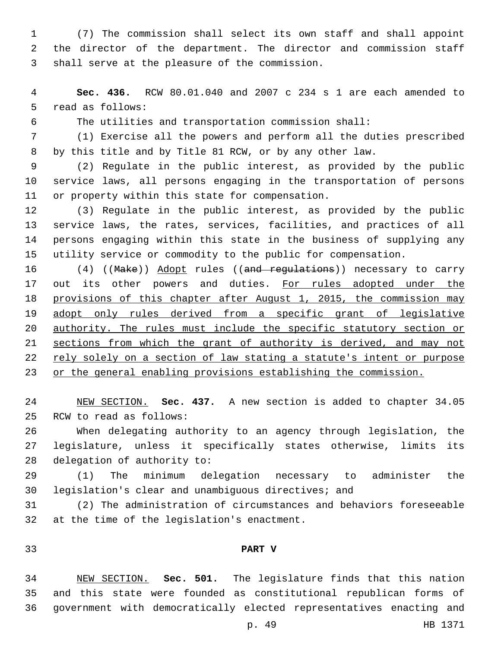(7) The commission shall select its own staff and shall appoint the director of the department. The director and commission staff 3 shall serve at the pleasure of the commission.

 **Sec. 436.** RCW 80.01.040 and 2007 c 234 s 1 are each amended to 5 read as follows:

The utilities and transportation commission shall:

 (1) Exercise all the powers and perform all the duties prescribed by this title and by Title 81 RCW, or by any other law.

 (2) Regulate in the public interest, as provided by the public service laws, all persons engaging in the transportation of persons 11 or property within this state for compensation.

 (3) Regulate in the public interest, as provided by the public service laws, the rates, services, facilities, and practices of all persons engaging within this state in the business of supplying any utility service or commodity to the public for compensation.

16 (4) ((Make)) Adopt rules ((and regulations)) necessary to carry 17 out its other powers and duties. For rules adopted under the provisions of this chapter after August 1, 2015, the commission may adopt only rules derived from a specific grant of legislative authority. The rules must include the specific statutory section or sections from which the grant of authority is derived, and may not 22 rely solely on a section of law stating a statute's intent or purpose or the general enabling provisions establishing the commission.

 NEW SECTION. **Sec. 437.** A new section is added to chapter 34.05 25 RCW to read as follows:

 When delegating authority to an agency through legislation, the legislature, unless it specifically states otherwise, limits its 28 delegation of authority to:

 (1) The minimum delegation necessary to administer the legislation's clear and unambiguous directives; and

 (2) The administration of circumstances and behaviors foreseeable 32 at the time of the legislation's enactment.

## **PART V**

 NEW SECTION. **Sec. 501.** The legislature finds that this nation and this state were founded as constitutional republican forms of government with democratically elected representatives enacting and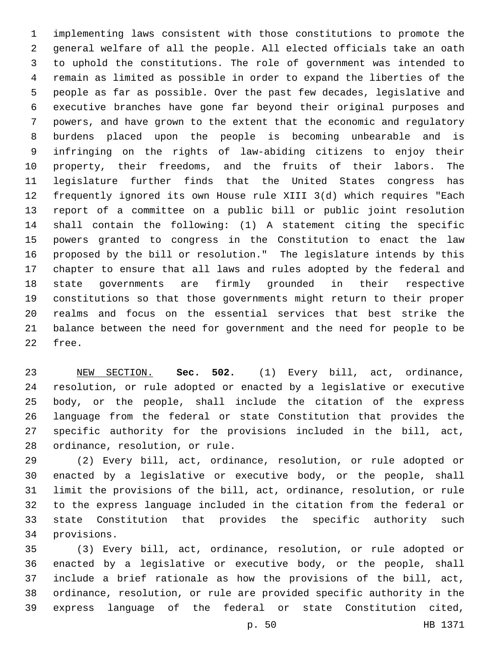implementing laws consistent with those constitutions to promote the general welfare of all the people. All elected officials take an oath to uphold the constitutions. The role of government was intended to remain as limited as possible in order to expand the liberties of the people as far as possible. Over the past few decades, legislative and executive branches have gone far beyond their original purposes and powers, and have grown to the extent that the economic and regulatory burdens placed upon the people is becoming unbearable and is infringing on the rights of law-abiding citizens to enjoy their property, their freedoms, and the fruits of their labors. The legislature further finds that the United States congress has frequently ignored its own House rule XIII 3(d) which requires "Each report of a committee on a public bill or public joint resolution shall contain the following: (1) A statement citing the specific powers granted to congress in the Constitution to enact the law proposed by the bill or resolution." The legislature intends by this chapter to ensure that all laws and rules adopted by the federal and state governments are firmly grounded in their respective constitutions so that those governments might return to their proper realms and focus on the essential services that best strike the balance between the need for government and the need for people to be 22 free.

 NEW SECTION. **Sec. 502.** (1) Every bill, act, ordinance, resolution, or rule adopted or enacted by a legislative or executive body, or the people, shall include the citation of the express language from the federal or state Constitution that provides the specific authority for the provisions included in the bill, act, ordinance, resolution, or rule.

 (2) Every bill, act, ordinance, resolution, or rule adopted or enacted by a legislative or executive body, or the people, shall limit the provisions of the bill, act, ordinance, resolution, or rule to the express language included in the citation from the federal or state Constitution that provides the specific authority such 34 provisions.

 (3) Every bill, act, ordinance, resolution, or rule adopted or enacted by a legislative or executive body, or the people, shall include a brief rationale as how the provisions of the bill, act, ordinance, resolution, or rule are provided specific authority in the express language of the federal or state Constitution cited,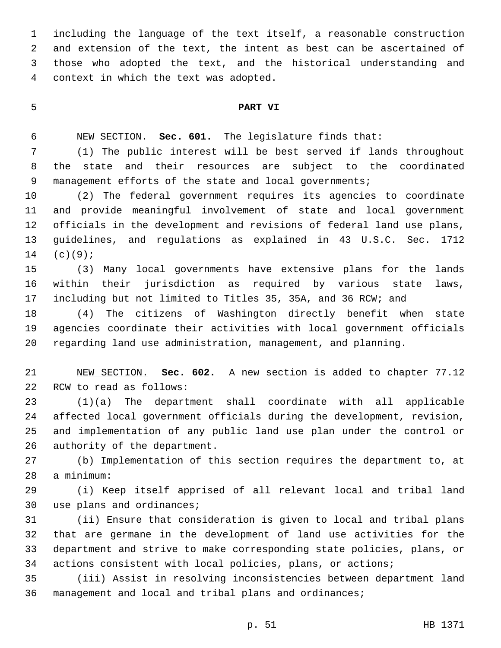including the language of the text itself, a reasonable construction and extension of the text, the intent as best can be ascertained of those who adopted the text, and the historical understanding and context in which the text was adopted.4

## **PART VI**

NEW SECTION. **Sec. 601.** The legislature finds that:

 (1) The public interest will be best served if lands throughout the state and their resources are subject to the coordinated management efforts of the state and local governments;

 (2) The federal government requires its agencies to coordinate and provide meaningful involvement of state and local government officials in the development and revisions of federal land use plans, guidelines, and regulations as explained in 43 U.S.C. Sec. 1712 (c)(9);

 (3) Many local governments have extensive plans for the lands within their jurisdiction as required by various state laws, including but not limited to Titles 35, 35A, and 36 RCW; and

 (4) The citizens of Washington directly benefit when state agencies coordinate their activities with local government officials regarding land use administration, management, and planning.

 NEW SECTION. **Sec. 602.** A new section is added to chapter 77.12 22 RCW to read as follows:

 (1)(a) The department shall coordinate with all applicable affected local government officials during the development, revision, and implementation of any public land use plan under the control or 26 authority of the department.

 (b) Implementation of this section requires the department to, at 28 a minimum:

 (i) Keep itself apprised of all relevant local and tribal land 30 use plans and ordinances;

 (ii) Ensure that consideration is given to local and tribal plans that are germane in the development of land use activities for the department and strive to make corresponding state policies, plans, or actions consistent with local policies, plans, or actions;

 (iii) Assist in resolving inconsistencies between department land management and local and tribal plans and ordinances;

p. 51 HB 1371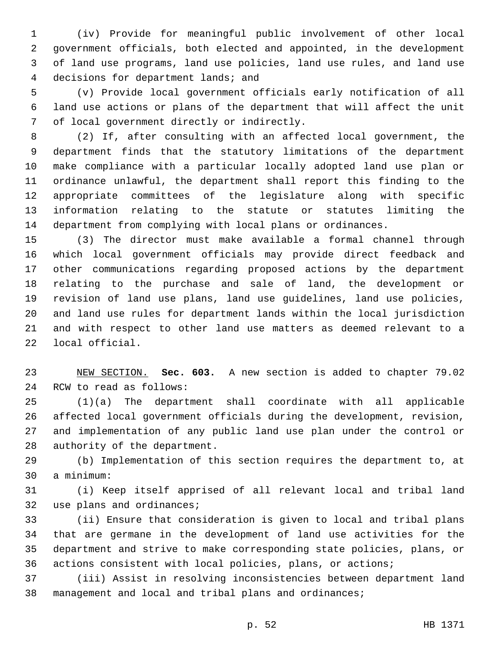(iv) Provide for meaningful public involvement of other local government officials, both elected and appointed, in the development of land use programs, land use policies, land use rules, and land use 4 decisions for department lands; and

 (v) Provide local government officials early notification of all land use actions or plans of the department that will affect the unit 7 of local government directly or indirectly.

 (2) If, after consulting with an affected local government, the department finds that the statutory limitations of the department make compliance with a particular locally adopted land use plan or ordinance unlawful, the department shall report this finding to the appropriate committees of the legislature along with specific information relating to the statute or statutes limiting the department from complying with local plans or ordinances.

 (3) The director must make available a formal channel through which local government officials may provide direct feedback and other communications regarding proposed actions by the department relating to the purchase and sale of land, the development or revision of land use plans, land use guidelines, land use policies, and land use rules for department lands within the local jurisdiction and with respect to other land use matters as deemed relevant to a 22 local official.

 NEW SECTION. **Sec. 603.** A new section is added to chapter 79.02 24 RCW to read as follows:

 (1)(a) The department shall coordinate with all applicable affected local government officials during the development, revision, and implementation of any public land use plan under the control or 28 authority of the department.

 (b) Implementation of this section requires the department to, at 30 a minimum:

 (i) Keep itself apprised of all relevant local and tribal land 32 use plans and ordinances;

 (ii) Ensure that consideration is given to local and tribal plans that are germane in the development of land use activities for the department and strive to make corresponding state policies, plans, or actions consistent with local policies, plans, or actions;

 (iii) Assist in resolving inconsistencies between department land management and local and tribal plans and ordinances;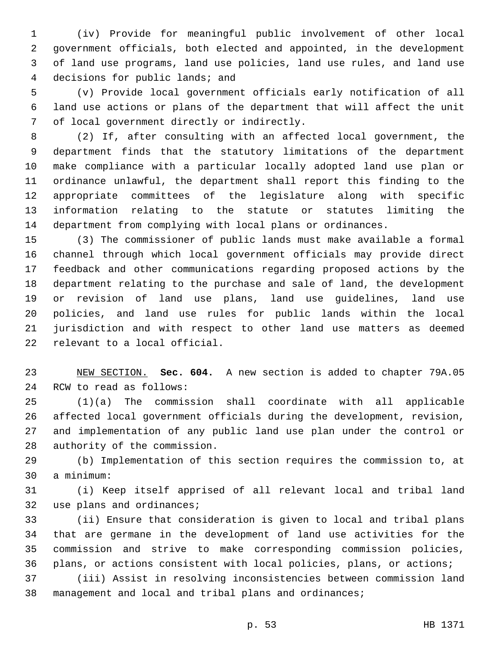(iv) Provide for meaningful public involvement of other local government officials, both elected and appointed, in the development of land use programs, land use policies, land use rules, and land use 4 decisions for public lands; and

 (v) Provide local government officials early notification of all land use actions or plans of the department that will affect the unit 7 of local government directly or indirectly.

 (2) If, after consulting with an affected local government, the department finds that the statutory limitations of the department make compliance with a particular locally adopted land use plan or ordinance unlawful, the department shall report this finding to the appropriate committees of the legislature along with specific information relating to the statute or statutes limiting the department from complying with local plans or ordinances.

 (3) The commissioner of public lands must make available a formal channel through which local government officials may provide direct feedback and other communications regarding proposed actions by the department relating to the purchase and sale of land, the development or revision of land use plans, land use guidelines, land use policies, and land use rules for public lands within the local jurisdiction and with respect to other land use matters as deemed 22 relevant to a local official.

 NEW SECTION. **Sec. 604.** A new section is added to chapter 79A.05 24 RCW to read as follows:

 (1)(a) The commission shall coordinate with all applicable affected local government officials during the development, revision, and implementation of any public land use plan under the control or 28 authority of the commission.

 (b) Implementation of this section requires the commission to, at 30 a minimum:

 (i) Keep itself apprised of all relevant local and tribal land 32 use plans and ordinances;

 (ii) Ensure that consideration is given to local and tribal plans that are germane in the development of land use activities for the commission and strive to make corresponding commission policies, plans, or actions consistent with local policies, plans, or actions;

 (iii) Assist in resolving inconsistencies between commission land management and local and tribal plans and ordinances;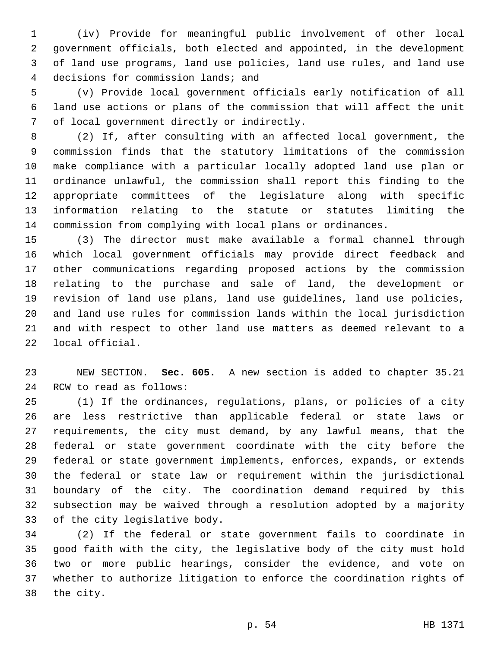(iv) Provide for meaningful public involvement of other local government officials, both elected and appointed, in the development of land use programs, land use policies, land use rules, and land use 4 decisions for commission lands; and

 (v) Provide local government officials early notification of all land use actions or plans of the commission that will affect the unit 7 of local government directly or indirectly.

 (2) If, after consulting with an affected local government, the commission finds that the statutory limitations of the commission make compliance with a particular locally adopted land use plan or ordinance unlawful, the commission shall report this finding to the appropriate committees of the legislature along with specific information relating to the statute or statutes limiting the commission from complying with local plans or ordinances.

 (3) The director must make available a formal channel through which local government officials may provide direct feedback and other communications regarding proposed actions by the commission relating to the purchase and sale of land, the development or revision of land use plans, land use guidelines, land use policies, and land use rules for commission lands within the local jurisdiction and with respect to other land use matters as deemed relevant to a 22 local official.

 NEW SECTION. **Sec. 605.** A new section is added to chapter 35.21 24 RCW to read as follows:

 (1) If the ordinances, regulations, plans, or policies of a city are less restrictive than applicable federal or state laws or requirements, the city must demand, by any lawful means, that the federal or state government coordinate with the city before the federal or state government implements, enforces, expands, or extends the federal or state law or requirement within the jurisdictional boundary of the city. The coordination demand required by this subsection may be waived through a resolution adopted by a majority 33 of the city legislative body.

 (2) If the federal or state government fails to coordinate in good faith with the city, the legislative body of the city must hold two or more public hearings, consider the evidence, and vote on whether to authorize litigation to enforce the coordination rights of 38 the city.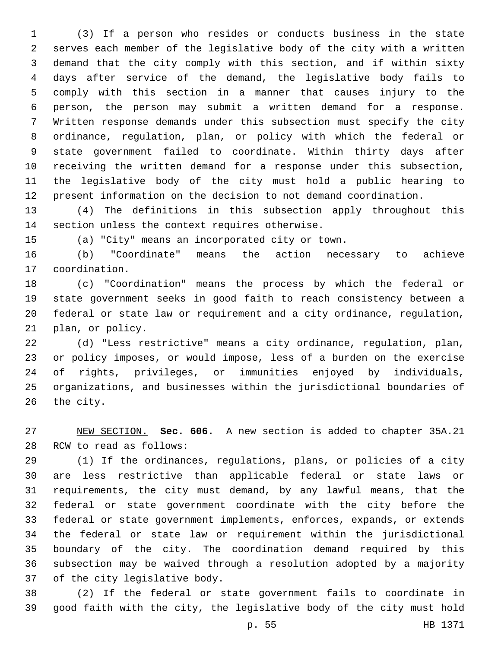(3) If a person who resides or conducts business in the state serves each member of the legislative body of the city with a written demand that the city comply with this section, and if within sixty days after service of the demand, the legislative body fails to comply with this section in a manner that causes injury to the person, the person may submit a written demand for a response. Written response demands under this subsection must specify the city ordinance, regulation, plan, or policy with which the federal or state government failed to coordinate. Within thirty days after receiving the written demand for a response under this subsection, the legislative body of the city must hold a public hearing to present information on the decision to not demand coordination.

 (4) The definitions in this subsection apply throughout this 14 section unless the context requires otherwise.

(a) "City" means an incorporated city or town.

 (b) "Coordinate" means the action necessary to achieve 17 coordination.

 (c) "Coordination" means the process by which the federal or state government seeks in good faith to reach consistency between a federal or state law or requirement and a city ordinance, regulation, 21 plan, or policy.

 (d) "Less restrictive" means a city ordinance, regulation, plan, or policy imposes, or would impose, less of a burden on the exercise of rights, privileges, or immunities enjoyed by individuals, organizations, and businesses within the jurisdictional boundaries of 26 the city.

 NEW SECTION. **Sec. 606.** A new section is added to chapter 35A.21 28 RCW to read as follows:

 (1) If the ordinances, regulations, plans, or policies of a city are less restrictive than applicable federal or state laws or requirements, the city must demand, by any lawful means, that the federal or state government coordinate with the city before the federal or state government implements, enforces, expands, or extends the federal or state law or requirement within the jurisdictional boundary of the city. The coordination demand required by this subsection may be waived through a resolution adopted by a majority 37 of the city legislative body.

 (2) If the federal or state government fails to coordinate in good faith with the city, the legislative body of the city must hold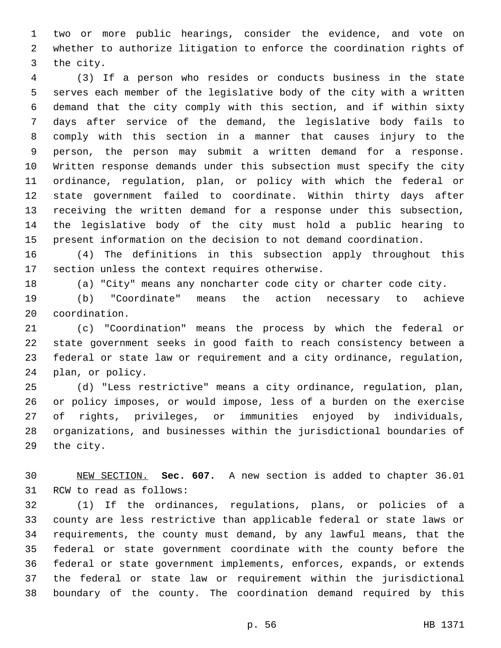two or more public hearings, consider the evidence, and vote on whether to authorize litigation to enforce the coordination rights of 3 the city.

 (3) If a person who resides or conducts business in the state serves each member of the legislative body of the city with a written demand that the city comply with this section, and if within sixty days after service of the demand, the legislative body fails to comply with this section in a manner that causes injury to the person, the person may submit a written demand for a response. Written response demands under this subsection must specify the city ordinance, regulation, plan, or policy with which the federal or state government failed to coordinate. Within thirty days after receiving the written demand for a response under this subsection, the legislative body of the city must hold a public hearing to present information on the decision to not demand coordination.

 (4) The definitions in this subsection apply throughout this 17 section unless the context requires otherwise.

(a) "City" means any noncharter code city or charter code city.

 (b) "Coordinate" means the action necessary to achieve 20 coordination.

 (c) "Coordination" means the process by which the federal or state government seeks in good faith to reach consistency between a federal or state law or requirement and a city ordinance, regulation, 24 plan, or policy.

 (d) "Less restrictive" means a city ordinance, regulation, plan, or policy imposes, or would impose, less of a burden on the exercise of rights, privileges, or immunities enjoyed by individuals, organizations, and businesses within the jurisdictional boundaries of 29 the city.

 NEW SECTION. **Sec. 607.** A new section is added to chapter 36.01 31 RCW to read as follows:

 (1) If the ordinances, regulations, plans, or policies of a county are less restrictive than applicable federal or state laws or requirements, the county must demand, by any lawful means, that the federal or state government coordinate with the county before the federal or state government implements, enforces, expands, or extends the federal or state law or requirement within the jurisdictional boundary of the county. The coordination demand required by this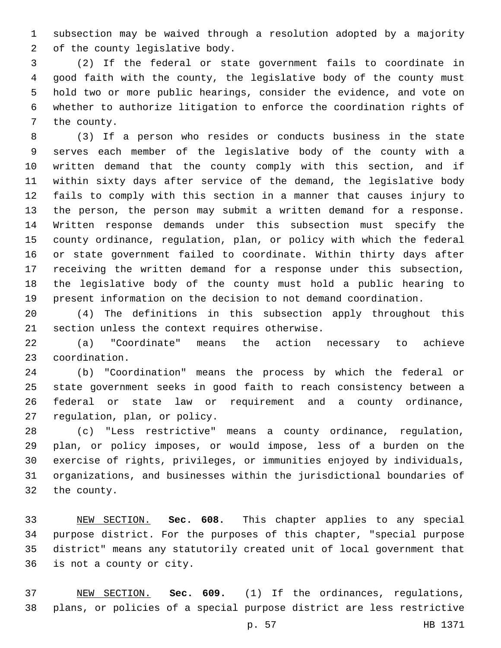subsection may be waived through a resolution adopted by a majority 2 of the county legislative body.

 (2) If the federal or state government fails to coordinate in good faith with the county, the legislative body of the county must hold two or more public hearings, consider the evidence, and vote on whether to authorize litigation to enforce the coordination rights of 7 the county.

 (3) If a person who resides or conducts business in the state serves each member of the legislative body of the county with a written demand that the county comply with this section, and if within sixty days after service of the demand, the legislative body fails to comply with this section in a manner that causes injury to the person, the person may submit a written demand for a response. Written response demands under this subsection must specify the county ordinance, regulation, plan, or policy with which the federal or state government failed to coordinate. Within thirty days after receiving the written demand for a response under this subsection, the legislative body of the county must hold a public hearing to present information on the decision to not demand coordination.

 (4) The definitions in this subsection apply throughout this 21 section unless the context requires otherwise.

 (a) "Coordinate" means the action necessary to achieve coordination.23

 (b) "Coordination" means the process by which the federal or state government seeks in good faith to reach consistency between a federal or state law or requirement and a county ordinance, 27 regulation, plan, or policy.

 (c) "Less restrictive" means a county ordinance, regulation, plan, or policy imposes, or would impose, less of a burden on the exercise of rights, privileges, or immunities enjoyed by individuals, organizations, and businesses within the jurisdictional boundaries of 32 the county.

 NEW SECTION. **Sec. 608.** This chapter applies to any special purpose district. For the purposes of this chapter, "special purpose district" means any statutorily created unit of local government that is not a county or city.

 NEW SECTION. **Sec. 609.** (1) If the ordinances, regulations, plans, or policies of a special purpose district are less restrictive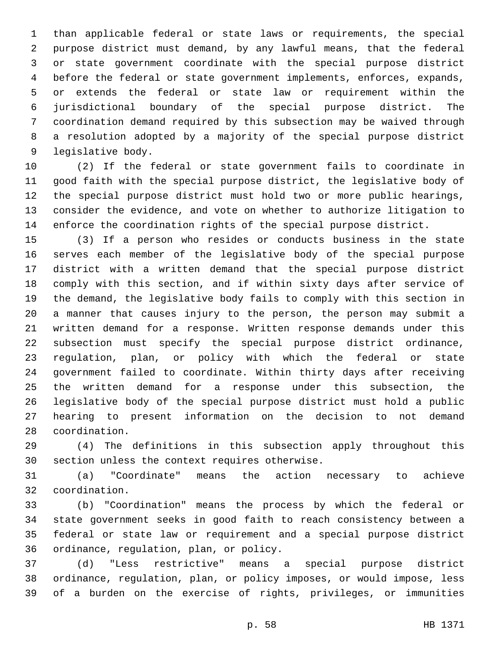than applicable federal or state laws or requirements, the special purpose district must demand, by any lawful means, that the federal or state government coordinate with the special purpose district before the federal or state government implements, enforces, expands, or extends the federal or state law or requirement within the jurisdictional boundary of the special purpose district. The coordination demand required by this subsection may be waived through a resolution adopted by a majority of the special purpose district 9 legislative body.

 (2) If the federal or state government fails to coordinate in good faith with the special purpose district, the legislative body of the special purpose district must hold two or more public hearings, consider the evidence, and vote on whether to authorize litigation to enforce the coordination rights of the special purpose district.

 (3) If a person who resides or conducts business in the state serves each member of the legislative body of the special purpose district with a written demand that the special purpose district comply with this section, and if within sixty days after service of the demand, the legislative body fails to comply with this section in a manner that causes injury to the person, the person may submit a written demand for a response. Written response demands under this subsection must specify the special purpose district ordinance, regulation, plan, or policy with which the federal or state government failed to coordinate. Within thirty days after receiving the written demand for a response under this subsection, the legislative body of the special purpose district must hold a public hearing to present information on the decision to not demand 28 coordination.

 (4) The definitions in this subsection apply throughout this 30 section unless the context requires otherwise.

 (a) "Coordinate" means the action necessary to achieve coordination.32

 (b) "Coordination" means the process by which the federal or state government seeks in good faith to reach consistency between a federal or state law or requirement and a special purpose district 36 ordinance, regulation, plan, or policy.

 (d) "Less restrictive" means a special purpose district ordinance, regulation, plan, or policy imposes, or would impose, less of a burden on the exercise of rights, privileges, or immunities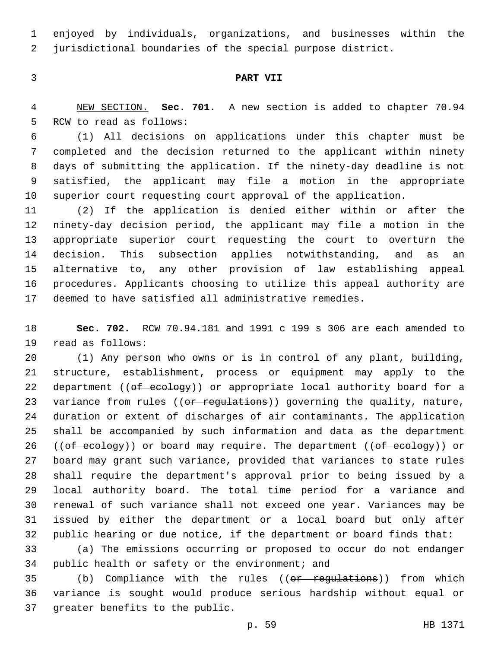enjoyed by individuals, organizations, and businesses within the jurisdictional boundaries of the special purpose district.

## **PART VII**

 NEW SECTION. **Sec. 701.** A new section is added to chapter 70.94 5 RCW to read as follows:

 (1) All decisions on applications under this chapter must be completed and the decision returned to the applicant within ninety days of submitting the application. If the ninety-day deadline is not satisfied, the applicant may file a motion in the appropriate superior court requesting court approval of the application.

 (2) If the application is denied either within or after the ninety-day decision period, the applicant may file a motion in the appropriate superior court requesting the court to overturn the decision. This subsection applies notwithstanding, and as an alternative to, any other provision of law establishing appeal procedures. Applicants choosing to utilize this appeal authority are deemed to have satisfied all administrative remedies.

 **Sec. 702.** RCW 70.94.181 and 1991 c 199 s 306 are each amended to 19 read as follows:

 (1) Any person who owns or is in control of any plant, building, structure, establishment, process or equipment may apply to the 22 department ((of ecology)) or appropriate local authority board for a 23 variance from rules ((or regulations)) governing the quality, nature, duration or extent of discharges of air contaminants. The application shall be accompanied by such information and data as the department 26 (( $of$  ecology)) or board may require. The department ( $(of$  ecology)) or board may grant such variance, provided that variances to state rules shall require the department's approval prior to being issued by a local authority board. The total time period for a variance and renewal of such variance shall not exceed one year. Variances may be issued by either the department or a local board but only after public hearing or due notice, if the department or board finds that:

 (a) The emissions occurring or proposed to occur do not endanger 34 public health or safety or the environment; and

35 (b) Compliance with the rules ((or regulations)) from which variance is sought would produce serious hardship without equal or 37 greater benefits to the public.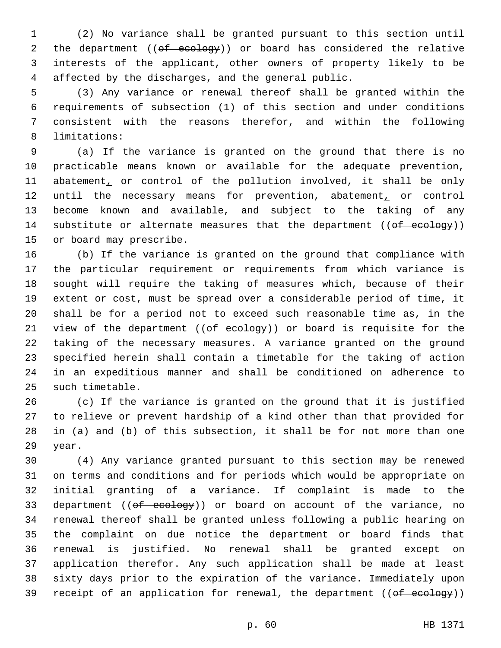(2) No variance shall be granted pursuant to this section until 2 the department ((of ecology)) or board has considered the relative interests of the applicant, other owners of property likely to be affected by the discharges, and the general public.

 (3) Any variance or renewal thereof shall be granted within the requirements of subsection (1) of this section and under conditions consistent with the reasons therefor, and within the following 8 limitations:

 (a) If the variance is granted on the ground that there is no practicable means known or available for the adequate prevention, 11 abatement, or control of the pollution involved, it shall be only 12 until the necessary means for prevention, abatement, or control become known and available, and subject to the taking of any 14 substitute or alternate measures that the department ((of ecology)) 15 or board may prescribe.

 (b) If the variance is granted on the ground that compliance with the particular requirement or requirements from which variance is sought will require the taking of measures which, because of their extent or cost, must be spread over a considerable period of time, it shall be for a period not to exceed such reasonable time as, in the 21 view of the department ((of ecology)) or board is requisite for the taking of the necessary measures. A variance granted on the ground specified herein shall contain a timetable for the taking of action in an expeditious manner and shall be conditioned on adherence to 25 such timetable.

 (c) If the variance is granted on the ground that it is justified to relieve or prevent hardship of a kind other than that provided for in (a) and (b) of this subsection, it shall be for not more than one 29 year.

 (4) Any variance granted pursuant to this section may be renewed on terms and conditions and for periods which would be appropriate on initial granting of a variance. If complaint is made to the 33 department ((of ecology)) or board on account of the variance, no renewal thereof shall be granted unless following a public hearing on the complaint on due notice the department or board finds that renewal is justified. No renewal shall be granted except on application therefor. Any such application shall be made at least sixty days prior to the expiration of the variance. Immediately upon 39 receipt of an application for renewal, the department ((of ecology))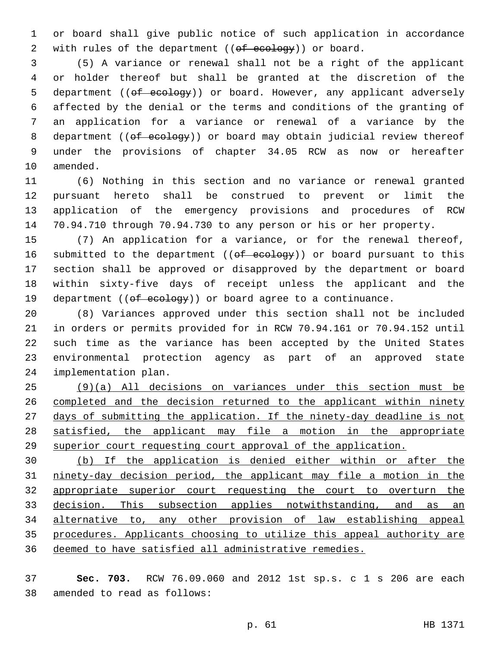or board shall give public notice of such application in accordance 2 with rules of the department ((of ecology)) or board.

 (5) A variance or renewal shall not be a right of the applicant or holder thereof but shall be granted at the discretion of the 5 department ((of ecology)) or board. However, any applicant adversely affected by the denial or the terms and conditions of the granting of an application for a variance or renewal of a variance by the 8 department ((of ecology)) or board may obtain judicial review thereof under the provisions of chapter 34.05 RCW as now or hereafter 10 amended.

 (6) Nothing in this section and no variance or renewal granted pursuant hereto shall be construed to prevent or limit the application of the emergency provisions and procedures of RCW 70.94.710 through 70.94.730 to any person or his or her property.

 (7) An application for a variance, or for the renewal thereof, 16 submitted to the department ((of ecology)) or board pursuant to this section shall be approved or disapproved by the department or board within sixty-five days of receipt unless the applicant and the 19 department ((of ecology)) or board agree to a continuance.

 (8) Variances approved under this section shall not be included in orders or permits provided for in RCW 70.94.161 or 70.94.152 until such time as the variance has been accepted by the United States environmental protection agency as part of an approved state 24 implementation plan.

 (9)(a) All decisions on variances under this section must be completed and the decision returned to the applicant within ninety days of submitting the application. If the ninety-day deadline is not 28 satisfied, the applicant may file a motion in the appropriate superior court requesting court approval of the application.

 (b) If the application is denied either within or after the ninety-day decision period, the applicant may file a motion in the appropriate superior court requesting the court to overturn the 33 decision. This subsection applies notwithstanding, and as an alternative to, any other provision of law establishing appeal procedures. Applicants choosing to utilize this appeal authority are deemed to have satisfied all administrative remedies.

 **Sec. 703.** RCW 76.09.060 and 2012 1st sp.s. c 1 s 206 are each 38 amended to read as follows: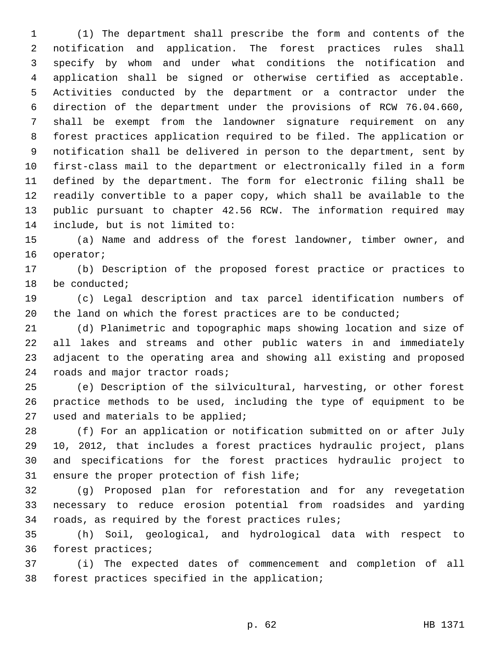(1) The department shall prescribe the form and contents of the notification and application. The forest practices rules shall specify by whom and under what conditions the notification and application shall be signed or otherwise certified as acceptable. Activities conducted by the department or a contractor under the direction of the department under the provisions of RCW 76.04.660, shall be exempt from the landowner signature requirement on any forest practices application required to be filed. The application or notification shall be delivered in person to the department, sent by first-class mail to the department or electronically filed in a form defined by the department. The form for electronic filing shall be readily convertible to a paper copy, which shall be available to the public pursuant to chapter 42.56 RCW. The information required may 14 include, but is not limited to:

 (a) Name and address of the forest landowner, timber owner, and 16 operator;

 (b) Description of the proposed forest practice or practices to 18 be conducted;

 (c) Legal description and tax parcel identification numbers of 20 the land on which the forest practices are to be conducted;

 (d) Planimetric and topographic maps showing location and size of all lakes and streams and other public waters in and immediately adjacent to the operating area and showing all existing and proposed 24 roads and major tractor roads;

 (e) Description of the silvicultural, harvesting, or other forest practice methods to be used, including the type of equipment to be 27 used and materials to be applied;

 (f) For an application or notification submitted on or after July 10, 2012, that includes a forest practices hydraulic project, plans and specifications for the forest practices hydraulic project to 31 ensure the proper protection of fish life;

 (g) Proposed plan for reforestation and for any revegetation necessary to reduce erosion potential from roadsides and yarding 34 roads, as required by the forest practices rules;

 (h) Soil, geological, and hydrological data with respect to 36 forest practices;

 (i) The expected dates of commencement and completion of all 38 forest practices specified in the application;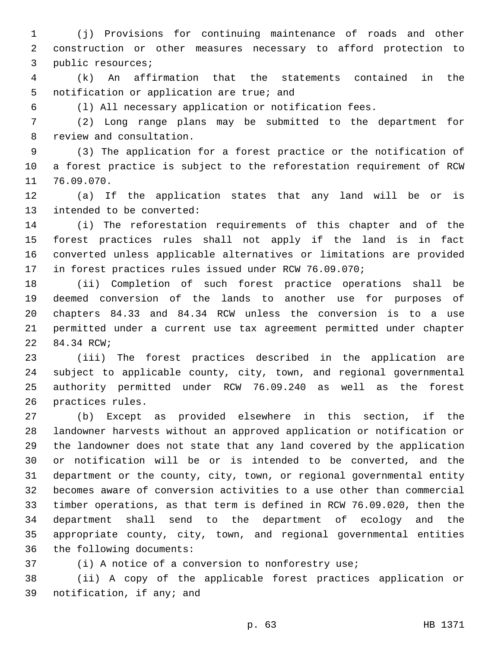(j) Provisions for continuing maintenance of roads and other construction or other measures necessary to afford protection to 3 public resources;

 (k) An affirmation that the statements contained in the 5 notification or application are true; and

(l) All necessary application or notification fees.

 (2) Long range plans may be submitted to the department for 8 review and consultation.

 (3) The application for a forest practice or the notification of a forest practice is subject to the reforestation requirement of RCW 11 76.09.070.

 (a) If the application states that any land will be or is 13 intended to be converted:

 (i) The reforestation requirements of this chapter and of the forest practices rules shall not apply if the land is in fact converted unless applicable alternatives or limitations are provided in forest practices rules issued under RCW 76.09.070;

 (ii) Completion of such forest practice operations shall be deemed conversion of the lands to another use for purposes of chapters 84.33 and 84.34 RCW unless the conversion is to a use permitted under a current use tax agreement permitted under chapter 22 84.34 RCW;

 (iii) The forest practices described in the application are subject to applicable county, city, town, and regional governmental authority permitted under RCW 76.09.240 as well as the forest 26 practices rules.

 (b) Except as provided elsewhere in this section, if the landowner harvests without an approved application or notification or the landowner does not state that any land covered by the application or notification will be or is intended to be converted, and the department or the county, city, town, or regional governmental entity becomes aware of conversion activities to a use other than commercial timber operations, as that term is defined in RCW 76.09.020, then the department shall send to the department of ecology and the appropriate county, city, town, and regional governmental entities 36 the following documents:

(i) A notice of a conversion to nonforestry use;

 (ii) A copy of the applicable forest practices application or 39 notification, if any; and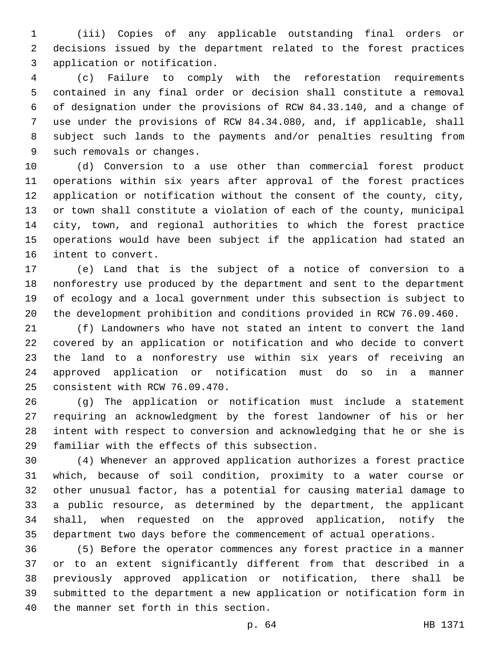(iii) Copies of any applicable outstanding final orders or decisions issued by the department related to the forest practices 3 application or notification.

 (c) Failure to comply with the reforestation requirements contained in any final order or decision shall constitute a removal of designation under the provisions of RCW 84.33.140, and a change of use under the provisions of RCW 84.34.080, and, if applicable, shall subject such lands to the payments and/or penalties resulting from 9 such removals or changes.

 (d) Conversion to a use other than commercial forest product operations within six years after approval of the forest practices application or notification without the consent of the county, city, or town shall constitute a violation of each of the county, municipal city, town, and regional authorities to which the forest practice operations would have been subject if the application had stated an 16 intent to convert.

 (e) Land that is the subject of a notice of conversion to a nonforestry use produced by the department and sent to the department of ecology and a local government under this subsection is subject to the development prohibition and conditions provided in RCW 76.09.460.

 (f) Landowners who have not stated an intent to convert the land covered by an application or notification and who decide to convert the land to a nonforestry use within six years of receiving an approved application or notification must do so in a manner 25 consistent with RCW 76.09.470.

 (g) The application or notification must include a statement requiring an acknowledgment by the forest landowner of his or her intent with respect to conversion and acknowledging that he or she is 29 familiar with the effects of this subsection.

 (4) Whenever an approved application authorizes a forest practice which, because of soil condition, proximity to a water course or other unusual factor, has a potential for causing material damage to a public resource, as determined by the department, the applicant shall, when requested on the approved application, notify the department two days before the commencement of actual operations.

 (5) Before the operator commences any forest practice in a manner or to an extent significantly different from that described in a previously approved application or notification, there shall be submitted to the department a new application or notification form in 40 the manner set forth in this section.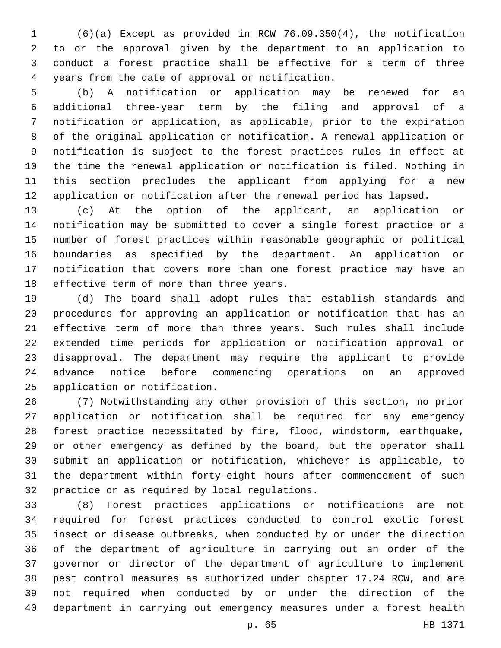(6)(a) Except as provided in RCW 76.09.350(4), the notification to or the approval given by the department to an application to conduct a forest practice shall be effective for a term of three years from the date of approval or notification.4

 (b) A notification or application may be renewed for an additional three-year term by the filing and approval of a notification or application, as applicable, prior to the expiration of the original application or notification. A renewal application or notification is subject to the forest practices rules in effect at the time the renewal application or notification is filed. Nothing in this section precludes the applicant from applying for a new application or notification after the renewal period has lapsed.

 (c) At the option of the applicant, an application or notification may be submitted to cover a single forest practice or a number of forest practices within reasonable geographic or political boundaries as specified by the department. An application or notification that covers more than one forest practice may have an 18 effective term of more than three years.

 (d) The board shall adopt rules that establish standards and procedures for approving an application or notification that has an effective term of more than three years. Such rules shall include extended time periods for application or notification approval or disapproval. The department may require the applicant to provide advance notice before commencing operations on an approved 25 application or notification.

 (7) Notwithstanding any other provision of this section, no prior application or notification shall be required for any emergency forest practice necessitated by fire, flood, windstorm, earthquake, or other emergency as defined by the board, but the operator shall submit an application or notification, whichever is applicable, to the department within forty-eight hours after commencement of such 32 practice or as required by local regulations.

 (8) Forest practices applications or notifications are not required for forest practices conducted to control exotic forest insect or disease outbreaks, when conducted by or under the direction of the department of agriculture in carrying out an order of the governor or director of the department of agriculture to implement pest control measures as authorized under chapter 17.24 RCW, and are not required when conducted by or under the direction of the department in carrying out emergency measures under a forest health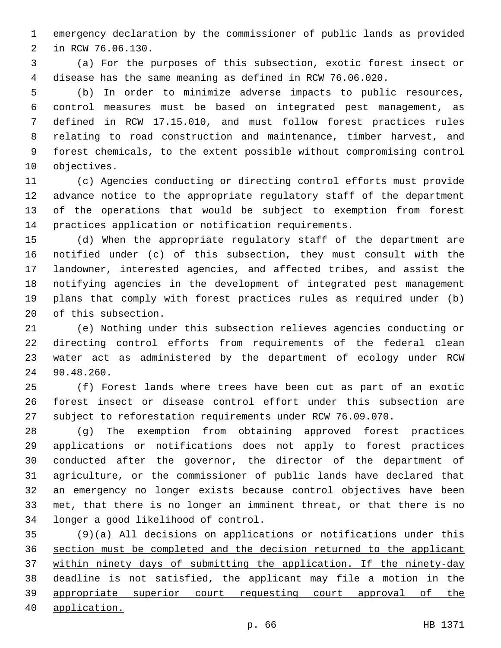emergency declaration by the commissioner of public lands as provided 2 in RCW 76.06.130.

 (a) For the purposes of this subsection, exotic forest insect or disease has the same meaning as defined in RCW 76.06.020.

 (b) In order to minimize adverse impacts to public resources, control measures must be based on integrated pest management, as defined in RCW 17.15.010, and must follow forest practices rules relating to road construction and maintenance, timber harvest, and forest chemicals, to the extent possible without compromising control 10 objectives.

 (c) Agencies conducting or directing control efforts must provide advance notice to the appropriate regulatory staff of the department of the operations that would be subject to exemption from forest practices application or notification requirements.

 (d) When the appropriate regulatory staff of the department are notified under (c) of this subsection, they must consult with the landowner, interested agencies, and affected tribes, and assist the notifying agencies in the development of integrated pest management plans that comply with forest practices rules as required under (b) 20 of this subsection.

 (e) Nothing under this subsection relieves agencies conducting or directing control efforts from requirements of the federal clean water act as administered by the department of ecology under RCW 24 90.48.260.

 (f) Forest lands where trees have been cut as part of an exotic forest insect or disease control effort under this subsection are subject to reforestation requirements under RCW 76.09.070.

 (g) The exemption from obtaining approved forest practices applications or notifications does not apply to forest practices conducted after the governor, the director of the department of agriculture, or the commissioner of public lands have declared that an emergency no longer exists because control objectives have been met, that there is no longer an imminent threat, or that there is no 34 longer a good likelihood of control.

 (9)(a) All decisions on applications or notifications under this section must be completed and the decision returned to the applicant within ninety days of submitting the application. If the ninety-day deadline is not satisfied, the applicant may file a motion in the appropriate superior court requesting court approval of the application.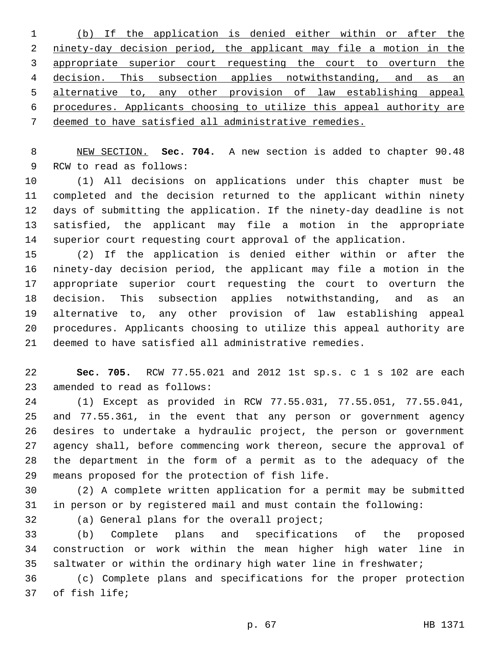(b) If the application is denied either within or after the ninety-day decision period, the applicant may file a motion in the appropriate superior court requesting the court to overturn the decision. This subsection applies notwithstanding, and as an alternative to, any other provision of law establishing appeal procedures. Applicants choosing to utilize this appeal authority are deemed to have satisfied all administrative remedies.

 NEW SECTION. **Sec. 704.** A new section is added to chapter 90.48 9 RCW to read as follows:

 (1) All decisions on applications under this chapter must be completed and the decision returned to the applicant within ninety days of submitting the application. If the ninety-day deadline is not satisfied, the applicant may file a motion in the appropriate superior court requesting court approval of the application.

 (2) If the application is denied either within or after the ninety-day decision period, the applicant may file a motion in the appropriate superior court requesting the court to overturn the decision. This subsection applies notwithstanding, and as an alternative to, any other provision of law establishing appeal procedures. Applicants choosing to utilize this appeal authority are deemed to have satisfied all administrative remedies.

 **Sec. 705.** RCW 77.55.021 and 2012 1st sp.s. c 1 s 102 are each 23 amended to read as follows:

 (1) Except as provided in RCW 77.55.031, 77.55.051, 77.55.041, and 77.55.361, in the event that any person or government agency desires to undertake a hydraulic project, the person or government agency shall, before commencing work thereon, secure the approval of the department in the form of a permit as to the adequacy of the 29 means proposed for the protection of fish life.

 (2) A complete written application for a permit may be submitted in person or by registered mail and must contain the following:

32 (a) General plans for the overall project;

 (b) Complete plans and specifications of the proposed construction or work within the mean higher high water line in saltwater or within the ordinary high water line in freshwater;

 (c) Complete plans and specifications for the proper protection 37 of fish life;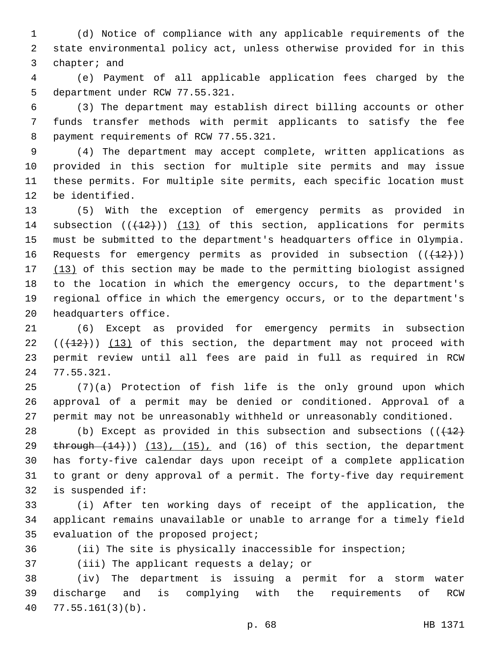(d) Notice of compliance with any applicable requirements of the state environmental policy act, unless otherwise provided for in this 3 chapter; and

 (e) Payment of all applicable application fees charged by the 5 department under RCW 77.55.321.

 (3) The department may establish direct billing accounts or other funds transfer methods with permit applicants to satisfy the fee 8 payment requirements of RCW 77.55.321.

 (4) The department may accept complete, written applications as provided in this section for multiple site permits and may issue these permits. For multiple site permits, each specific location must 12 be identified.

 (5) With the exception of emergency permits as provided in 14 subsection  $((+12))$   $(13)$  of this section, applications for permits must be submitted to the department's headquarters office in Olympia. 16 Requests for emergency permits as provided in subsection  $((+12))$ 17 (13) of this section may be made to the permitting biologist assigned to the location in which the emergency occurs, to the department's regional office in which the emergency occurs, or to the department's 20 headquarters office.

 (6) Except as provided for emergency permits in subsection  $((+12))$   $(13)$  of this section, the department may not proceed with permit review until all fees are paid in full as required in RCW 77.55.321.24

 (7)(a) Protection of fish life is the only ground upon which approval of a permit may be denied or conditioned. Approval of a permit may not be unreasonably withheld or unreasonably conditioned.

28 (b) Except as provided in this subsection and subsections  $((+12)$ 29  $\frac{1}{2}$  through  $(14)$ ) (13), (15), and (16) of this section, the department has forty-five calendar days upon receipt of a complete application to grant or deny approval of a permit. The forty-five day requirement 32 is suspended if:

 (i) After ten working days of receipt of the application, the applicant remains unavailable or unable to arrange for a timely field 35 evaluation of the proposed project;

(ii) The site is physically inaccessible for inspection;

37 (iii) The applicant requests a delay; or

 (iv) The department is issuing a permit for a storm water discharge and is complying with the requirements of RCW  $77.55.161(3)(b)$ .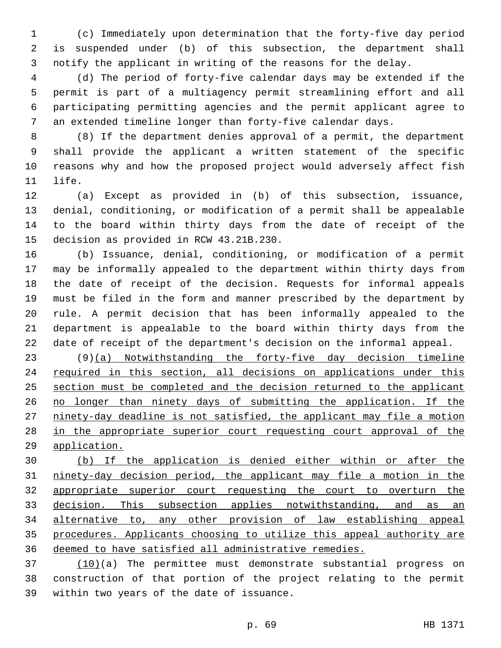(c) Immediately upon determination that the forty-five day period is suspended under (b) of this subsection, the department shall notify the applicant in writing of the reasons for the delay.

 (d) The period of forty-five calendar days may be extended if the permit is part of a multiagency permit streamlining effort and all participating permitting agencies and the permit applicant agree to an extended timeline longer than forty-five calendar days.

 (8) If the department denies approval of a permit, the department shall provide the applicant a written statement of the specific reasons why and how the proposed project would adversely affect fish 11 life.

 (a) Except as provided in (b) of this subsection, issuance, denial, conditioning, or modification of a permit shall be appealable to the board within thirty days from the date of receipt of the 15 decision as provided in RCW 43.21B.230.

 (b) Issuance, denial, conditioning, or modification of a permit may be informally appealed to the department within thirty days from the date of receipt of the decision. Requests for informal appeals must be filed in the form and manner prescribed by the department by rule. A permit decision that has been informally appealed to the department is appealable to the board within thirty days from the date of receipt of the department's decision on the informal appeal.

 (9)(a) Notwithstanding the forty-five day decision timeline 24 required in this section, all decisions on applications under this section must be completed and the decision returned to the applicant no longer than ninety days of submitting the application. If the ninety-day deadline is not satisfied, the applicant may file a motion in the appropriate superior court requesting court approval of the application.

 (b) If the application is denied either within or after the ninety-day decision period, the applicant may file a motion in the appropriate superior court requesting the court to overturn the 33 decision. This subsection applies notwithstanding, and as an alternative to, any other provision of law establishing appeal procedures. Applicants choosing to utilize this appeal authority are deemed to have satisfied all administrative remedies.

 (10)(a) The permittee must demonstrate substantial progress on construction of that portion of the project relating to the permit 39 within two years of the date of issuance.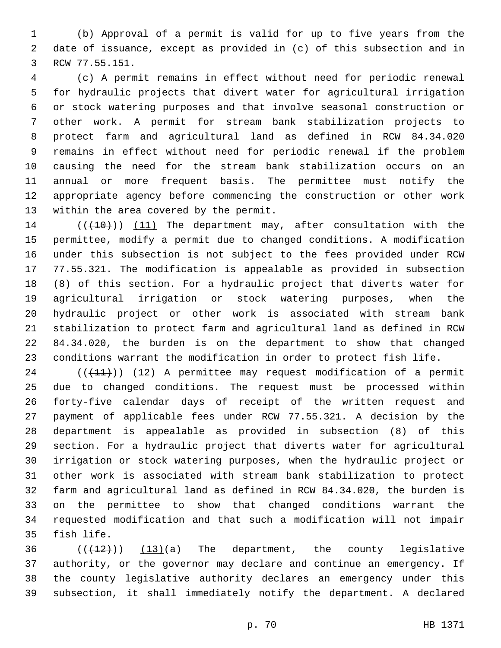(b) Approval of a permit is valid for up to five years from the date of issuance, except as provided in (c) of this subsection and in 3 RCW 77.55.151.

 (c) A permit remains in effect without need for periodic renewal for hydraulic projects that divert water for agricultural irrigation or stock watering purposes and that involve seasonal construction or other work. A permit for stream bank stabilization projects to protect farm and agricultural land as defined in RCW 84.34.020 remains in effect without need for periodic renewal if the problem causing the need for the stream bank stabilization occurs on an annual or more frequent basis. The permittee must notify the appropriate agency before commencing the construction or other work 13 within the area covered by the permit.

14 (( $(10)$ )) (11) The department may, after consultation with the permittee, modify a permit due to changed conditions. A modification under this subsection is not subject to the fees provided under RCW 77.55.321. The modification is appealable as provided in subsection (8) of this section. For a hydraulic project that diverts water for agricultural irrigation or stock watering purposes, when the hydraulic project or other work is associated with stream bank stabilization to protect farm and agricultural land as defined in RCW 84.34.020, the burden is on the department to show that changed conditions warrant the modification in order to protect fish life.

 (( $(11)$ )) (12) A permittee may request modification of a permit due to changed conditions. The request must be processed within forty-five calendar days of receipt of the written request and payment of applicable fees under RCW 77.55.321. A decision by the department is appealable as provided in subsection (8) of this section. For a hydraulic project that diverts water for agricultural irrigation or stock watering purposes, when the hydraulic project or other work is associated with stream bank stabilization to protect farm and agricultural land as defined in RCW 84.34.020, the burden is on the permittee to show that changed conditions warrant the requested modification and that such a modification will not impair 35 fish life.

  $((+12))$   $(13)(a)$  The department, the county legislative authority, or the governor may declare and continue an emergency. If the county legislative authority declares an emergency under this subsection, it shall immediately notify the department. A declared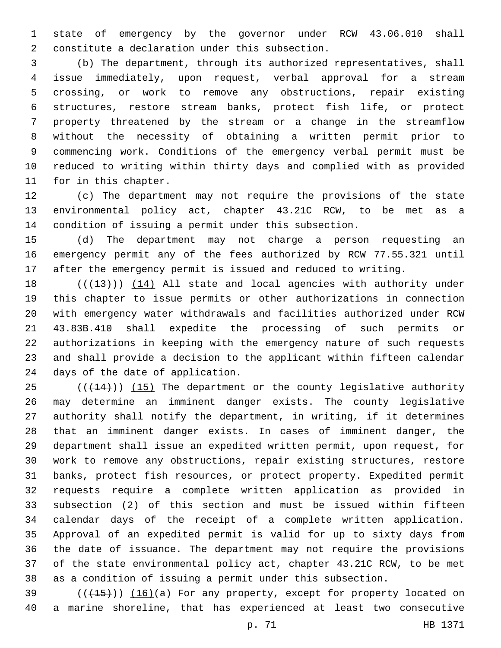state of emergency by the governor under RCW 43.06.010 shall 2 constitute a declaration under this subsection.

 (b) The department, through its authorized representatives, shall issue immediately, upon request, verbal approval for a stream crossing, or work to remove any obstructions, repair existing structures, restore stream banks, protect fish life, or protect property threatened by the stream or a change in the streamflow without the necessity of obtaining a written permit prior to commencing work. Conditions of the emergency verbal permit must be reduced to writing within thirty days and complied with as provided 11 for in this chapter.

 (c) The department may not require the provisions of the state environmental policy act, chapter 43.21C RCW, to be met as a condition of issuing a permit under this subsection.

 (d) The department may not charge a person requesting an emergency permit any of the fees authorized by RCW 77.55.321 until after the emergency permit is issued and reduced to writing.

 $((+13))$   $(14)$  All state and local agencies with authority under this chapter to issue permits or other authorizations in connection with emergency water withdrawals and facilities authorized under RCW 43.83B.410 shall expedite the processing of such permits or authorizations in keeping with the emergency nature of such requests and shall provide a decision to the applicant within fifteen calendar 24 days of the date of application.

 (( $(144)$ )) (15) The department or the county legislative authority may determine an imminent danger exists. The county legislative authority shall notify the department, in writing, if it determines that an imminent danger exists. In cases of imminent danger, the department shall issue an expedited written permit, upon request, for work to remove any obstructions, repair existing structures, restore banks, protect fish resources, or protect property. Expedited permit requests require a complete written application as provided in subsection (2) of this section and must be issued within fifteen calendar days of the receipt of a complete written application. Approval of an expedited permit is valid for up to sixty days from the date of issuance. The department may not require the provisions of the state environmental policy act, chapter 43.21C RCW, to be met as a condition of issuing a permit under this subsection.

 $(1,15)$  ( $(1,15)$ )) (16)(a) For any property, except for property located on a marine shoreline, that has experienced at least two consecutive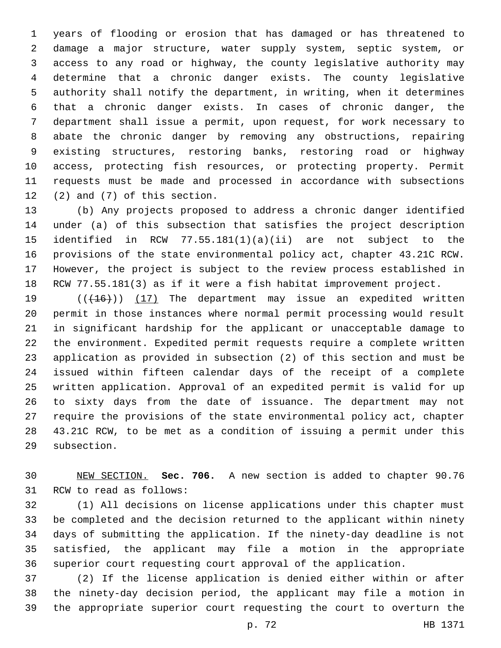years of flooding or erosion that has damaged or has threatened to damage a major structure, water supply system, septic system, or access to any road or highway, the county legislative authority may determine that a chronic danger exists. The county legislative authority shall notify the department, in writing, when it determines that a chronic danger exists. In cases of chronic danger, the department shall issue a permit, upon request, for work necessary to abate the chronic danger by removing any obstructions, repairing existing structures, restoring banks, restoring road or highway access, protecting fish resources, or protecting property. Permit requests must be made and processed in accordance with subsections (2) and (7) of this section.

 (b) Any projects proposed to address a chronic danger identified under (a) of this subsection that satisfies the project description identified in RCW 77.55.181(1)(a)(ii) are not subject to the provisions of the state environmental policy act, chapter 43.21C RCW. However, the project is subject to the review process established in RCW 77.55.181(3) as if it were a fish habitat improvement project.

19 (( $(16)$ )) (17) The department may issue an expedited written permit in those instances where normal permit processing would result in significant hardship for the applicant or unacceptable damage to the environment. Expedited permit requests require a complete written application as provided in subsection (2) of this section and must be issued within fifteen calendar days of the receipt of a complete written application. Approval of an expedited permit is valid for up to sixty days from the date of issuance. The department may not require the provisions of the state environmental policy act, chapter 43.21C RCW, to be met as a condition of issuing a permit under this 29 subsection.

 NEW SECTION. **Sec. 706.** A new section is added to chapter 90.76 31 RCW to read as follows:

 (1) All decisions on license applications under this chapter must be completed and the decision returned to the applicant within ninety days of submitting the application. If the ninety-day deadline is not satisfied, the applicant may file a motion in the appropriate superior court requesting court approval of the application.

 (2) If the license application is denied either within or after the ninety-day decision period, the applicant may file a motion in the appropriate superior court requesting the court to overturn the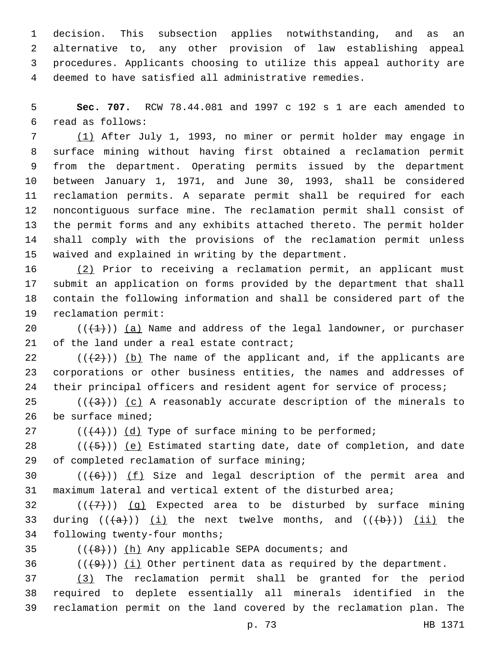decision. This subsection applies notwithstanding, and as an alternative to, any other provision of law establishing appeal procedures. Applicants choosing to utilize this appeal authority are deemed to have satisfied all administrative remedies.

 **Sec. 707.** RCW 78.44.081 and 1997 c 192 s 1 are each amended to read as follows:6

 (1) After July 1, 1993, no miner or permit holder may engage in surface mining without having first obtained a reclamation permit from the department. Operating permits issued by the department between January 1, 1971, and June 30, 1993, shall be considered reclamation permits. A separate permit shall be required for each noncontiguous surface mine. The reclamation permit shall consist of the permit forms and any exhibits attached thereto. The permit holder shall comply with the provisions of the reclamation permit unless waived and explained in writing by the department.

 (2) Prior to receiving a reclamation permit, an applicant must submit an application on forms provided by the department that shall contain the following information and shall be considered part of the 19 reclamation permit:

 $((+1+))$  (a) Name and address of the legal landowner, or purchaser 21 of the land under a real estate contract;

22  $((+2))$  (b) The name of the applicant and, if the applicants are corporations or other business entities, the names and addresses of 24 their principal officers and resident agent for service of process;

25  $((+3+))$  (c) A reasonably accurate description of the minerals to be surface mined;

27  $((+4))$   $(d)$  Type of surface mining to be performed;

 $((+5+))$  (e) Estimated starting date, date of completion, and date 29 of completed reclamation of surface mining;

30  $((+6+))$  (f) Size and legal description of the permit area and maximum lateral and vertical extent of the disturbed area;

32  $((+7+))$  (g) Expected area to be disturbed by surface mining 33 during  $((+a))$  (i) the next twelve months, and  $((+b))$  (ii) the 34 following twenty-four months;

35  $((+8))$   $(h)$  Any applicable SEPA documents; and

36  $((+9))$  (i) Other pertinent data as required by the department.

 (3) The reclamation permit shall be granted for the period required to deplete essentially all minerals identified in the reclamation permit on the land covered by the reclamation plan. The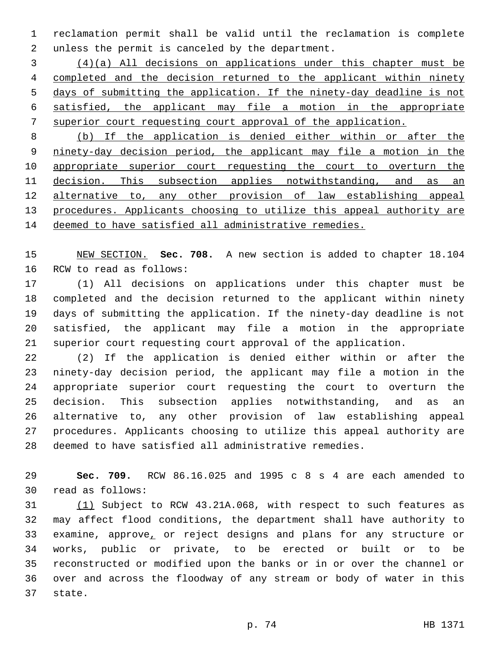reclamation permit shall be valid until the reclamation is complete 2 unless the permit is canceled by the department.

 (4)(a) All decisions on applications under this chapter must be completed and the decision returned to the applicant within ninety days of submitting the application. If the ninety-day deadline is not satisfied, the applicant may file a motion in the appropriate superior court requesting court approval of the application.

 (b) If the application is denied either within or after the ninety-day decision period, the applicant may file a motion in the appropriate superior court requesting the court to overturn the 11 decision. This subsection applies notwithstanding, and as an alternative to, any other provision of law establishing appeal procedures. Applicants choosing to utilize this appeal authority are deemed to have satisfied all administrative remedies.

 NEW SECTION. **Sec. 708.** A new section is added to chapter 18.104 16 RCW to read as follows:

 (1) All decisions on applications under this chapter must be completed and the decision returned to the applicant within ninety days of submitting the application. If the ninety-day deadline is not satisfied, the applicant may file a motion in the appropriate superior court requesting court approval of the application.

 (2) If the application is denied either within or after the ninety-day decision period, the applicant may file a motion in the appropriate superior court requesting the court to overturn the decision. This subsection applies notwithstanding, and as an alternative to, any other provision of law establishing appeal procedures. Applicants choosing to utilize this appeal authority are deemed to have satisfied all administrative remedies.

 **Sec. 709.** RCW 86.16.025 and 1995 c 8 s 4 are each amended to 30 read as follows:

 (1) Subject to RCW 43.21A.068, with respect to such features as may affect flood conditions, the department shall have authority to examine, approve, or reject designs and plans for any structure or works, public or private, to be erected or built or to be reconstructed or modified upon the banks or in or over the channel or over and across the floodway of any stream or body of water in this 37 state.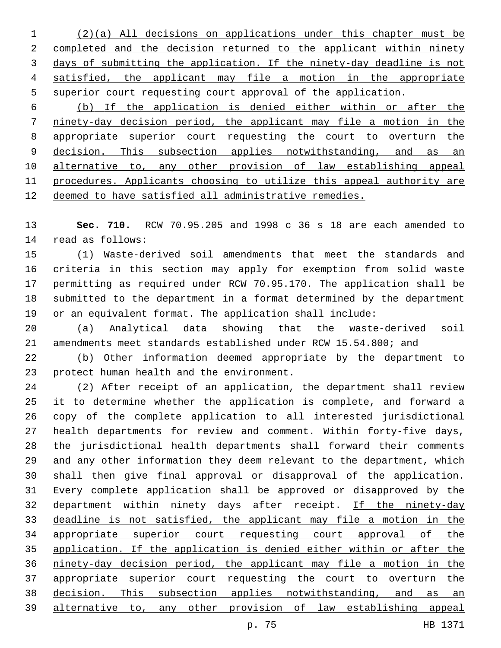(2)(a) All decisions on applications under this chapter must be completed and the decision returned to the applicant within ninety days of submitting the application. If the ninety-day deadline is not satisfied, the applicant may file a motion in the appropriate superior court requesting court approval of the application.

 (b) If the application is denied either within or after the ninety-day decision period, the applicant may file a motion in the appropriate superior court requesting the court to overturn the 9 decision. This subsection applies notwithstanding, and as an alternative to, any other provision of law establishing appeal procedures. Applicants choosing to utilize this appeal authority are deemed to have satisfied all administrative remedies.

 **Sec. 710.** RCW 70.95.205 and 1998 c 36 s 18 are each amended to 14 read as follows:

 (1) Waste-derived soil amendments that meet the standards and criteria in this section may apply for exemption from solid waste permitting as required under RCW 70.95.170. The application shall be submitted to the department in a format determined by the department or an equivalent format. The application shall include:

 (a) Analytical data showing that the waste-derived soil amendments meet standards established under RCW 15.54.800; and

 (b) Other information deemed appropriate by the department to 23 protect human health and the environment.

 (2) After receipt of an application, the department shall review it to determine whether the application is complete, and forward a copy of the complete application to all interested jurisdictional health departments for review and comment. Within forty-five days, the jurisdictional health departments shall forward their comments and any other information they deem relevant to the department, which shall then give final approval or disapproval of the application. Every complete application shall be approved or disapproved by the 32 department within ninety days after receipt. If the ninety-day deadline is not satisfied, the applicant may file a motion in the appropriate superior court requesting court approval of the application. If the application is denied either within or after the ninety-day decision period, the applicant may file a motion in the appropriate superior court requesting the court to overturn the decision. This subsection applies notwithstanding, and as an alternative to, any other provision of law establishing appeal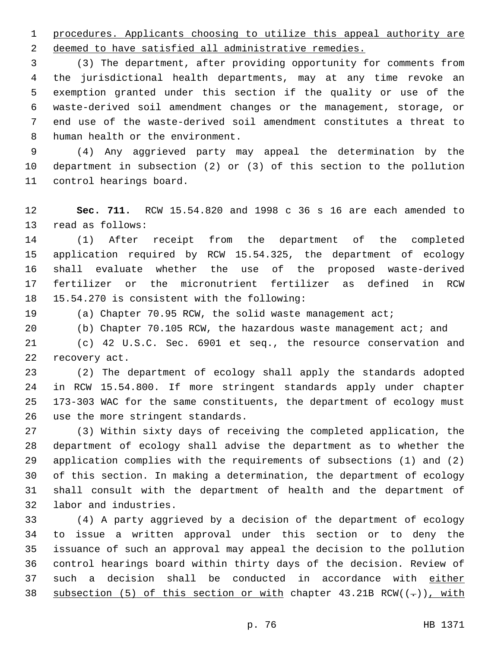procedures. Applicants choosing to utilize this appeal authority are deemed to have satisfied all administrative remedies.

 (3) The department, after providing opportunity for comments from the jurisdictional health departments, may at any time revoke an exemption granted under this section if the quality or use of the waste-derived soil amendment changes or the management, storage, or end use of the waste-derived soil amendment constitutes a threat to 8 human health or the environment.

 (4) Any aggrieved party may appeal the determination by the department in subsection (2) or (3) of this section to the pollution 11 control hearings board.

 **Sec. 711.** RCW 15.54.820 and 1998 c 36 s 16 are each amended to 13 read as follows:

 (1) After receipt from the department of the completed application required by RCW 15.54.325, the department of ecology shall evaluate whether the use of the proposed waste-derived fertilizer or the micronutrient fertilizer as defined in RCW 18 15.54.270 is consistent with the following:

(a) Chapter 70.95 RCW, the solid waste management act;

(b) Chapter 70.105 RCW, the hazardous waste management act; and

 (c) 42 U.S.C. Sec. 6901 et seq., the resource conservation and 22 recovery act.

 (2) The department of ecology shall apply the standards adopted in RCW 15.54.800. If more stringent standards apply under chapter 173-303 WAC for the same constituents, the department of ecology must 26 use the more stringent standards.

 (3) Within sixty days of receiving the completed application, the department of ecology shall advise the department as to whether the application complies with the requirements of subsections (1) and (2) of this section. In making a determination, the department of ecology shall consult with the department of health and the department of 32 labor and industries.

 (4) A party aggrieved by a decision of the department of ecology to issue a written approval under this section or to deny the issuance of such an approval may appeal the decision to the pollution control hearings board within thirty days of the decision. Review of 37 such a decision shall be conducted in accordance with either 38 subsection (5) of this section or with chapter 43.21B RCW( $(-)$ ), with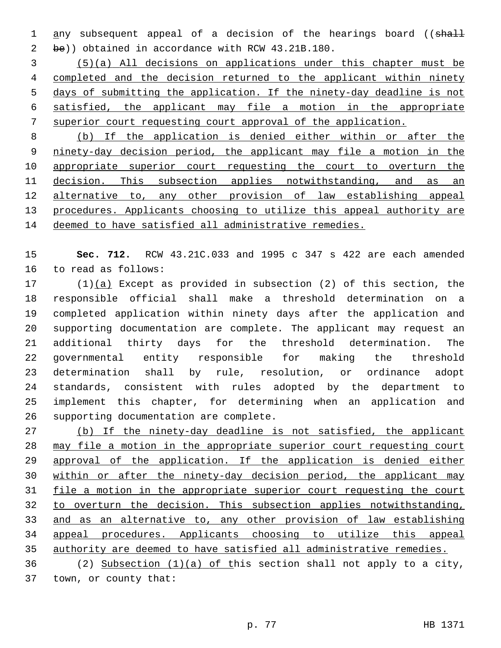1 any subsequent appeal of a decision of the hearings board ((shall be)) obtained in accordance with RCW 43.21B.180.2

 (5)(a) All decisions on applications under this chapter must be completed and the decision returned to the applicant within ninety days of submitting the application. If the ninety-day deadline is not satisfied, the applicant may file a motion in the appropriate superior court requesting court approval of the application.

 (b) If the application is denied either within or after the ninety-day decision period, the applicant may file a motion in the appropriate superior court requesting the court to overturn the decision. This subsection applies notwithstanding, and as an alternative to, any other provision of law establishing appeal procedures. Applicants choosing to utilize this appeal authority are deemed to have satisfied all administrative remedies.

 **Sec. 712.** RCW 43.21C.033 and 1995 c 347 s 422 are each amended 16 to read as follows:

 (1)(a) Except as provided in subsection (2) of this section, the responsible official shall make a threshold determination on a completed application within ninety days after the application and supporting documentation are complete. The applicant may request an additional thirty days for the threshold determination. The governmental entity responsible for making the threshold determination shall by rule, resolution, or ordinance adopt standards, consistent with rules adopted by the department to implement this chapter, for determining when an application and 26 supporting documentation are complete.

 (b) If the ninety-day deadline is not satisfied, the applicant may file a motion in the appropriate superior court requesting court approval of the application. If the application is denied either within or after the ninety-day decision period, the applicant may file a motion in the appropriate superior court requesting the court 32 to overturn the decision. This subsection applies notwithstanding, and as an alternative to, any other provision of law establishing appeal procedures. Applicants choosing to utilize this appeal authority are deemed to have satisfied all administrative remedies.

36 (2) Subsection  $(1)(a)$  of this section shall not apply to a city, 37 town, or county that: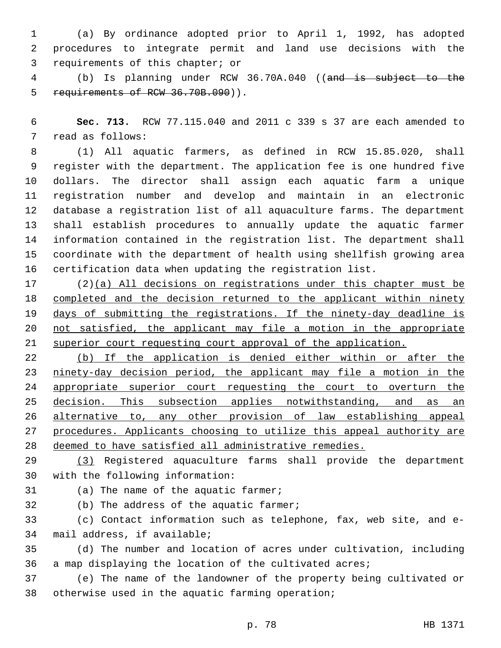(a) By ordinance adopted prior to April 1, 1992, has adopted procedures to integrate permit and land use decisions with the 3 requirements of this chapter; or

 (b) Is planning under RCW 36.70A.040 ((and is subject to the 5 requirements of RCW 36.70B.090)).

 **Sec. 713.** RCW 77.115.040 and 2011 c 339 s 37 are each amended to 7 read as follows:

 (1) All aquatic farmers, as defined in RCW 15.85.020, shall register with the department. The application fee is one hundred five dollars. The director shall assign each aquatic farm a unique registration number and develop and maintain in an electronic database a registration list of all aquaculture farms. The department shall establish procedures to annually update the aquatic farmer information contained in the registration list. The department shall coordinate with the department of health using shellfish growing area certification data when updating the registration list.

 (2)(a) All decisions on registrations under this chapter must be completed and the decision returned to the applicant within ninety days of submitting the registrations. If the ninety-day deadline is not satisfied, the applicant may file a motion in the appropriate superior court requesting court approval of the application.

22 (b) If the application is denied either within or after the ninety-day decision period, the applicant may file a motion in the appropriate superior court requesting the court to overturn the 25 decision. This subsection applies notwithstanding, and as an alternative to, any other provision of law establishing appeal procedures. Applicants choosing to utilize this appeal authority are deemed to have satisfied all administrative remedies.

 (3) Registered aquaculture farms shall provide the department 30 with the following information:

31 (a) The name of the aquatic farmer;

(b) The address of the aquatic farmer;

 (c) Contact information such as telephone, fax, web site, and e-34 mail address, if available;

 (d) The number and location of acres under cultivation, including a map displaying the location of the cultivated acres;

 (e) The name of the landowner of the property being cultivated or 38 otherwise used in the aquatic farming operation;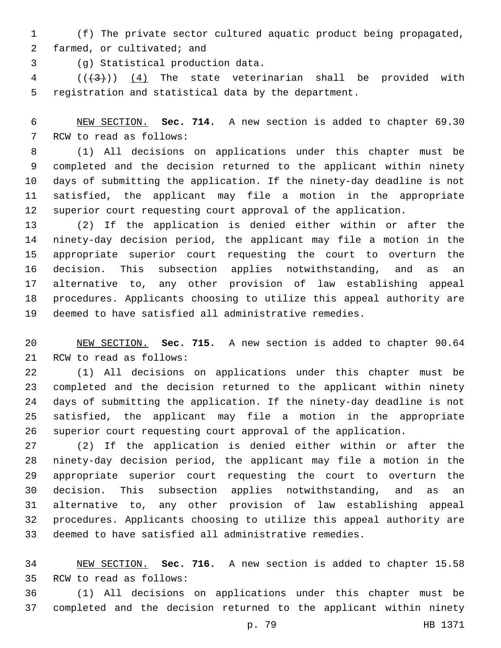(f) The private sector cultured aquatic product being propagated, 2 farmed, or cultivated; and

(g) Statistical production data.3

 (( $(3)$ ))  $(4)$  The state veterinarian shall be provided with registration and statistical data by the department.

 NEW SECTION. **Sec. 714.** A new section is added to chapter 69.30 7 RCW to read as follows:

 (1) All decisions on applications under this chapter must be completed and the decision returned to the applicant within ninety days of submitting the application. If the ninety-day deadline is not satisfied, the applicant may file a motion in the appropriate superior court requesting court approval of the application.

 (2) If the application is denied either within or after the ninety-day decision period, the applicant may file a motion in the appropriate superior court requesting the court to overturn the decision. This subsection applies notwithstanding, and as an alternative to, any other provision of law establishing appeal procedures. Applicants choosing to utilize this appeal authority are deemed to have satisfied all administrative remedies.

 NEW SECTION. **Sec. 715.** A new section is added to chapter 90.64 21 RCW to read as follows:

 (1) All decisions on applications under this chapter must be completed and the decision returned to the applicant within ninety days of submitting the application. If the ninety-day deadline is not satisfied, the applicant may file a motion in the appropriate superior court requesting court approval of the application.

 (2) If the application is denied either within or after the ninety-day decision period, the applicant may file a motion in the appropriate superior court requesting the court to overturn the decision. This subsection applies notwithstanding, and as an alternative to, any other provision of law establishing appeal procedures. Applicants choosing to utilize this appeal authority are deemed to have satisfied all administrative remedies.

 NEW SECTION. **Sec. 716.** A new section is added to chapter 15.58 35 RCW to read as follows:

 (1) All decisions on applications under this chapter must be completed and the decision returned to the applicant within ninety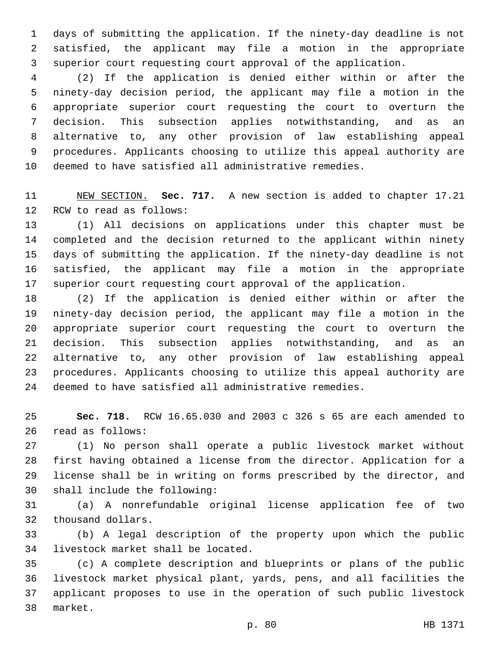days of submitting the application. If the ninety-day deadline is not satisfied, the applicant may file a motion in the appropriate superior court requesting court approval of the application.

 (2) If the application is denied either within or after the ninety-day decision period, the applicant may file a motion in the appropriate superior court requesting the court to overturn the decision. This subsection applies notwithstanding, and as an alternative to, any other provision of law establishing appeal procedures. Applicants choosing to utilize this appeal authority are deemed to have satisfied all administrative remedies.

 NEW SECTION. **Sec. 717.** A new section is added to chapter 17.21 12 RCW to read as follows:

 (1) All decisions on applications under this chapter must be completed and the decision returned to the applicant within ninety days of submitting the application. If the ninety-day deadline is not satisfied, the applicant may file a motion in the appropriate superior court requesting court approval of the application.

 (2) If the application is denied either within or after the ninety-day decision period, the applicant may file a motion in the appropriate superior court requesting the court to overturn the decision. This subsection applies notwithstanding, and as an alternative to, any other provision of law establishing appeal procedures. Applicants choosing to utilize this appeal authority are deemed to have satisfied all administrative remedies.

 **Sec. 718.** RCW 16.65.030 and 2003 c 326 s 65 are each amended to 26 read as follows:

 (1) No person shall operate a public livestock market without first having obtained a license from the director. Application for a license shall be in writing on forms prescribed by the director, and 30 shall include the following:

 (a) A nonrefundable original license application fee of two 32 thousand dollars.

 (b) A legal description of the property upon which the public 34 livestock market shall be located.

 (c) A complete description and blueprints or plans of the public livestock market physical plant, yards, pens, and all facilities the applicant proposes to use in the operation of such public livestock 38 market.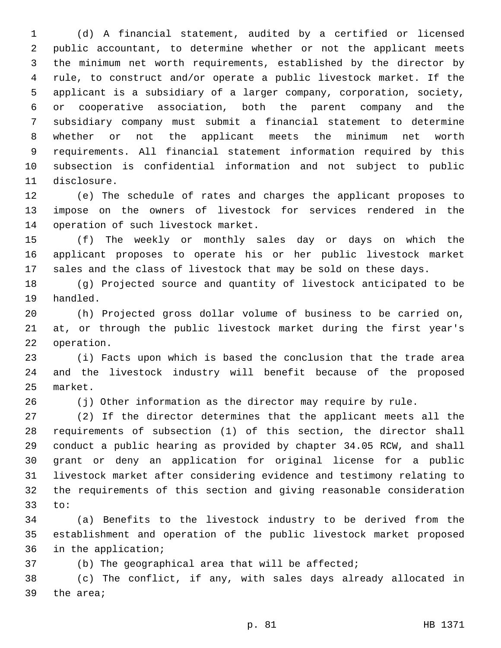(d) A financial statement, audited by a certified or licensed public accountant, to determine whether or not the applicant meets the minimum net worth requirements, established by the director by rule, to construct and/or operate a public livestock market. If the applicant is a subsidiary of a larger company, corporation, society, or cooperative association, both the parent company and the subsidiary company must submit a financial statement to determine whether or not the applicant meets the minimum net worth requirements. All financial statement information required by this subsection is confidential information and not subject to public 11 disclosure.

 (e) The schedule of rates and charges the applicant proposes to impose on the owners of livestock for services rendered in the 14 operation of such livestock market.

 (f) The weekly or monthly sales day or days on which the applicant proposes to operate his or her public livestock market sales and the class of livestock that may be sold on these days.

 (g) Projected source and quantity of livestock anticipated to be 19 handled.

 (h) Projected gross dollar volume of business to be carried on, at, or through the public livestock market during the first year's 22 operation.

 (i) Facts upon which is based the conclusion that the trade area and the livestock industry will benefit because of the proposed 25 market.

(j) Other information as the director may require by rule.

 (2) If the director determines that the applicant meets all the requirements of subsection (1) of this section, the director shall conduct a public hearing as provided by chapter 34.05 RCW, and shall grant or deny an application for original license for a public livestock market after considering evidence and testimony relating to the requirements of this section and giving reasonable consideration 33 to:

 (a) Benefits to the livestock industry to be derived from the establishment and operation of the public livestock market proposed 36 in the application;

(b) The geographical area that will be affected;

 (c) The conflict, if any, with sales days already allocated in 39 the area;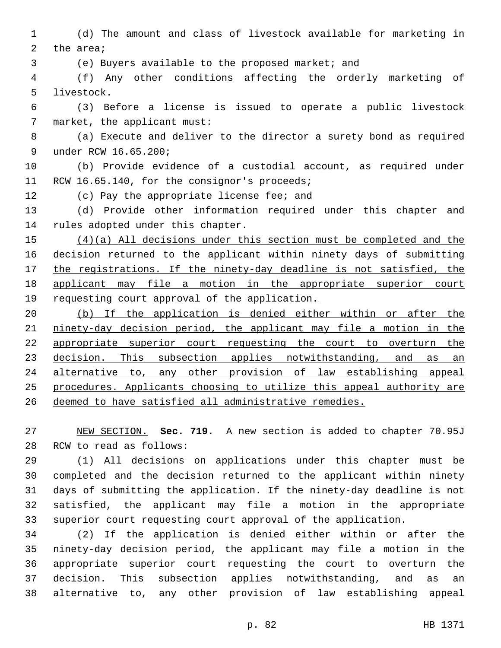(d) The amount and class of livestock available for marketing in 2 the area;

(e) Buyers available to the proposed market; and

 (f) Any other conditions affecting the orderly marketing of 5 livestock.

 (3) Before a license is issued to operate a public livestock 7 market, the applicant must:

 (a) Execute and deliver to the director a surety bond as required 9 under RCW 16.65.200;

 (b) Provide evidence of a custodial account, as required under 11 RCW 16.65.140, for the consignor's proceeds;

12 (c) Pay the appropriate license fee; and

 (d) Provide other information required under this chapter and 14 rules adopted under this chapter.

 (4)(a) All decisions under this section must be completed and the decision returned to the applicant within ninety days of submitting the registrations. If the ninety-day deadline is not satisfied, the applicant may file a motion in the appropriate superior court 19 requesting court approval of the application.

 (b) If the application is denied either within or after the ninety-day decision period, the applicant may file a motion in the appropriate superior court requesting the court to overturn the 23 decision. This subsection applies notwithstanding, and as an alternative to, any other provision of law establishing appeal procedures. Applicants choosing to utilize this appeal authority are deemed to have satisfied all administrative remedies.

 NEW SECTION. **Sec. 719.** A new section is added to chapter 70.95J 28 RCW to read as follows:

 (1) All decisions on applications under this chapter must be completed and the decision returned to the applicant within ninety days of submitting the application. If the ninety-day deadline is not satisfied, the applicant may file a motion in the appropriate superior court requesting court approval of the application.

 (2) If the application is denied either within or after the ninety-day decision period, the applicant may file a motion in the appropriate superior court requesting the court to overturn the decision. This subsection applies notwithstanding, and as an alternative to, any other provision of law establishing appeal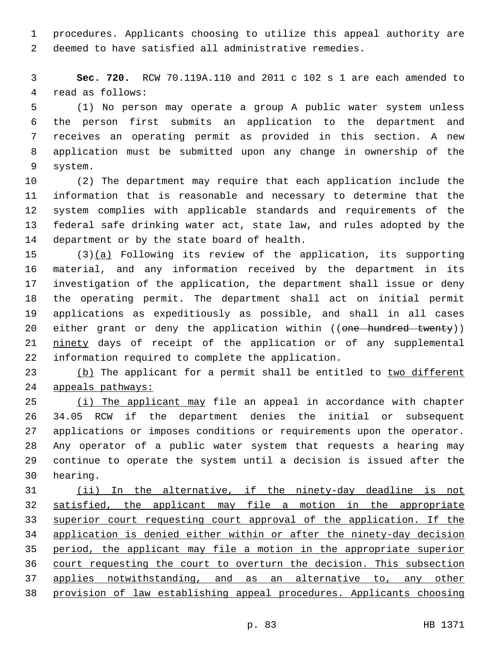procedures. Applicants choosing to utilize this appeal authority are deemed to have satisfied all administrative remedies.

 **Sec. 720.** RCW 70.119A.110 and 2011 c 102 s 1 are each amended to 4 read as follows:

 (1) No person may operate a group A public water system unless the person first submits an application to the department and receives an operating permit as provided in this section. A new application must be submitted upon any change in ownership of the 9 system.

 (2) The department may require that each application include the information that is reasonable and necessary to determine that the system complies with applicable standards and requirements of the federal safe drinking water act, state law, and rules adopted by the 14 department or by the state board of health.

 (3)(a) Following its review of the application, its supporting material, and any information received by the department in its investigation of the application, the department shall issue or deny the operating permit. The department shall act on initial permit applications as expeditiously as possible, and shall in all cases 20 either grant or deny the application within ((one hundred twenty)) ninety days of receipt of the application or of any supplemental 22 information required to complete the application.

23 (b) The applicant for a permit shall be entitled to two different appeals pathways:

25 (i) The applicant may file an appeal in accordance with chapter 34.05 RCW if the department denies the initial or subsequent applications or imposes conditions or requirements upon the operator. Any operator of a public water system that requests a hearing may continue to operate the system until a decision is issued after the 30 hearing.

 (ii) In the alternative, if the ninety-day deadline is not 32 satisfied, the applicant may file a motion in the appropriate superior court requesting court approval of the application. If the application is denied either within or after the ninety-day decision period, the applicant may file a motion in the appropriate superior court requesting the court to overturn the decision. This subsection applies notwithstanding, and as an alternative to, any other provision of law establishing appeal procedures. Applicants choosing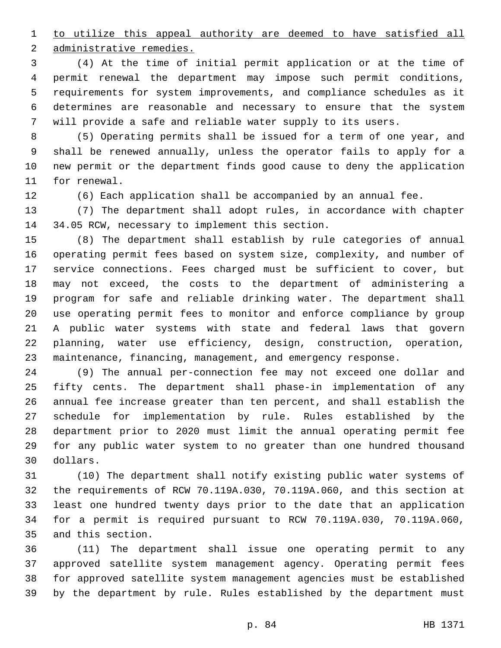to utilize this appeal authority are deemed to have satisfied all 2 administrative remedies.

 (4) At the time of initial permit application or at the time of permit renewal the department may impose such permit conditions, requirements for system improvements, and compliance schedules as it determines are reasonable and necessary to ensure that the system will provide a safe and reliable water supply to its users.

 (5) Operating permits shall be issued for a term of one year, and shall be renewed annually, unless the operator fails to apply for a new permit or the department finds good cause to deny the application 11 for renewal.

(6) Each application shall be accompanied by an annual fee.

 (7) The department shall adopt rules, in accordance with chapter 14 34.05 RCW, necessary to implement this section.

 (8) The department shall establish by rule categories of annual operating permit fees based on system size, complexity, and number of service connections. Fees charged must be sufficient to cover, but may not exceed, the costs to the department of administering a program for safe and reliable drinking water. The department shall use operating permit fees to monitor and enforce compliance by group A public water systems with state and federal laws that govern planning, water use efficiency, design, construction, operation, maintenance, financing, management, and emergency response.

 (9) The annual per-connection fee may not exceed one dollar and fifty cents. The department shall phase-in implementation of any annual fee increase greater than ten percent, and shall establish the schedule for implementation by rule. Rules established by the department prior to 2020 must limit the annual operating permit fee for any public water system to no greater than one hundred thousand dollars.30

 (10) The department shall notify existing public water systems of the requirements of RCW 70.119A.030, 70.119A.060, and this section at least one hundred twenty days prior to the date that an application for a permit is required pursuant to RCW 70.119A.030, 70.119A.060, 35 and this section.

 (11) The department shall issue one operating permit to any approved satellite system management agency. Operating permit fees for approved satellite system management agencies must be established by the department by rule. Rules established by the department must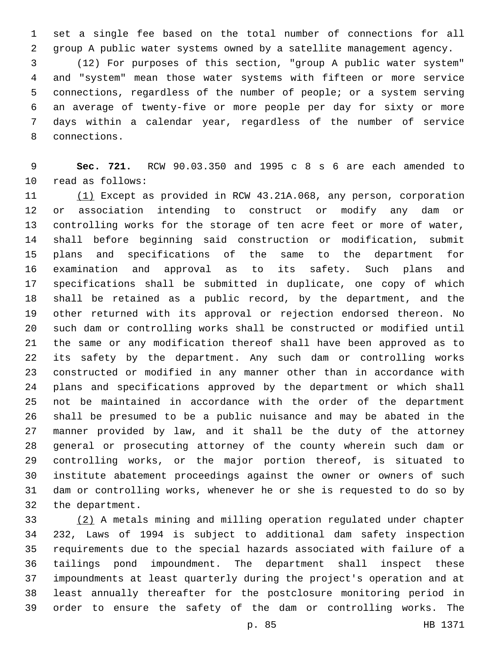set a single fee based on the total number of connections for all group A public water systems owned by a satellite management agency.

 (12) For purposes of this section, "group A public water system" and "system" mean those water systems with fifteen or more service connections, regardless of the number of people; or a system serving an average of twenty-five or more people per day for sixty or more days within a calendar year, regardless of the number of service 8 connections.

 **Sec. 721.** RCW 90.03.350 and 1995 c 8 s 6 are each amended to 10 read as follows:

 (1) Except as provided in RCW 43.21A.068, any person, corporation or association intending to construct or modify any dam or controlling works for the storage of ten acre feet or more of water, shall before beginning said construction or modification, submit plans and specifications of the same to the department for examination and approval as to its safety. Such plans and specifications shall be submitted in duplicate, one copy of which shall be retained as a public record, by the department, and the other returned with its approval or rejection endorsed thereon. No such dam or controlling works shall be constructed or modified until the same or any modification thereof shall have been approved as to its safety by the department. Any such dam or controlling works constructed or modified in any manner other than in accordance with plans and specifications approved by the department or which shall not be maintained in accordance with the order of the department shall be presumed to be a public nuisance and may be abated in the manner provided by law, and it shall be the duty of the attorney general or prosecuting attorney of the county wherein such dam or controlling works, or the major portion thereof, is situated to institute abatement proceedings against the owner or owners of such dam or controlling works, whenever he or she is requested to do so by 32 the department.

 (2) A metals mining and milling operation regulated under chapter 232, Laws of 1994 is subject to additional dam safety inspection requirements due to the special hazards associated with failure of a tailings pond impoundment. The department shall inspect these impoundments at least quarterly during the project's operation and at least annually thereafter for the postclosure monitoring period in order to ensure the safety of the dam or controlling works. The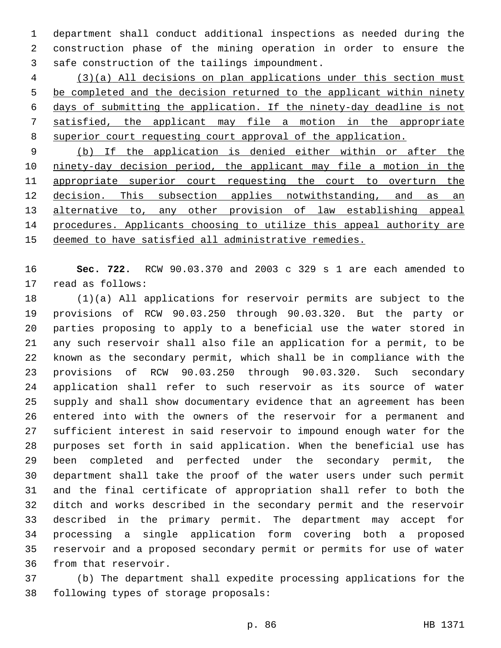department shall conduct additional inspections as needed during the construction phase of the mining operation in order to ensure the 3 safe construction of the tailings impoundment.

 (3)(a) All decisions on plan applications under this section must be completed and the decision returned to the applicant within ninety days of submitting the application. If the ninety-day deadline is not satisfied, the applicant may file a motion in the appropriate superior court requesting court approval of the application.

 (b) If the application is denied either within or after the ninety-day decision period, the applicant may file a motion in the appropriate superior court requesting the court to overturn the 12 decision. This subsection applies notwithstanding, and as an alternative to, any other provision of law establishing appeal procedures. Applicants choosing to utilize this appeal authority are deemed to have satisfied all administrative remedies.

 **Sec. 722.** RCW 90.03.370 and 2003 c 329 s 1 are each amended to 17 read as follows:

 (1)(a) All applications for reservoir permits are subject to the provisions of RCW 90.03.250 through 90.03.320. But the party or parties proposing to apply to a beneficial use the water stored in any such reservoir shall also file an application for a permit, to be known as the secondary permit, which shall be in compliance with the provisions of RCW 90.03.250 through 90.03.320. Such secondary application shall refer to such reservoir as its source of water supply and shall show documentary evidence that an agreement has been entered into with the owners of the reservoir for a permanent and sufficient interest in said reservoir to impound enough water for the purposes set forth in said application. When the beneficial use has been completed and perfected under the secondary permit, the department shall take the proof of the water users under such permit and the final certificate of appropriation shall refer to both the ditch and works described in the secondary permit and the reservoir described in the primary permit. The department may accept for processing a single application form covering both a proposed reservoir and a proposed secondary permit or permits for use of water 36 from that reservoir.

 (b) The department shall expedite processing applications for the 38 following types of storage proposals: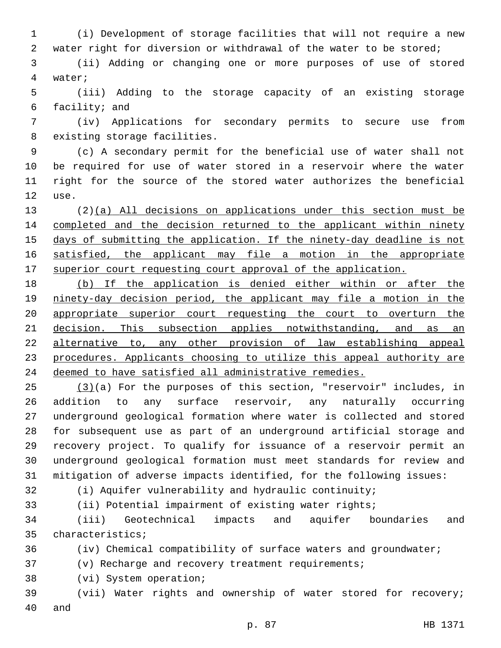(i) Development of storage facilities that will not require a new 2 water right for diversion or withdrawal of the water to be stored;

 (ii) Adding or changing one or more purposes of use of stored water;4

 (iii) Adding to the storage capacity of an existing storage 6 facility; and

 (iv) Applications for secondary permits to secure use from 8 existing storage facilities.

 (c) A secondary permit for the beneficial use of water shall not be required for use of water stored in a reservoir where the water right for the source of the stored water authorizes the beneficial 12 use.

 (2)(a) All decisions on applications under this section must be 14 completed and the decision returned to the applicant within ninety 15 days of submitting the application. If the ninety-day deadline is not satisfied, the applicant may file a motion in the appropriate superior court requesting court approval of the application.

 (b) If the application is denied either within or after the ninety-day decision period, the applicant may file a motion in the appropriate superior court requesting the court to overturn the decision. This subsection applies notwithstanding, and as an alternative to, any other provision of law establishing appeal procedures. Applicants choosing to utilize this appeal authority are deemed to have satisfied all administrative remedies.

 (3)(a) For the purposes of this section, "reservoir" includes, in addition to any surface reservoir, any naturally occurring underground geological formation where water is collected and stored for subsequent use as part of an underground artificial storage and recovery project. To qualify for issuance of a reservoir permit an underground geological formation must meet standards for review and mitigation of adverse impacts identified, for the following issues:

(i) Aquifer vulnerability and hydraulic continuity;

(ii) Potential impairment of existing water rights;

 (iii) Geotechnical impacts and aquifer boundaries and 35 characteristics;

(iv) Chemical compatibility of surface waters and groundwater;

(v) Recharge and recovery treatment requirements;

38 (vi) System operation;

 (vii) Water rights and ownership of water stored for recovery; 40 and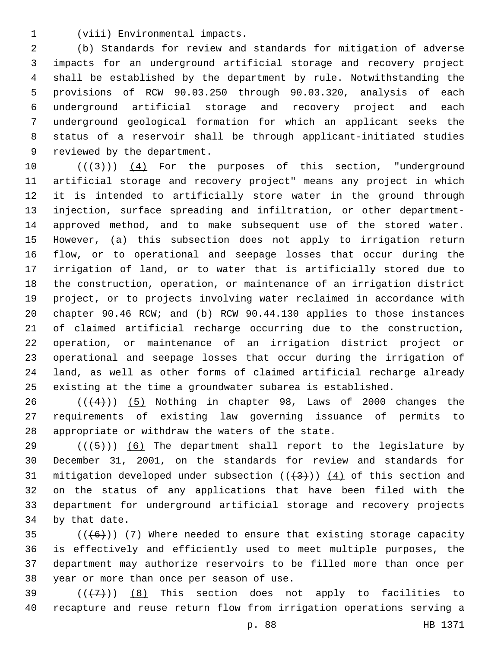(viii) Environmental impacts.1

 (b) Standards for review and standards for mitigation of adverse impacts for an underground artificial storage and recovery project shall be established by the department by rule. Notwithstanding the provisions of RCW 90.03.250 through 90.03.320, analysis of each underground artificial storage and recovery project and each underground geological formation for which an applicant seeks the status of a reservoir shall be through applicant-initiated studies 9 reviewed by the department.

 $((+3+))$   $(4)$  For the purposes of this section, "underground artificial storage and recovery project" means any project in which it is intended to artificially store water in the ground through injection, surface spreading and infiltration, or other department- approved method, and to make subsequent use of the stored water. However, (a) this subsection does not apply to irrigation return flow, or to operational and seepage losses that occur during the irrigation of land, or to water that is artificially stored due to the construction, operation, or maintenance of an irrigation district project, or to projects involving water reclaimed in accordance with chapter 90.46 RCW; and (b) RCW 90.44.130 applies to those instances of claimed artificial recharge occurring due to the construction, operation, or maintenance of an irrigation district project or operational and seepage losses that occur during the irrigation of land, as well as other forms of claimed artificial recharge already existing at the time a groundwater subarea is established.

 ( $(44)$ )) (5) Nothing in chapter 98, Laws of 2000 changes the requirements of existing law governing issuance of permits to 28 appropriate or withdraw the waters of the state.

 $((+5+))$  (6) The department shall report to the legislature by December 31, 2001, on the standards for review and standards for 31 mitigation developed under subsection  $((+3))$   $(4)$  of this section and on the status of any applications that have been filed with the department for underground artificial storage and recovery projects 34 by that date.

 $((+6))$   $(7)$  Where needed to ensure that existing storage capacity is effectively and efficiently used to meet multiple purposes, the department may authorize reservoirs to be filled more than once per 38 year or more than once per season of use.

39  $((+7+))$   $(8)$  This section does not apply to facilities to recapture and reuse return flow from irrigation operations serving a

p. 88 HB 1371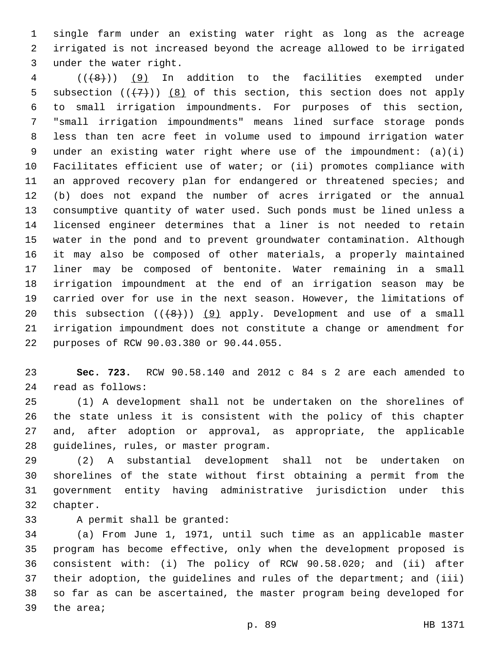single farm under an existing water right as long as the acreage irrigated is not increased beyond the acreage allowed to be irrigated 3 under the water right.

 (( $\left(\frac{1}{8}\right)$ ) (9) In addition to the facilities exempted under 5 subsection  $((+7))$   $(8)$  of this section, this section does not apply to small irrigation impoundments. For purposes of this section, "small irrigation impoundments" means lined surface storage ponds less than ten acre feet in volume used to impound irrigation water under an existing water right where use of the impoundment: (a)(i) Facilitates efficient use of water; or (ii) promotes compliance with 11 an approved recovery plan for endangered or threatened species; and (b) does not expand the number of acres irrigated or the annual consumptive quantity of water used. Such ponds must be lined unless a licensed engineer determines that a liner is not needed to retain water in the pond and to prevent groundwater contamination. Although it may also be composed of other materials, a properly maintained liner may be composed of bentonite. Water remaining in a small irrigation impoundment at the end of an irrigation season may be carried over for use in the next season. However, the limitations of 20 this subsection  $((+8))$  (9) apply. Development and use of a small irrigation impoundment does not constitute a change or amendment for purposes of RCW 90.03.380 or 90.44.055.22

 **Sec. 723.** RCW 90.58.140 and 2012 c 84 s 2 are each amended to read as follows:24

 (1) A development shall not be undertaken on the shorelines of the state unless it is consistent with the policy of this chapter and, after adoption or approval, as appropriate, the applicable 28 quidelines, rules, or master program.

 (2) A substantial development shall not be undertaken on shorelines of the state without first obtaining a permit from the government entity having administrative jurisdiction under this 32 chapter.

33 A permit shall be granted:

 (a) From June 1, 1971, until such time as an applicable master program has become effective, only when the development proposed is consistent with: (i) The policy of RCW 90.58.020; and (ii) after their adoption, the guidelines and rules of the department; and (iii) so far as can be ascertained, the master program being developed for 39 the area;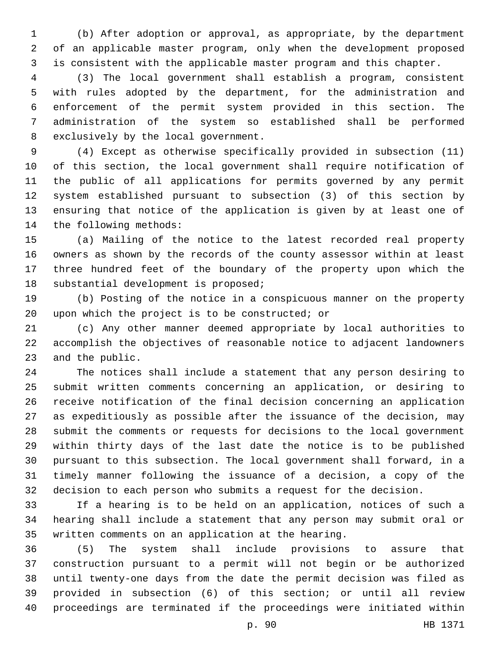(b) After adoption or approval, as appropriate, by the department of an applicable master program, only when the development proposed is consistent with the applicable master program and this chapter.

 (3) The local government shall establish a program, consistent with rules adopted by the department, for the administration and enforcement of the permit system provided in this section. The administration of the system so established shall be performed 8 exclusively by the local government.

 (4) Except as otherwise specifically provided in subsection (11) of this section, the local government shall require notification of the public of all applications for permits governed by any permit system established pursuant to subsection (3) of this section by ensuring that notice of the application is given by at least one of 14 the following methods:

 (a) Mailing of the notice to the latest recorded real property owners as shown by the records of the county assessor within at least three hundred feet of the boundary of the property upon which the 18 substantial development is proposed;

 (b) Posting of the notice in a conspicuous manner on the property upon which the project is to be constructed; or

 (c) Any other manner deemed appropriate by local authorities to accomplish the objectives of reasonable notice to adjacent landowners 23 and the public.

 The notices shall include a statement that any person desiring to submit written comments concerning an application, or desiring to receive notification of the final decision concerning an application as expeditiously as possible after the issuance of the decision, may submit the comments or requests for decisions to the local government within thirty days of the last date the notice is to be published pursuant to this subsection. The local government shall forward, in a timely manner following the issuance of a decision, a copy of the decision to each person who submits a request for the decision.

 If a hearing is to be held on an application, notices of such a hearing shall include a statement that any person may submit oral or written comments on an application at the hearing.

 (5) The system shall include provisions to assure that construction pursuant to a permit will not begin or be authorized until twenty-one days from the date the permit decision was filed as provided in subsection (6) of this section; or until all review proceedings are terminated if the proceedings were initiated within

p. 90 HB 1371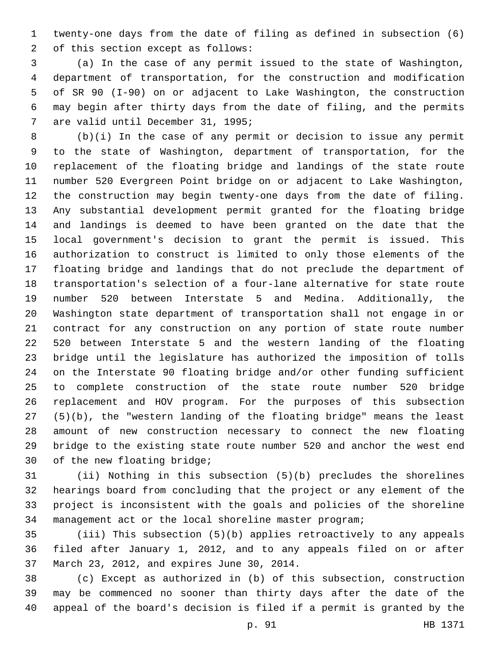twenty-one days from the date of filing as defined in subsection (6) 2 of this section except as follows:

 (a) In the case of any permit issued to the state of Washington, department of transportation, for the construction and modification of SR 90 (I-90) on or adjacent to Lake Washington, the construction may begin after thirty days from the date of filing, and the permits 7 are valid until December 31, 1995;

 (b)(i) In the case of any permit or decision to issue any permit to the state of Washington, department of transportation, for the replacement of the floating bridge and landings of the state route number 520 Evergreen Point bridge on or adjacent to Lake Washington, the construction may begin twenty-one days from the date of filing. Any substantial development permit granted for the floating bridge and landings is deemed to have been granted on the date that the local government's decision to grant the permit is issued. This authorization to construct is limited to only those elements of the floating bridge and landings that do not preclude the department of transportation's selection of a four-lane alternative for state route number 520 between Interstate 5 and Medina. Additionally, the Washington state department of transportation shall not engage in or contract for any construction on any portion of state route number 520 between Interstate 5 and the western landing of the floating bridge until the legislature has authorized the imposition of tolls on the Interstate 90 floating bridge and/or other funding sufficient to complete construction of the state route number 520 bridge replacement and HOV program. For the purposes of this subsection (5)(b), the "western landing of the floating bridge" means the least amount of new construction necessary to connect the new floating bridge to the existing state route number 520 and anchor the west end 30 of the new floating bridge;

 (ii) Nothing in this subsection (5)(b) precludes the shorelines hearings board from concluding that the project or any element of the project is inconsistent with the goals and policies of the shoreline management act or the local shoreline master program;

 (iii) This subsection (5)(b) applies retroactively to any appeals filed after January 1, 2012, and to any appeals filed on or after 37 March 23, 2012, and expires June 30, 2014.

 (c) Except as authorized in (b) of this subsection, construction may be commenced no sooner than thirty days after the date of the appeal of the board's decision is filed if a permit is granted by the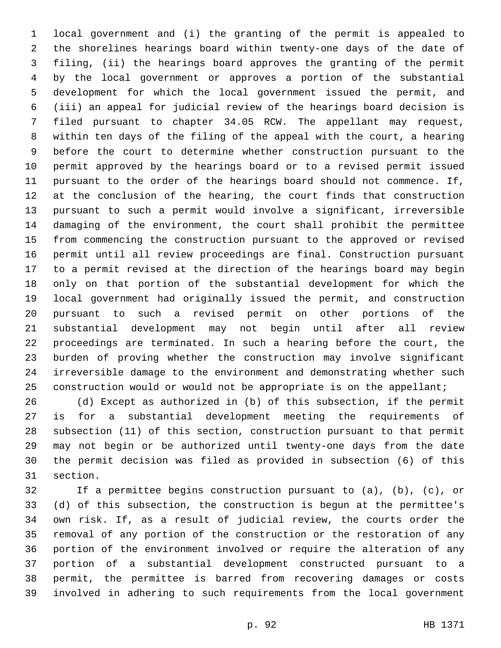local government and (i) the granting of the permit is appealed to the shorelines hearings board within twenty-one days of the date of filing, (ii) the hearings board approves the granting of the permit by the local government or approves a portion of the substantial development for which the local government issued the permit, and (iii) an appeal for judicial review of the hearings board decision is filed pursuant to chapter 34.05 RCW. The appellant may request, within ten days of the filing of the appeal with the court, a hearing before the court to determine whether construction pursuant to the permit approved by the hearings board or to a revised permit issued pursuant to the order of the hearings board should not commence. If, at the conclusion of the hearing, the court finds that construction pursuant to such a permit would involve a significant, irreversible damaging of the environment, the court shall prohibit the permittee from commencing the construction pursuant to the approved or revised permit until all review proceedings are final. Construction pursuant to a permit revised at the direction of the hearings board may begin only on that portion of the substantial development for which the local government had originally issued the permit, and construction pursuant to such a revised permit on other portions of the substantial development may not begin until after all review proceedings are terminated. In such a hearing before the court, the burden of proving whether the construction may involve significant irreversible damage to the environment and demonstrating whether such 25 construction would or would not be appropriate is on the appellant;

 (d) Except as authorized in (b) of this subsection, if the permit is for a substantial development meeting the requirements of subsection (11) of this section, construction pursuant to that permit may not begin or be authorized until twenty-one days from the date the permit decision was filed as provided in subsection (6) of this 31 section.

 If a permittee begins construction pursuant to (a), (b), (c), or (d) of this subsection, the construction is begun at the permittee's own risk. If, as a result of judicial review, the courts order the removal of any portion of the construction or the restoration of any portion of the environment involved or require the alteration of any portion of a substantial development constructed pursuant to a permit, the permittee is barred from recovering damages or costs involved in adhering to such requirements from the local government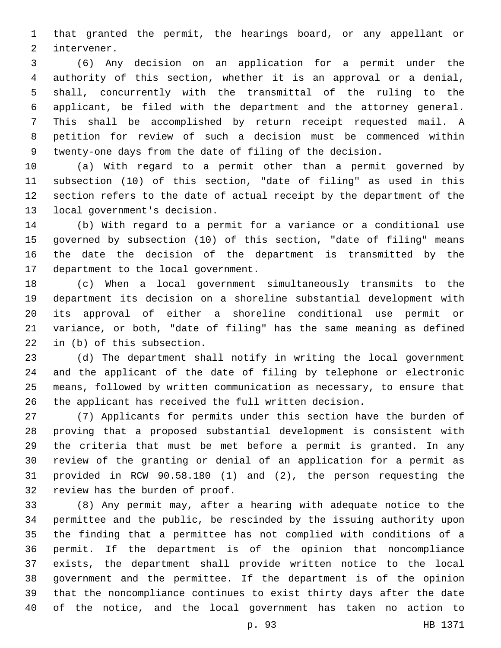that granted the permit, the hearings board, or any appellant or 2 intervener.

 (6) Any decision on an application for a permit under the authority of this section, whether it is an approval or a denial, shall, concurrently with the transmittal of the ruling to the applicant, be filed with the department and the attorney general. This shall be accomplished by return receipt requested mail. A petition for review of such a decision must be commenced within twenty-one days from the date of filing of the decision.

 (a) With regard to a permit other than a permit governed by subsection (10) of this section, "date of filing" as used in this section refers to the date of actual receipt by the department of the 13 local government's decision.

 (b) With regard to a permit for a variance or a conditional use governed by subsection (10) of this section, "date of filing" means the date the decision of the department is transmitted by the 17 department to the local government.

 (c) When a local government simultaneously transmits to the department its decision on a shoreline substantial development with its approval of either a shoreline conditional use permit or variance, or both, "date of filing" has the same meaning as defined 22 in (b) of this subsection.

 (d) The department shall notify in writing the local government and the applicant of the date of filing by telephone or electronic means, followed by written communication as necessary, to ensure that the applicant has received the full written decision.

 (7) Applicants for permits under this section have the burden of proving that a proposed substantial development is consistent with the criteria that must be met before a permit is granted. In any review of the granting or denial of an application for a permit as provided in RCW 90.58.180 (1) and (2), the person requesting the 32 review has the burden of proof.

 (8) Any permit may, after a hearing with adequate notice to the permittee and the public, be rescinded by the issuing authority upon the finding that a permittee has not complied with conditions of a permit. If the department is of the opinion that noncompliance exists, the department shall provide written notice to the local government and the permittee. If the department is of the opinion that the noncompliance continues to exist thirty days after the date of the notice, and the local government has taken no action to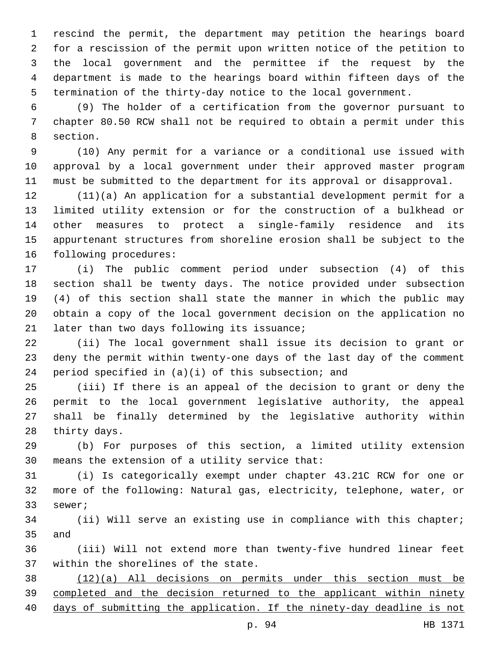rescind the permit, the department may petition the hearings board for a rescission of the permit upon written notice of the petition to the local government and the permittee if the request by the department is made to the hearings board within fifteen days of the termination of the thirty-day notice to the local government.

 (9) The holder of a certification from the governor pursuant to chapter 80.50 RCW shall not be required to obtain a permit under this 8 section.

 (10) Any permit for a variance or a conditional use issued with approval by a local government under their approved master program must be submitted to the department for its approval or disapproval.

 (11)(a) An application for a substantial development permit for a limited utility extension or for the construction of a bulkhead or other measures to protect a single-family residence and its appurtenant structures from shoreline erosion shall be subject to the 16 following procedures:

 (i) The public comment period under subsection (4) of this section shall be twenty days. The notice provided under subsection (4) of this section shall state the manner in which the public may obtain a copy of the local government decision on the application no 21 later than two days following its issuance;

 (ii) The local government shall issue its decision to grant or deny the permit within twenty-one days of the last day of the comment period specified in (a)(i) of this subsection; and

 (iii) If there is an appeal of the decision to grant or deny the permit to the local government legislative authority, the appeal shall be finally determined by the legislative authority within 28 thirty days.

 (b) For purposes of this section, a limited utility extension 30 means the extension of a utility service that:

 (i) Is categorically exempt under chapter 43.21C RCW for one or more of the following: Natural gas, electricity, telephone, water, or 33 sewer;

 (ii) Will serve an existing use in compliance with this chapter; 35 and

 (iii) Will not extend more than twenty-five hundred linear feet 37 within the shorelines of the state.

 (12)(a) All decisions on permits under this section must be completed and the decision returned to the applicant within ninety days of submitting the application. If the ninety-day deadline is not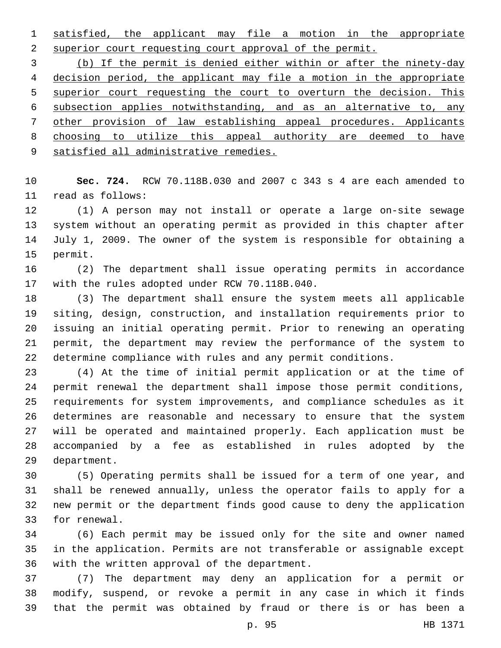satisfied, the applicant may file a motion in the appropriate 2 superior court requesting court approval of the permit.

 (b) If the permit is denied either within or after the ninety-day decision period, the applicant may file a motion in the appropriate superior court requesting the court to overturn the decision. This subsection applies notwithstanding, and as an alternative to, any other provision of law establishing appeal procedures. Applicants choosing to utilize this appeal authority are deemed to have satisfied all administrative remedies.

 **Sec. 724.** RCW 70.118B.030 and 2007 c 343 s 4 are each amended to 11 read as follows:

 (1) A person may not install or operate a large on-site sewage system without an operating permit as provided in this chapter after July 1, 2009. The owner of the system is responsible for obtaining a 15 permit.

 (2) The department shall issue operating permits in accordance 17 with the rules adopted under RCW 70.118B.040.

 (3) The department shall ensure the system meets all applicable siting, design, construction, and installation requirements prior to issuing an initial operating permit. Prior to renewing an operating permit, the department may review the performance of the system to determine compliance with rules and any permit conditions.

 (4) At the time of initial permit application or at the time of permit renewal the department shall impose those permit conditions, requirements for system improvements, and compliance schedules as it determines are reasonable and necessary to ensure that the system will be operated and maintained properly. Each application must be accompanied by a fee as established in rules adopted by the 29 department.

 (5) Operating permits shall be issued for a term of one year, and shall be renewed annually, unless the operator fails to apply for a new permit or the department finds good cause to deny the application 33 for renewal.

 (6) Each permit may be issued only for the site and owner named in the application. Permits are not transferable or assignable except 36 with the written approval of the department.

 (7) The department may deny an application for a permit or modify, suspend, or revoke a permit in any case in which it finds that the permit was obtained by fraud or there is or has been a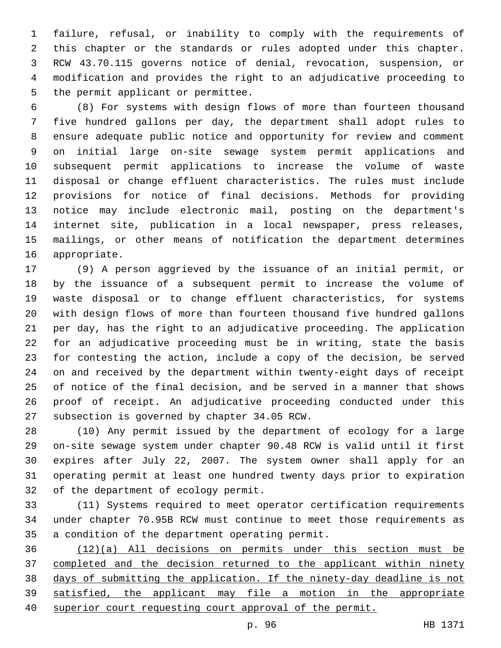failure, refusal, or inability to comply with the requirements of this chapter or the standards or rules adopted under this chapter. RCW 43.70.115 governs notice of denial, revocation, suspension, or modification and provides the right to an adjudicative proceeding to 5 the permit applicant or permittee.

 (8) For systems with design flows of more than fourteen thousand five hundred gallons per day, the department shall adopt rules to ensure adequate public notice and opportunity for review and comment on initial large on-site sewage system permit applications and subsequent permit applications to increase the volume of waste disposal or change effluent characteristics. The rules must include provisions for notice of final decisions. Methods for providing notice may include electronic mail, posting on the department's internet site, publication in a local newspaper, press releases, mailings, or other means of notification the department determines 16 appropriate.

 (9) A person aggrieved by the issuance of an initial permit, or by the issuance of a subsequent permit to increase the volume of waste disposal or to change effluent characteristics, for systems with design flows of more than fourteen thousand five hundred gallons per day, has the right to an adjudicative proceeding. The application for an adjudicative proceeding must be in writing, state the basis for contesting the action, include a copy of the decision, be served on and received by the department within twenty-eight days of receipt of notice of the final decision, and be served in a manner that shows proof of receipt. An adjudicative proceeding conducted under this 27 subsection is governed by chapter 34.05 RCW.

 (10) Any permit issued by the department of ecology for a large on-site sewage system under chapter 90.48 RCW is valid until it first expires after July 22, 2007. The system owner shall apply for an operating permit at least one hundred twenty days prior to expiration 32 of the department of ecology permit.

 (11) Systems required to meet operator certification requirements under chapter 70.95B RCW must continue to meet those requirements as 35 a condition of the department operating permit.

 (12)(a) All decisions on permits under this section must be completed and the decision returned to the applicant within ninety days of submitting the application. If the ninety-day deadline is not satisfied, the applicant may file a motion in the appropriate superior court requesting court approval of the permit.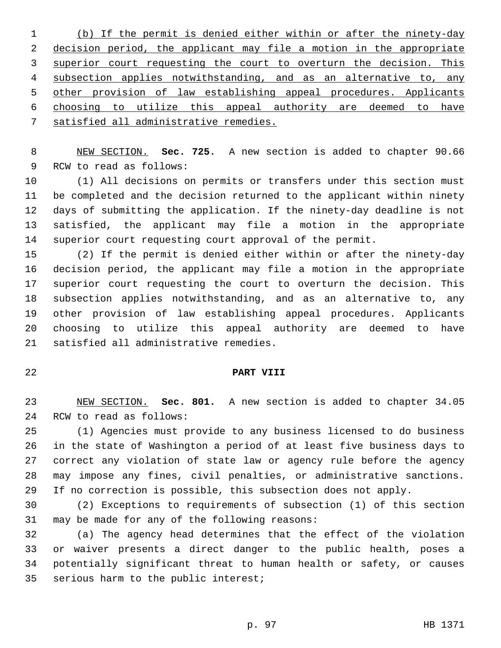(b) If the permit is denied either within or after the ninety-day decision period, the applicant may file a motion in the appropriate superior court requesting the court to overturn the decision. This subsection applies notwithstanding, and as an alternative to, any other provision of law establishing appeal procedures. Applicants 6 choosing to utilize this appeal authority are deemed to have satisfied all administrative remedies.

 NEW SECTION. **Sec. 725.** A new section is added to chapter 90.66 9 RCW to read as follows:

 (1) All decisions on permits or transfers under this section must be completed and the decision returned to the applicant within ninety days of submitting the application. If the ninety-day deadline is not satisfied, the applicant may file a motion in the appropriate superior court requesting court approval of the permit.

 (2) If the permit is denied either within or after the ninety-day decision period, the applicant may file a motion in the appropriate superior court requesting the court to overturn the decision. This subsection applies notwithstanding, and as an alternative to, any other provision of law establishing appeal procedures. Applicants choosing to utilize this appeal authority are deemed to have 21 satisfied all administrative remedies.

## **PART VIII**

 NEW SECTION. **Sec. 801.** A new section is added to chapter 34.05 24 RCW to read as follows:

 (1) Agencies must provide to any business licensed to do business in the state of Washington a period of at least five business days to correct any violation of state law or agency rule before the agency may impose any fines, civil penalties, or administrative sanctions. If no correction is possible, this subsection does not apply.

 (2) Exceptions to requirements of subsection (1) of this section 31 may be made for any of the following reasons:

 (a) The agency head determines that the effect of the violation or waiver presents a direct danger to the public health, poses a potentially significant threat to human health or safety, or causes 35 serious harm to the public interest;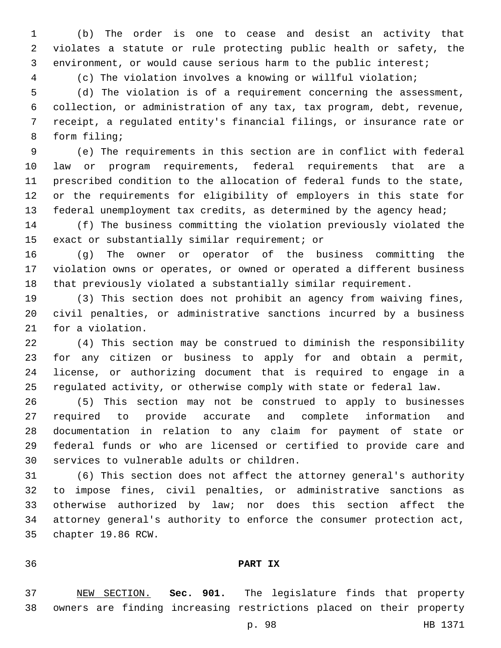(b) The order is one to cease and desist an activity that violates a statute or rule protecting public health or safety, the environment, or would cause serious harm to the public interest;

(c) The violation involves a knowing or willful violation;

 (d) The violation is of a requirement concerning the assessment, collection, or administration of any tax, tax program, debt, revenue, receipt, a regulated entity's financial filings, or insurance rate or 8 form filing;

 (e) The requirements in this section are in conflict with federal law or program requirements, federal requirements that are a prescribed condition to the allocation of federal funds to the state, or the requirements for eligibility of employers in this state for federal unemployment tax credits, as determined by the agency head;

 (f) The business committing the violation previously violated the 15 exact or substantially similar requirement; or

 (g) The owner or operator of the business committing the violation owns or operates, or owned or operated a different business that previously violated a substantially similar requirement.

 (3) This section does not prohibit an agency from waiving fines, civil penalties, or administrative sanctions incurred by a business 21 for a violation.

 (4) This section may be construed to diminish the responsibility for any citizen or business to apply for and obtain a permit, license, or authorizing document that is required to engage in a regulated activity, or otherwise comply with state or federal law.

 (5) This section may not be construed to apply to businesses required to provide accurate and complete information and documentation in relation to any claim for payment of state or federal funds or who are licensed or certified to provide care and 30 services to vulnerable adults or children.

 (6) This section does not affect the attorney general's authority to impose fines, civil penalties, or administrative sanctions as otherwise authorized by law; nor does this section affect the attorney general's authority to enforce the consumer protection act, 35 chapter 19.86 RCW.

## **PART IX**

 NEW SECTION. **Sec. 901.** The legislature finds that property owners are finding increasing restrictions placed on their property

p. 98 HB 1371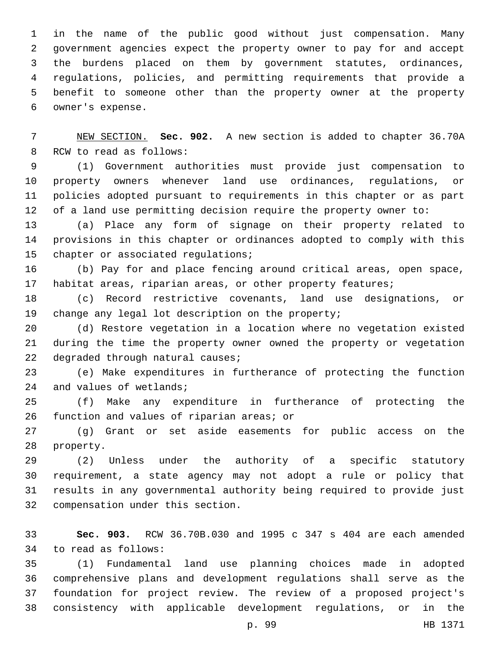in the name of the public good without just compensation. Many government agencies expect the property owner to pay for and accept the burdens placed on them by government statutes, ordinances, regulations, policies, and permitting requirements that provide a benefit to someone other than the property owner at the property 6 owner's expense.

 NEW SECTION. **Sec. 902.** A new section is added to chapter 36.70A 8 RCW to read as follows:

 (1) Government authorities must provide just compensation to property owners whenever land use ordinances, regulations, or policies adopted pursuant to requirements in this chapter or as part of a land use permitting decision require the property owner to:

 (a) Place any form of signage on their property related to provisions in this chapter or ordinances adopted to comply with this 15 chapter or associated requlations;

 (b) Pay for and place fencing around critical areas, open space, 17 habitat areas, riparian areas, or other property features;

 (c) Record restrictive covenants, land use designations, or 19 change any legal lot description on the property;

 (d) Restore vegetation in a location where no vegetation existed during the time the property owner owned the property or vegetation 22 degraded through natural causes;

 (e) Make expenditures in furtherance of protecting the function 24 and values of wetlands;

 (f) Make any expenditure in furtherance of protecting the 26 function and values of riparian areas; or

 (g) Grant or set aside easements for public access on the 28 property.

 (2) Unless under the authority of a specific statutory requirement, a state agency may not adopt a rule or policy that results in any governmental authority being required to provide just 32 compensation under this section.

 **Sec. 903.** RCW 36.70B.030 and 1995 c 347 s 404 are each amended 34 to read as follows:

 (1) Fundamental land use planning choices made in adopted comprehensive plans and development regulations shall serve as the foundation for project review. The review of a proposed project's consistency with applicable development regulations, or in the

p. 99 HB 1371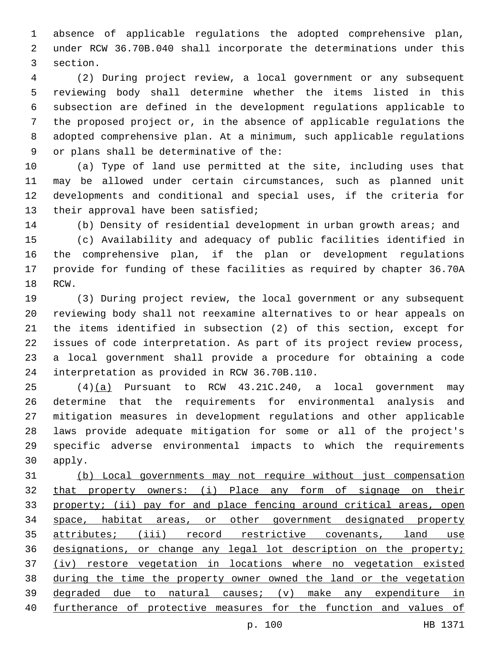absence of applicable regulations the adopted comprehensive plan, under RCW 36.70B.040 shall incorporate the determinations under this 3 section.

 (2) During project review, a local government or any subsequent reviewing body shall determine whether the items listed in this subsection are defined in the development regulations applicable to the proposed project or, in the absence of applicable regulations the adopted comprehensive plan. At a minimum, such applicable regulations 9 or plans shall be determinative of the:

 (a) Type of land use permitted at the site, including uses that may be allowed under certain circumstances, such as planned unit developments and conditional and special uses, if the criteria for 13 their approval have been satisfied;

(b) Density of residential development in urban growth areas; and

 (c) Availability and adequacy of public facilities identified in the comprehensive plan, if the plan or development regulations provide for funding of these facilities as required by chapter 36.70A 18 RCW.

 (3) During project review, the local government or any subsequent reviewing body shall not reexamine alternatives to or hear appeals on the items identified in subsection (2) of this section, except for issues of code interpretation. As part of its project review process, a local government shall provide a procedure for obtaining a code 24 interpretation as provided in RCW 36.70B.110.

 (4)(a) Pursuant to RCW 43.21C.240, a local government may determine that the requirements for environmental analysis and mitigation measures in development regulations and other applicable laws provide adequate mitigation for some or all of the project's specific adverse environmental impacts to which the requirements 30 apply.

 (b) Local governments may not require without just compensation that property owners: (i) Place any form of signage on their property; (ii) pay for and place fencing around critical areas, open space, habitat areas, or other government designated property attributes; (iii) record restrictive covenants, land use designations, or change any legal lot description on the property; (iv) restore vegetation in locations where no vegetation existed during the time the property owner owned the land or the vegetation degraded due to natural causes; (v) make any expenditure in furtherance of protective measures for the function and values of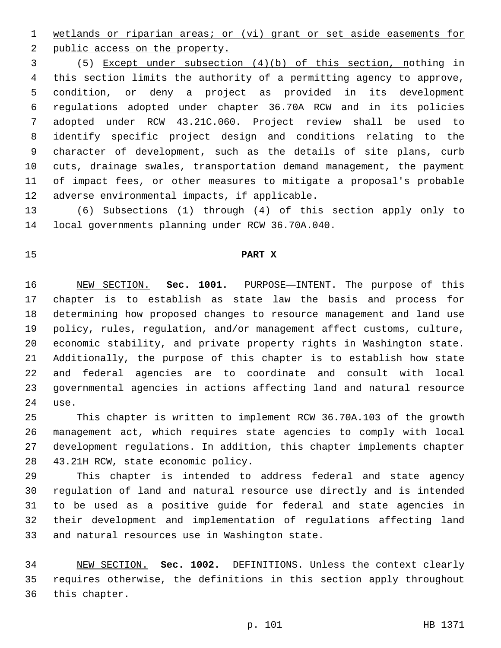wetlands or riparian areas; or (vi) grant or set aside easements for

2 public access on the property.

 (5) Except under subsection (4)(b) of this section, nothing in this section limits the authority of a permitting agency to approve, condition, or deny a project as provided in its development regulations adopted under chapter 36.70A RCW and in its policies adopted under RCW 43.21C.060. Project review shall be used to identify specific project design and conditions relating to the character of development, such as the details of site plans, curb cuts, drainage swales, transportation demand management, the payment of impact fees, or other measures to mitigate a proposal's probable 12 adverse environmental impacts, if applicable.

 (6) Subsections (1) through (4) of this section apply only to 14 local governments planning under RCW 36.70A.040.

## **PART X**

 NEW SECTION. **Sec. 1001.** PURPOSE—INTENT. The purpose of this chapter is to establish as state law the basis and process for determining how proposed changes to resource management and land use policy, rules, regulation, and/or management affect customs, culture, economic stability, and private property rights in Washington state. Additionally, the purpose of this chapter is to establish how state and federal agencies are to coordinate and consult with local governmental agencies in actions affecting land and natural resource use.

 This chapter is written to implement RCW 36.70A.103 of the growth management act, which requires state agencies to comply with local development regulations. In addition, this chapter implements chapter 43.21H RCW, state economic policy.28

 This chapter is intended to address federal and state agency regulation of land and natural resource use directly and is intended to be used as a positive guide for federal and state agencies in their development and implementation of regulations affecting land 33 and natural resources use in Washington state.

 NEW SECTION. **Sec. 1002.** DEFINITIONS. Unless the context clearly requires otherwise, the definitions in this section apply throughout this chapter.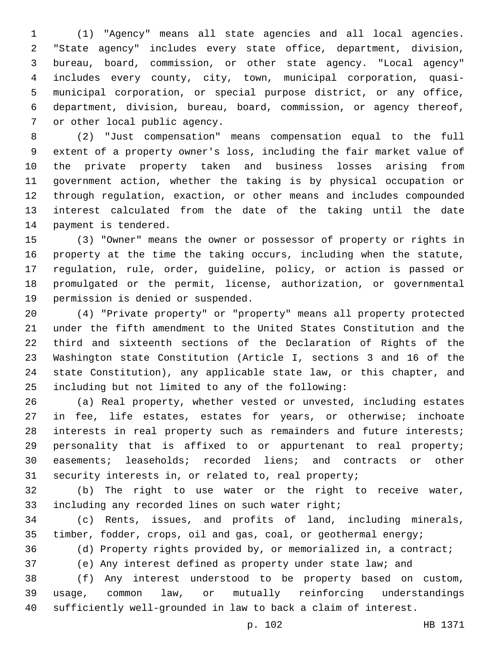(1) "Agency" means all state agencies and all local agencies. "State agency" includes every state office, department, division, bureau, board, commission, or other state agency. "Local agency" includes every county, city, town, municipal corporation, quasi- municipal corporation, or special purpose district, or any office, department, division, bureau, board, commission, or agency thereof, 7 or other local public agency.

 (2) "Just compensation" means compensation equal to the full extent of a property owner's loss, including the fair market value of the private property taken and business losses arising from government action, whether the taking is by physical occupation or through regulation, exaction, or other means and includes compounded interest calculated from the date of the taking until the date 14 payment is tendered.

 (3) "Owner" means the owner or possessor of property or rights in property at the time the taking occurs, including when the statute, regulation, rule, order, guideline, policy, or action is passed or promulgated or the permit, license, authorization, or governmental 19 permission is denied or suspended.

 (4) "Private property" or "property" means all property protected under the fifth amendment to the United States Constitution and the third and sixteenth sections of the Declaration of Rights of the Washington state Constitution (Article I, sections 3 and 16 of the state Constitution), any applicable state law, or this chapter, and including but not limited to any of the following:

 (a) Real property, whether vested or unvested, including estates in fee, life estates, estates for years, or otherwise; inchoate interests in real property such as remainders and future interests; personality that is affixed to or appurtenant to real property; easements; leaseholds; recorded liens; and contracts or other security interests in, or related to, real property;

 (b) The right to use water or the right to receive water, 33 including any recorded lines on such water right;

 (c) Rents, issues, and profits of land, including minerals, timber, fodder, crops, oil and gas, coal, or geothermal energy;

(d) Property rights provided by, or memorialized in, a contract;

(e) Any interest defined as property under state law; and

 (f) Any interest understood to be property based on custom, usage, common law, or mutually reinforcing understandings sufficiently well-grounded in law to back a claim of interest.

p. 102 HB 1371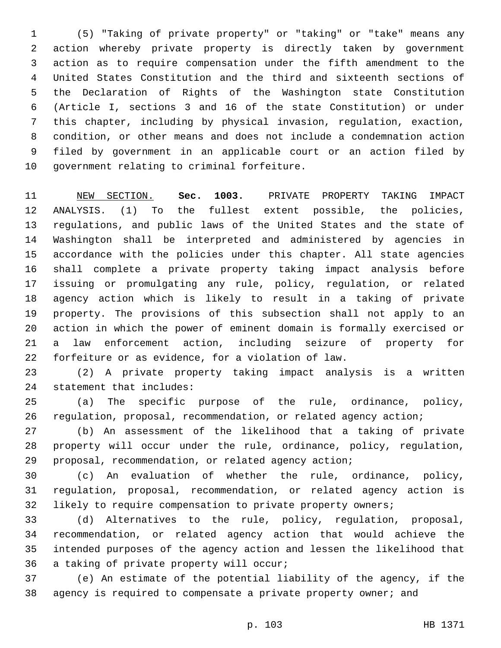(5) "Taking of private property" or "taking" or "take" means any action whereby private property is directly taken by government action as to require compensation under the fifth amendment to the United States Constitution and the third and sixteenth sections of the Declaration of Rights of the Washington state Constitution (Article I, sections 3 and 16 of the state Constitution) or under this chapter, including by physical invasion, regulation, exaction, condition, or other means and does not include a condemnation action filed by government in an applicable court or an action filed by 10 government relating to criminal forfeiture.

 NEW SECTION. **Sec. 1003.** PRIVATE PROPERTY TAKING IMPACT ANALYSIS. (1) To the fullest extent possible, the policies, regulations, and public laws of the United States and the state of Washington shall be interpreted and administered by agencies in accordance with the policies under this chapter. All state agencies shall complete a private property taking impact analysis before issuing or promulgating any rule, policy, regulation, or related agency action which is likely to result in a taking of private property. The provisions of this subsection shall not apply to an action in which the power of eminent domain is formally exercised or a law enforcement action, including seizure of property for forfeiture or as evidence, for a violation of law.

 (2) A private property taking impact analysis is a written 24 statement that includes:

 (a) The specific purpose of the rule, ordinance, policy, regulation, proposal, recommendation, or related agency action;

 (b) An assessment of the likelihood that a taking of private property will occur under the rule, ordinance, policy, regulation, proposal, recommendation, or related agency action;

 (c) An evaluation of whether the rule, ordinance, policy, regulation, proposal, recommendation, or related agency action is likely to require compensation to private property owners;

 (d) Alternatives to the rule, policy, regulation, proposal, recommendation, or related agency action that would achieve the intended purposes of the agency action and lessen the likelihood that 36 a taking of private property will occur;

 (e) An estimate of the potential liability of the agency, if the agency is required to compensate a private property owner; and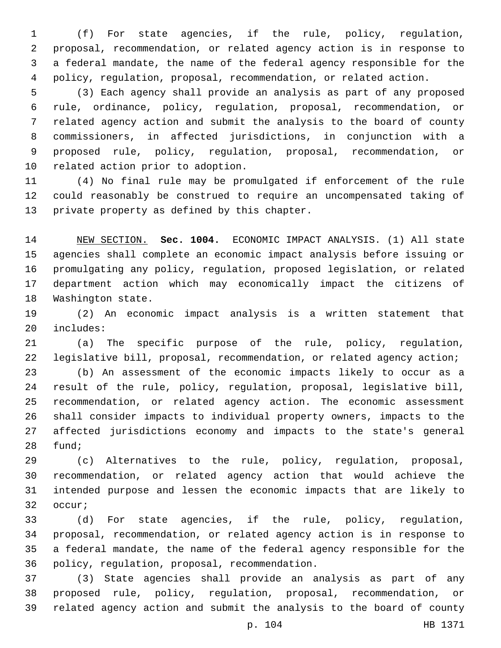(f) For state agencies, if the rule, policy, regulation, proposal, recommendation, or related agency action is in response to a federal mandate, the name of the federal agency responsible for the policy, regulation, proposal, recommendation, or related action.

 (3) Each agency shall provide an analysis as part of any proposed rule, ordinance, policy, regulation, proposal, recommendation, or related agency action and submit the analysis to the board of county commissioners, in affected jurisdictions, in conjunction with a proposed rule, policy, regulation, proposal, recommendation, or 10 related action prior to adoption.

 (4) No final rule may be promulgated if enforcement of the rule could reasonably be construed to require an uncompensated taking of 13 private property as defined by this chapter.

 NEW SECTION. **Sec. 1004.** ECONOMIC IMPACT ANALYSIS. (1) All state agencies shall complete an economic impact analysis before issuing or promulgating any policy, regulation, proposed legislation, or related department action which may economically impact the citizens of Washington state.

 (2) An economic impact analysis is a written statement that 20 includes:

 (a) The specific purpose of the rule, policy, regulation, legislative bill, proposal, recommendation, or related agency action;

 (b) An assessment of the economic impacts likely to occur as a result of the rule, policy, regulation, proposal, legislative bill, recommendation, or related agency action. The economic assessment shall consider impacts to individual property owners, impacts to the affected jurisdictions economy and impacts to the state's general 28 fund;

 (c) Alternatives to the rule, policy, regulation, proposal, recommendation, or related agency action that would achieve the intended purpose and lessen the economic impacts that are likely to 32 occur*i* 

 (d) For state agencies, if the rule, policy, regulation, proposal, recommendation, or related agency action is in response to a federal mandate, the name of the federal agency responsible for the 36 policy, regulation, proposal, recommendation.

 (3) State agencies shall provide an analysis as part of any proposed rule, policy, regulation, proposal, recommendation, or related agency action and submit the analysis to the board of county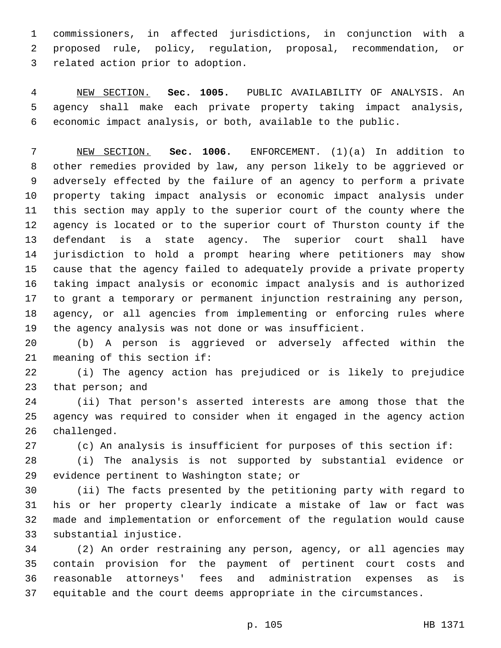commissioners, in affected jurisdictions, in conjunction with a proposed rule, policy, regulation, proposal, recommendation, or 3 related action prior to adoption.

 NEW SECTION. **Sec. 1005.** PUBLIC AVAILABILITY OF ANALYSIS. An agency shall make each private property taking impact analysis, economic impact analysis, or both, available to the public.

 NEW SECTION. **Sec. 1006.** ENFORCEMENT. (1)(a) In addition to other remedies provided by law, any person likely to be aggrieved or adversely effected by the failure of an agency to perform a private property taking impact analysis or economic impact analysis under this section may apply to the superior court of the county where the agency is located or to the superior court of Thurston county if the defendant is a state agency. The superior court shall have jurisdiction to hold a prompt hearing where petitioners may show cause that the agency failed to adequately provide a private property taking impact analysis or economic impact analysis and is authorized to grant a temporary or permanent injunction restraining any person, agency, or all agencies from implementing or enforcing rules where the agency analysis was not done or was insufficient.

 (b) A person is aggrieved or adversely affected within the meaning of this section if:

 (i) The agency action has prejudiced or is likely to prejudice 23 that person; and

 (ii) That person's asserted interests are among those that the agency was required to consider when it engaged in the agency action 26 challenged.

(c) An analysis is insufficient for purposes of this section if:

 (i) The analysis is not supported by substantial evidence or 29 evidence pertinent to Washington state; or

 (ii) The facts presented by the petitioning party with regard to his or her property clearly indicate a mistake of law or fact was made and implementation or enforcement of the regulation would cause 33 substantial injustice.

 (2) An order restraining any person, agency, or all agencies may contain provision for the payment of pertinent court costs and reasonable attorneys' fees and administration expenses as is equitable and the court deems appropriate in the circumstances.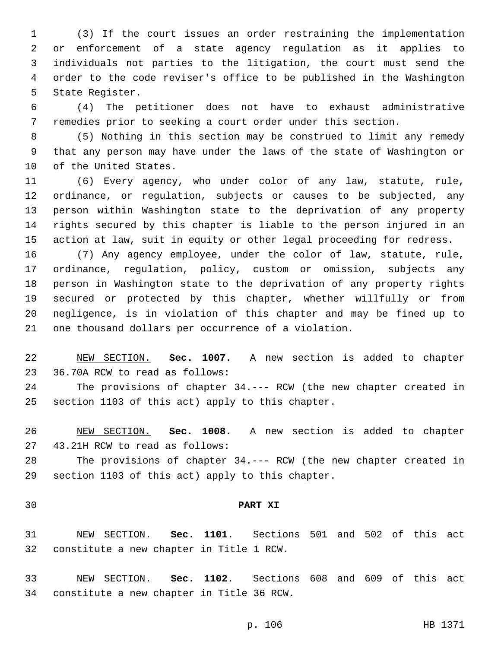(3) If the court issues an order restraining the implementation or enforcement of a state agency regulation as it applies to individuals not parties to the litigation, the court must send the order to the code reviser's office to be published in the Washington 5 State Register.

 (4) The petitioner does not have to exhaust administrative remedies prior to seeking a court order under this section.

 (5) Nothing in this section may be construed to limit any remedy that any person may have under the laws of the state of Washington or 10 of the United States.

 (6) Every agency, who under color of any law, statute, rule, ordinance, or regulation, subjects or causes to be subjected, any person within Washington state to the deprivation of any property rights secured by this chapter is liable to the person injured in an action at law, suit in equity or other legal proceeding for redress.

 (7) Any agency employee, under the color of law, statute, rule, ordinance, regulation, policy, custom or omission, subjects any person in Washington state to the deprivation of any property rights secured or protected by this chapter, whether willfully or from negligence, is in violation of this chapter and may be fined up to one thousand dollars per occurrence of a violation.

 NEW SECTION. **Sec. 1007.** A new section is added to chapter 23 36.70A RCW to read as follows:

 The provisions of chapter 34.--- RCW (the new chapter created in 25 section 1103 of this act) apply to this chapter.

 NEW SECTION. **Sec. 1008.** A new section is added to chapter 43.21H RCW to read as follows:27

 The provisions of chapter 34.--- RCW (the new chapter created in 29 section 1103 of this act) apply to this chapter.

## **PART XI**

 NEW SECTION. **Sec. 1101.** Sections 501 and 502 of this act constitute a new chapter in Title 1 RCW.

 NEW SECTION. **Sec. 1102.** Sections 608 and 609 of this act constitute a new chapter in Title 36 RCW.